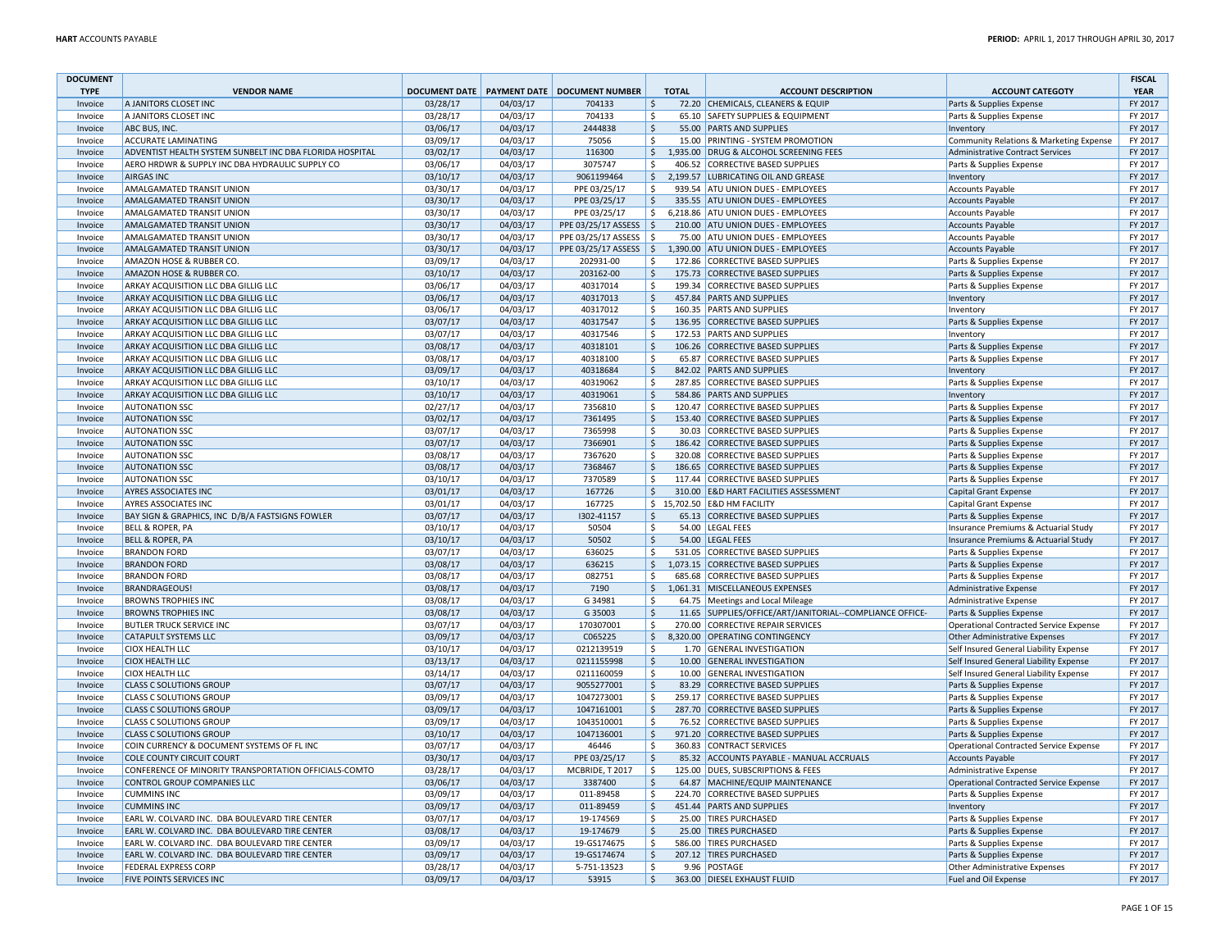| <b>DOCUMENT</b>    |                                                                  |                      |                      |                                                          |                     |              |                                                                     |                                                                           | <b>FISCAL</b>          |
|--------------------|------------------------------------------------------------------|----------------------|----------------------|----------------------------------------------------------|---------------------|--------------|---------------------------------------------------------------------|---------------------------------------------------------------------------|------------------------|
| <b>TYPE</b>        | <b>VENDOR NAME</b><br>A JANITORS CLOSET INC                      |                      |                      | DOCUMENT DATE   PAYMENT DATE   DOCUMENT NUMBER<br>704133 |                     | <b>TOTAL</b> | <b>ACCOUNT DESCRIPTION</b><br>72.20 CHEMICALS, CLEANERS & EQUIP     | <b>ACCOUNT CATEGOTY</b>                                                   | <b>YEAR</b><br>FY 2017 |
| Invoice<br>Invoice | A JANITORS CLOSET INC                                            | 03/28/17<br>03/28/17 | 04/03/17<br>04/03/17 | 704133                                                   | -\$<br>\$           |              | 65.10 SAFETY SUPPLIES & EQUIPMENT                                   | Parts & Supplies Expense<br>Parts & Supplies Expense                      | FY 2017                |
| Invoice            | ABC BUS, INC.                                                    | 03/06/17             | 04/03/17             | 2444838                                                  | $\zeta$             |              | 55.00 PARTS AND SUPPLIES                                            | Inventory                                                                 | FY 2017                |
| Invoice            | ACCURATE LAMINATING                                              | 03/09/17             | 04/03/17             | 75056                                                    | \$                  |              | 15.00 PRINTING - SYSTEM PROMOTION                                   | Community Relations & Marketing Expense                                   | FY 2017                |
| Invoice            | ADVENTIST HEALTH SYSTEM SUNBELT INC DBA FLORIDA HOSPITAL         | 03/02/17             | 04/03/17             | 116300                                                   | \$                  |              | 1,935.00 DRUG & ALCOHOL SCREENING FEES                              | Administrative Contract Services                                          | FY 2017                |
| Invoice            | AERO HRDWR & SUPPLY INC DBA HYDRAULIC SUPPLY CO                  | 03/06/17             | 04/03/17             | 3075747                                                  | \$                  |              | 406.52 CORRECTIVE BASED SUPPLIES                                    | Parts & Supplies Expense                                                  | FY 2017                |
| Invoice            | <b>AIRGAS INC</b>                                                | 03/10/17             | 04/03/17             | 9061199464                                               | \$                  |              | 2,199.57 LUBRICATING OIL AND GREASE                                 | Inventory                                                                 | FY 2017                |
| Invoice            | AMALGAMATED TRANSIT UNION                                        | 03/30/17             | 04/03/17             | PPE 03/25/17                                             | $\zeta$             |              | 939.54 ATU UNION DUES - EMPLOYEES                                   | <b>Accounts Payable</b>                                                   | FY 2017                |
| Invoice            | AMALGAMATED TRANSIT UNION                                        | 03/30/17             | 04/03/17             | PPE 03/25/17                                             | $\ddot{\mathsf{S}}$ |              | 335.55 ATU UNION DUES - EMPLOYEES                                   | <b>Accounts Payable</b>                                                   | FY 2017                |
| Invoice            | AMALGAMATED TRANSIT UNION                                        | 03/30/17             | 04/03/17             | PPE 03/25/17                                             | $\mathsf{S}$        |              | 6,218.86 ATU UNION DUES - EMPLOYEES                                 | <b>Accounts Payable</b>                                                   | FY 2017                |
| Invoice            | AMALGAMATED TRANSIT UNION                                        | 03/30/17             | 04/03/17             | PPE 03/25/17 ASSESS                                      | l \$                |              | 210.00 ATU UNION DUES - EMPLOYEES                                   | <b>Accounts Payable</b>                                                   | FY 2017                |
| Invoice            | AMALGAMATED TRANSIT UNION                                        | 03/30/17             | 04/03/17             | PPE 03/25/17 ASSESS                                      | l\$                 |              | 75.00 ATU UNION DUES - EMPLOYEES                                    | <b>Accounts Payable</b>                                                   | FY 2017                |
| Invoice            | AMALGAMATED TRANSIT UNION                                        | 03/30/17             | 04/03/17             | PPE 03/25/17 ASSESS \$                                   |                     |              | 1,390.00 ATU UNION DUES - EMPLOYEES                                 | <b>Accounts Payable</b>                                                   | FY 2017                |
| Invoice            | AMAZON HOSE & RUBBER CO.                                         | 03/09/17             | 04/03/17             | 202931-00                                                | \$                  |              | 172.86 CORRECTIVE BASED SUPPLIES                                    | Parts & Supplies Expense                                                  | FY 2017                |
| Invoice            | AMAZON HOSE & RUBBER CO.                                         | 03/10/17             | 04/03/17             | 203162-00                                                | \$                  |              | 175.73 CORRECTIVE BASED SUPPLIES                                    | Parts & Supplies Expense                                                  | FY 2017                |
| Invoice            | ARKAY ACQUISITION LLC DBA GILLIG LLC                             | 03/06/17             | 04/03/17             | 40317014                                                 | \$                  |              | 199.34 CORRECTIVE BASED SUPPLIES                                    | Parts & Supplies Expense                                                  | FY 2017                |
| Invoice            | ARKAY ACQUISITION LLC DBA GILLIG LLC                             | 03/06/17             | 04/03/17             | 40317013                                                 | $\zeta$             |              | 457.84 PARTS AND SUPPLIES                                           | Inventory                                                                 | FY 2017                |
| Invoice            | ARKAY ACQUISITION LLC DBA GILLIG LLC                             | 03/06/17             | 04/03/17             | 40317012                                                 | \$                  |              | 160.35 PARTS AND SUPPLIES                                           | Inventory                                                                 | FY 2017                |
| Invoice            | ARKAY ACQUISITION LLC DBA GILLIG LLC                             | 03/07/17             | 04/03/17             | 40317547                                                 | $\zeta$             |              | 136.95 CORRECTIVE BASED SUPPLIES                                    | Parts & Supplies Expense                                                  | FY 2017                |
| Invoice            | ARKAY ACQUISITION LLC DBA GILLIG LLC                             | 03/07/17             | 04/03/17             | 40317546                                                 | \$                  |              | 172.53 PARTS AND SUPPLIES                                           | Inventory                                                                 | FY 2017                |
| Invoice            | ARKAY ACQUISITION LLC DBA GILLIG LLC                             | 03/08/17             | 04/03/17             | 40318101                                                 | \$                  |              | 106.26 CORRECTIVE BASED SUPPLIES                                    | Parts & Supplies Expense                                                  | FY 2017                |
| Invoice            | ARKAY ACQUISITION LLC DBA GILLIG LLC                             | 03/08/17             | 04/03/17             | 40318100                                                 | \$                  |              | 65.87 CORRECTIVE BASED SUPPLIES                                     | Parts & Supplies Expense                                                  | FY 2017                |
| Invoice            | ARKAY ACQUISITION LLC DBA GILLIG LLC                             | 03/09/17             | 04/03/17             | 40318684                                                 | \$                  |              | 842.02 PARTS AND SUPPLIES                                           | Inventory                                                                 | FY 2017                |
| Invoice            | ARKAY ACQUISITION LLC DBA GILLIG LLC                             | 03/10/17             | 04/03/17             | 40319062                                                 | \$                  |              | 287.85 CORRECTIVE BASED SUPPLIES                                    | Parts & Supplies Expense                                                  | FY 2017                |
| Invoice            | ARKAY ACQUISITION LLC DBA GILLIG LLC                             | 03/10/17             | 04/03/17             | 40319061                                                 | $\zeta$             |              | 584.86 PARTS AND SUPPLIES                                           | Inventory                                                                 | FY 2017                |
| Invoice            | <b>AUTONATION SSC</b>                                            | 02/27/17             | 04/03/17             | 7356810                                                  | \$                  |              | 120.47 CORRECTIVE BASED SUPPLIES                                    | Parts & Supplies Expense                                                  | FY 2017                |
| Invoice            | <b>AUTONATION SSC</b>                                            | 03/02/17             | 04/03/17             | 7361495                                                  | $\ddot{\mathsf{S}}$ |              | 153.40 CORRECTIVE BASED SUPPLIES                                    | Parts & Supplies Expense                                                  | FY 2017                |
| Invoice            | <b>AUTONATION SSC</b>                                            | 03/07/17             | 04/03/17             | 7365998                                                  | \$                  |              | 30.03 CORRECTIVE BASED SUPPLIES                                     | Parts & Supplies Expense                                                  | FY 2017                |
| Invoice            | <b>AUTONATION SSC</b>                                            | 03/07/17             | 04/03/17             | 7366901                                                  | $\mathsf{\hat{S}}$  |              | 186.42 CORRECTIVE BASED SUPPLIES                                    | Parts & Supplies Expense                                                  | FY 2017                |
| Invoice            | <b>AUTONATION SSC</b>                                            | 03/08/17             | 04/03/17             | 7367620                                                  | \$                  | 320.08       | <b>CORRECTIVE BASED SUPPLIES</b>                                    | Parts & Supplies Expense                                                  | FY 2017                |
| Invoice            | <b>AUTONATION SSC</b>                                            | 03/08/17             | 04/03/17             | 7368467                                                  | \$                  |              | 186.65 CORRECTIVE BASED SUPPLIES                                    | Parts & Supplies Expense                                                  | FY 2017                |
| Invoice            | <b>AUTONATION SSC</b>                                            | 03/10/17             | 04/03/17             | 7370589                                                  | \$                  |              | 117.44 CORRECTIVE BASED SUPPLIES                                    | Parts & Supplies Expense                                                  | FY 2017                |
| Invoice            | <b>AYRES ASSOCIATES INC</b>                                      | 03/01/17             | 04/03/17             | 167726                                                   | \$                  |              | 310.00 E&D HART FACILITIES ASSESSMENT                               | <b>Capital Grant Expense</b>                                              | FY 2017                |
| Invoice            | AYRES ASSOCIATES INC                                             | 03/01/17             | 04/03/17             | 167725                                                   | \$                  |              | 15,702.50 E&D HM FACILITY                                           | Capital Grant Expense                                                     | FY 2017                |
| Invoice            | BAY SIGN & GRAPHICS, INC D/B/A FASTSIGNS FOWLER                  | 03/07/17             | 04/03/17             | 1302-41157                                               | \$                  |              | 65.13 CORRECTIVE BASED SUPPLIES                                     | Parts & Supplies Expense                                                  | FY 2017                |
| Invoice            | BELL & ROPER, PA                                                 | 03/10/17             | 04/03/17             | 50504                                                    | \$                  |              | 54.00 LEGAL FEES                                                    | Insurance Premiums & Actuarial Study                                      | FY 2017                |
| Invoice            | <b>BELL &amp; ROPER, PA</b>                                      | 03/10/17             | 04/03/17             | 50502                                                    | \$                  |              | 54.00 LEGAL FEES                                                    | Insurance Premiums & Actuarial Study                                      | FY 2017                |
| Invoice            | <b>BRANDON FORD</b>                                              | 03/07/17             | 04/03/17             | 636025                                                   | $\zeta$             |              | 531.05 CORRECTIVE BASED SUPPLIES                                    | Parts & Supplies Expense                                                  | FY 2017                |
| Invoice            | <b>BRANDON FORD</b>                                              | 03/08/17             | 04/03/17             | 636215                                                   | \$                  |              | 1,073.15 CORRECTIVE BASED SUPPLIES                                  | Parts & Supplies Expense                                                  | FY 2017                |
| Invoice            | <b>BRANDON FORD</b>                                              | 03/08/17             | 04/03/17             | 082751                                                   | \$                  |              | 685.68 CORRECTIVE BASED SUPPLIES                                    | Parts & Supplies Expense                                                  | FY 2017                |
| Invoice            | <b>BRANDRAGEOUS!</b>                                             | 03/08/17             | 04/03/17             | 7190                                                     | \$                  |              | 1,061.31 MISCELLANEOUS EXPENSES                                     | Administrative Expense                                                    | FY 2017                |
| Invoice            | <b>BROWNS TROPHIES INC</b>                                       | 03/08/17             | 04/03/17             | G 34981                                                  | $\zeta$             |              | 64.75 Meetings and Local Mileage                                    | Administrative Expense                                                    | FY 2017                |
| Invoice            | <b>BROWNS TROPHIES INC</b>                                       | 03/08/17             | 04/03/17             | G 35003                                                  | \$                  |              | 11.65 SUPPLIES/OFFICE/ART/JANITORIAL--COMPLIANCE OFFICE-            | Parts & Supplies Expense                                                  | FY 2017                |
| Invoice            | <b>BUTLER TRUCK SERVICE INC</b>                                  | 03/07/17             | 04/03/17             | 170307001                                                | $\zeta$             |              | 270.00 CORRECTIVE REPAIR SERVICES                                   | Operational Contracted Service Expense                                    | FY 2017                |
| Invoice            | <b>CATAPULT SYSTEMS LLC</b>                                      | 03/09/17             | 04/03/17             | C065225                                                  | $\ddot{\varsigma}$  |              | 8,320.00 OPERATING CONTINGENCY                                      | Other Administrative Expenses                                             | FY 2017                |
| Invoice            | CIOX HEALTH LLC                                                  | 03/10/17             | 04/03/17             | 0212139519                                               | \$                  |              | 1.70 GENERAL INVESTIGATION                                          | Self Insured General Liability Expense                                    | FY 2017                |
| Invoice            | <b>CIOX HEALTH LLC</b>                                           | 03/13/17             | 04/03/17             | 0211155998                                               | $\ddot{\mathsf{S}}$ |              | 10.00 GENERAL INVESTIGATION                                         | Self Insured General Liability Expense                                    | FY 2017                |
| Invoice            | <b>CIOX HEALTH LLC</b>                                           | 03/14/17             | 04/03/17             | 0211160059                                               | \$                  |              | 10.00 GENERAL INVESTIGATION                                         | Self Insured General Liability Expense                                    | FY 2017                |
| Invoice            | <b>CLASS C SOLUTIONS GROUP</b><br><b>CLASS C SOLUTIONS GROUP</b> | 03/07/17<br>03/09/17 | 04/03/17<br>04/03/17 | 9055277001<br>1047273001                                 | $\zeta$<br>\$       |              | 83.29 CORRECTIVE BASED SUPPLIES<br>259.17 CORRECTIVE BASED SUPPLIES | Parts & Supplies Expense                                                  | FY 2017<br>FY 2017     |
| Invoice<br>Invoice | <b>CLASS C SOLUTIONS GROUP</b>                                   | 03/09/17             | 04/03/17             | 1047161001                                               | \$                  |              | 287.70 CORRECTIVE BASED SUPPLIES                                    | Parts & Supplies Expense<br>Parts & Supplies Expense                      | FY 2017                |
| Invoice            | <b>CLASS C SOLUTIONS GROUP</b>                                   | 03/09/17             | 04/03/17             | 1043510001                                               | \$                  |              | 76.52 CORRECTIVE BASED SUPPLIES                                     | Parts & Supplies Expense                                                  | FY 2017                |
| Invoice            | <b>CLASS C SOLUTIONS GROUP</b>                                   | 03/10/17             | 04/03/17             | 1047136001                                               | $\mathsf{S}$        |              | 971.20 CORRECTIVE BASED SUPPLIES                                    |                                                                           | FY 2017                |
| Invoice            | COIN CURRENCY & DOCUMENT SYSTEMS OF FL INC                       | 03/07/17             | 04/03/17             | 46446                                                    | \$                  |              | 360.83 CONTRACT SERVICES                                            | Parts & Supplies Expense<br><b>Operational Contracted Service Expense</b> | FY 2017                |
| Invoice            | <b>COLE COUNTY CIRCUIT COURT</b>                                 | 03/30/17             | 04/03/17             | PPE 03/25/17                                             | $\zeta$             |              | 85.32 ACCOUNTS PAYABLE - MANUAL ACCRUALS                            | <b>Accounts Payable</b>                                                   | FY 2017                |
| Invoice            | CONFERENCE OF MINORITY TRANSPORTATION OFFICIALS-COMTO            | 03/28/17             | 04/03/17             | MCBRIDE, T 2017                                          | $\mathsf{S}$        |              | 125.00 DUES, SUBSCRIPTIONS & FEES                                   | Administrative Expense                                                    | FY 2017                |
| Invoice            | CONTROL GROUP COMPANIES LLC                                      | 03/06/17             | 04/03/17             | 3387400                                                  | \$                  |              | 64.87 MACHINE/EQUIP MAINTENANCE                                     | <b>Operational Contracted Service Expense</b>                             | FY 2017                |
| Invoice            | <b>CUMMINS INC</b>                                               | 03/09/17             | 04/03/17             | 011-89458                                                | \$                  |              | 224.70 CORRECTIVE BASED SUPPLIES                                    | Parts & Supplies Expense                                                  | FY 2017                |
| Invoice            | <b>CUMMINS INC</b>                                               | 03/09/17             | 04/03/17             | 011-89459                                                | \$                  |              | 451.44 PARTS AND SUPPLIES                                           | Inventory                                                                 | FY 2017                |
| Invoice            | EARL W. COLVARD INC. DBA BOULEVARD TIRE CENTER                   | 03/07/17             | 04/03/17             | 19-174569                                                | $\zeta$             |              | 25.00 TIRES PURCHASED                                               | Parts & Supplies Expense                                                  | FY 2017                |
| Invoice            | EARL W. COLVARD INC. DBA BOULEVARD TIRE CENTER                   | 03/08/17             | 04/03/17             | 19-174679                                                | \$                  |              | 25.00 TIRES PURCHASED                                               | Parts & Supplies Expense                                                  | FY 2017                |
| Invoice            | EARL W. COLVARD INC. DBA BOULEVARD TIRE CENTER                   | 03/09/17             | 04/03/17             | 19-GS174675                                              | \$                  |              | 586.00 TIRES PURCHASED                                              | Parts & Supplies Expense                                                  | FY 2017                |
| Invoice            | EARL W. COLVARD INC. DBA BOULEVARD TIRE CENTER                   | 03/09/17             | 04/03/17             | 19-GS174674                                              | $\zeta$             |              | 207.12 TIRES PURCHASED                                              | Parts & Supplies Expense                                                  | FY 2017                |
| Invoice            | <b>FEDERAL EXPRESS CORP</b>                                      | 03/28/17             | 04/03/17             | 5-751-13523                                              | $\zeta$             |              | 9.96 POSTAGE                                                        | Other Administrative Expenses                                             | FY 2017                |
| Invoice            | FIVE POINTS SERVICES INC                                         | 03/09/17             | 04/03/17             | 53915                                                    | $\ddot{\mathsf{S}}$ |              | 363.00 DIESEL EXHAUST FLUID                                         | Fuel and Oil Expense                                                      | FY 2017                |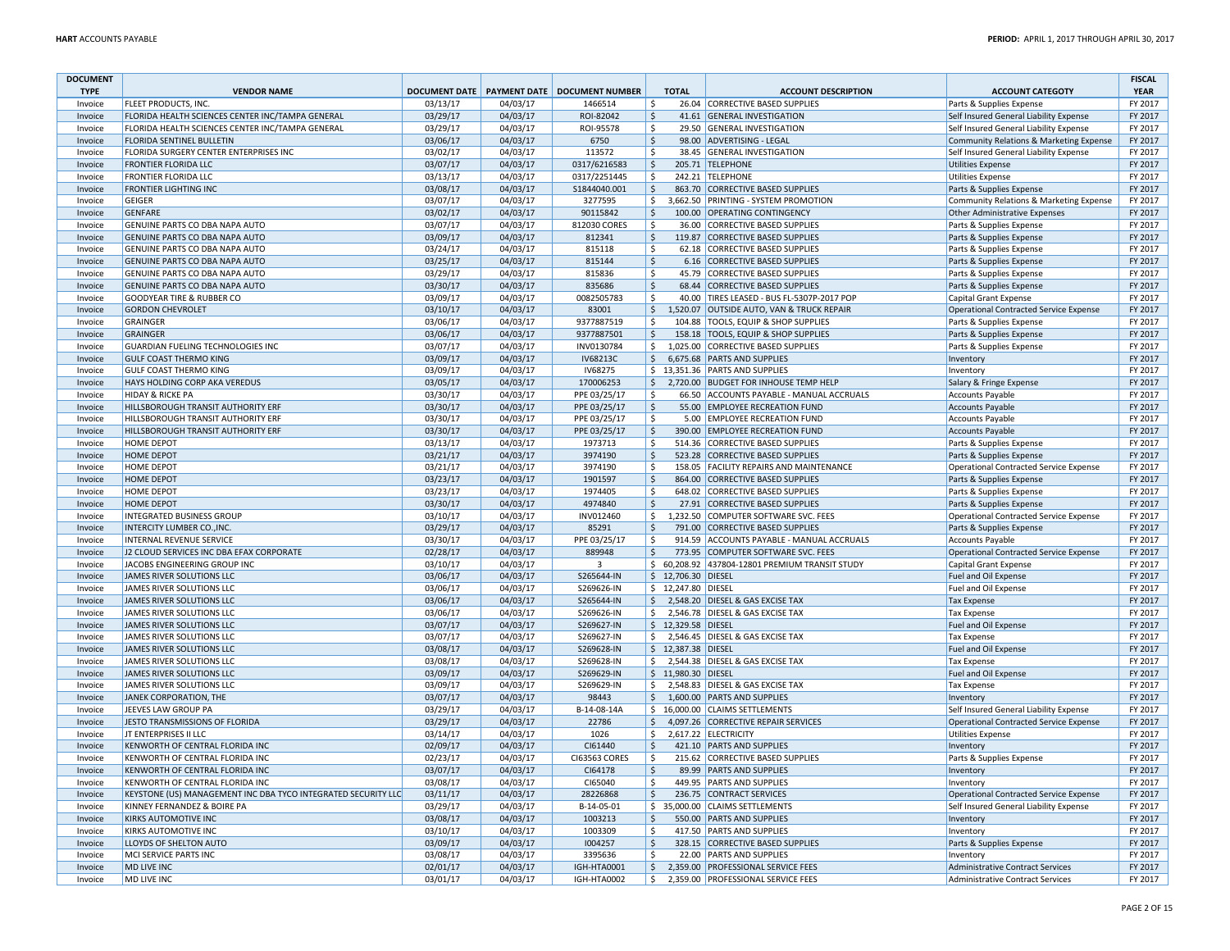| <b>DOCUMENT</b> |                                                               |                      |          |                                     |                     |                                                |                                                    | <b>FISCAL</b> |
|-----------------|---------------------------------------------------------------|----------------------|----------|-------------------------------------|---------------------|------------------------------------------------|----------------------------------------------------|---------------|
| <b>TYPE</b>     | <b>VENDOR NAME</b>                                            | <b>DOCUMENT DATE</b> |          | <b>PAYMENT DATE DOCUMENT NUMBER</b> | <b>TOTAL</b>        | <b>ACCOUNT DESCRIPTION</b>                     | <b>ACCOUNT CATEGOTY</b>                            | <b>YEAR</b>   |
| Invoice         | FLEET PRODUCTS, INC.                                          | 03/13/17             | 04/03/17 | 1466514                             | \$                  | 26.04 CORRECTIVE BASED SUPPLIES                | Parts & Supplies Expense                           | FY 2017       |
| Invoice         | FLORIDA HEALTH SCIENCES CENTER INC/TAMPA GENERAL              | 03/29/17             | 04/03/17 | ROI-82042                           | $\zeta$             | 41.61 GENERAL INVESTIGATION                    | Self Insured General Liability Expense             | FY 2017       |
| Invoice         | FLORIDA HEALTH SCIENCES CENTER INC/TAMPA GENERAL              | 03/29/17             | 04/03/17 | ROI-95578                           | $\ddot{\mathsf{S}}$ | 29.50 GENERAL INVESTIGATION                    | Self Insured General Liability Expense             | FY 2017       |
| Invoice         | <b>FLORIDA SENTINEL BULLETIN</b>                              | 03/06/17             | 04/03/17 | 6750                                | $\ddot{\mathsf{S}}$ | 98.00 ADVERTISING - LEGAL                      | Community Relations & Marketing Expense            | FY 2017       |
| Invoice         | FLORIDA SURGERY CENTER ENTERPRISES INC                        | 03/02/17             | 04/03/17 | 113572                              | \$                  | 38.45 GENERAL INVESTIGATION                    | Self Insured General Liability Expense             | FY 2017       |
| Invoice         | <b>FRONTIER FLORIDA LLC</b>                                   | 03/07/17             | 04/03/17 | 0317/6216583                        | I\$                 | 205.71 TELEPHONE                               | Utilities Expense                                  | FY 2017       |
| Invoice         | <b>FRONTIER FLORIDA LLC</b>                                   | 03/13/17             | 04/03/17 | 0317/2251445                        | \$                  | 242.21 TELEPHONE                               | <b>Utilities Expense</b>                           | FY 2017       |
| Invoice         | <b>FRONTIER LIGHTING INC</b>                                  | 03/08/17             | 04/03/17 | \$1844040.001                       | $\zeta$             | 863.70 CORRECTIVE BASED SUPPLIES               | Parts & Supplies Expense                           | FY 2017       |
| Invoice         | GFIGFR                                                        | 03/07/17             | 04/03/17 | 3277595                             | $\mathsf{S}$        | 3,662.50 PRINTING - SYSTEM PROMOTION           | <b>Community Relations &amp; Marketing Expense</b> | FY 2017       |
| Invoice         | <b>GENFARE</b>                                                | 03/02/17             | 04/03/17 | 90115842                            | $\ddot{\varsigma}$  | 100.00 OPERATING CONTINGENCY                   | Other Administrative Expenses                      | FY 2017       |
| Invoice         | GENUINE PARTS CO DBA NAPA AUTO                                | 03/07/17             | 04/03/17 | 812030 CORES                        | $\mathsf{S}$        | 36.00 CORRECTIVE BASED SUPPLIES                | Parts & Supplies Expense                           | FY 2017       |
| Invoice         | GENUINE PARTS CO DBA NAPA AUTO                                | 03/09/17             | 04/03/17 | 812341                              | $\zeta$             | 119.87 CORRECTIVE BASED SUPPLIES               | Parts & Supplies Expense                           | FY 2017       |
| Invoice         | GENUINE PARTS CO DBA NAPA AUTO                                | 03/24/17             | 04/03/17 | 815118                              | $\mathsf{S}$        | 62.18 CORRECTIVE BASED SUPPLIES                | Parts & Supplies Expense                           | FY 2017       |
| Invoice         | GENUINE PARTS CO DBA NAPA AUTO                                | 03/25/17             | 04/03/17 | 815144                              | $\zeta$             | 6.16 CORRECTIVE BASED SUPPLIES                 | Parts & Supplies Expense                           | FY 2017       |
| Invoice         | GENUINE PARTS CO DBA NAPA AUTO                                | 03/29/17             | 04/03/17 | 815836                              | \$                  | 45.79 CORRECTIVE BASED SUPPLIES                | Parts & Supplies Expense                           | FY 2017       |
| Invoice         | GENUINE PARTS CO DBA NAPA AUTO                                | 03/30/17             | 04/03/17 | 835686                              | $\ddot{\mathsf{S}}$ | 68.44 CORRECTIVE BASED SUPPLIES                | Parts & Supplies Expense                           | FY 2017       |
| Invoice         | <b>GOODYEAR TIRE &amp; RUBBER CO</b>                          | 03/09/17             | 04/03/17 | 0082505783                          | $\ddot{\mathsf{S}}$ | 40.00 TIRES LEASED - BUS FL-5307P-2017 POP     | Capital Grant Expense                              | FY 2017       |
| Invoice         | <b>GORDON CHEVROLET</b>                                       | 03/10/17             | 04/03/17 | 83001                               | $\ddot{\varsigma}$  | 1,520.07 OUTSIDE AUTO, VAN & TRUCK REPAIR      | <b>Operational Contracted Service Expense</b>      | FY 2017       |
| Invoice         | <b>GRAINGER</b>                                               | 03/06/17             | 04/03/17 | 9377887519                          | $\zeta$             | 104.88 TOOLS, EQUIP & SHOP SUPPLIES            | Parts & Supplies Expense                           | FY 2017       |
| Invoice         | <b>GRAINGER</b>                                               | 03/06/17             | 04/03/17 | 9377887501                          | $\ddot{\varsigma}$  | 158.18 TOOLS, EQUIP & SHOP SUPPLIES            | Parts & Supplies Expense                           | FY 2017       |
| Invoice         | <b>GUARDIAN FUELING TECHNOLOGIES INC</b>                      | 03/07/17             | 04/03/17 | INV0130784                          | $\zeta$             | 1,025.00 CORRECTIVE BASED SUPPLIES             | Parts & Supplies Expense                           | FY 2017       |
| Invoice         | <b>GULF COAST THERMO KING</b>                                 | 03/09/17             | 04/03/17 | IV68213C                            | $\mathsf{S}$        | 6,675.68 PARTS AND SUPPLIES                    | Inventory                                          | FY 2017       |
| Invoice         | <b>GULF COAST THERMO KING</b>                                 | 03/09/17             | 04/03/17 | IV68275                             |                     | \$13,351.36 PARTS AND SUPPLIES                 | Inventory                                          | FY 2017       |
| Invoice         | HAYS HOLDING CORP AKA VEREDUS                                 | 03/05/17             | 04/03/17 | 170006253                           | $\mathsf{S}$        | 2,720.00 BUDGET FOR INHOUSE TEMP HELP          | Salary & Fringe Expense                            | FY 2017       |
| Invoice         | <b>HIDAY &amp; RICKE PA</b>                                   | 03/30/17             | 04/03/17 | PPE 03/25/17                        | \$                  | 66.50 ACCOUNTS PAYABLE - MANUAL ACCRUALS       | <b>Accounts Payable</b>                            | FY 2017       |
| Invoice         | HILLSBOROUGH TRANSIT AUTHORITY ERF                            | 03/30/17             | 04/03/17 | PPE 03/25/17                        | $\ddot{\varsigma}$  | 55.00 EMPLOYEE RECREATION FUND                 | <b>Accounts Payable</b>                            | FY 2017       |
| Invoice         | HILLSBOROUGH TRANSIT AUTHORITY ERF                            | 03/30/17             | 04/03/17 | PPE 03/25/17                        | \$                  | 5.00 EMPLOYEE RECREATION FUND                  | <b>Accounts Payable</b>                            | FY 2017       |
| Invoice         | HILLSBOROUGH TRANSIT AUTHORITY ERF                            | 03/30/17             | 04/03/17 | PPE 03/25/17                        | I\$                 | 390.00 EMPLOYEE RECREATION FUND                | <b>Accounts Payable</b>                            | FY 2017       |
| Invoice         | <b>HOME DEPOT</b>                                             | 03/13/17             | 04/03/17 | 1973713                             | $\zeta$             | 514.36 CORRECTIVE BASED SUPPLIES               | Parts & Supplies Expense                           | FY 2017       |
| Invoice         | <b>HOME DEPOT</b>                                             | 03/21/17             | 04/03/17 | 3974190                             | $\zeta$             | 523.28 CORRECTIVE BASED SUPPLIES               | Parts & Supplies Expense                           | FY 2017       |
| Invoice         | <b>HOME DEPOT</b>                                             | 03/21/17             | 04/03/17 | 3974190                             | $\zeta$             | 158.05 FACILITY REPAIRS AND MAINTENANCE        | <b>Operational Contracted Service Expense</b>      | FY 2017       |
| Invoice         | <b>HOME DEPOT</b>                                             | 03/23/17             | 04/03/17 | 1901597                             | $\mathsf{S}$        | 864.00 CORRECTIVE BASED SUPPLIES               | Parts & Supplies Expense                           | FY 2017       |
| Invoice         | <b>HOME DEPOT</b>                                             | 03/23/17             | 04/03/17 | 1974405                             | $\mathsf{S}$        | 648.02 CORRECTIVE BASED SUPPLIES               | Parts & Supplies Expense                           | FY 2017       |
| Invoice         | <b>HOME DEPOT</b>                                             | 03/30/17             | 04/03/17 | 4974840                             | $\zeta$             | 27.91 CORRECTIVE BASED SUPPLIES                | Parts & Supplies Expense                           | FY 2017       |
| Invoice         | <b>INTEGRATED BUSINESS GROUP</b>                              | 03/10/17             | 04/03/17 | INV012460                           | S.                  | 1,232.50 COMPUTER SOFTWARE SVC. FEES           | <b>Operational Contracted Service Expense</b>      | FY 2017       |
| Invoice         | INTERCITY LUMBER CO., INC.                                    | 03/29/17             | 04/03/17 | 85291                               | $\ddot{\varsigma}$  | 791.00 CORRECTIVE BASED SUPPLIES               | Parts & Supplies Expense                           | FY 2017       |
| Invoice         | <b>INTERNAL REVENUE SERVICE</b>                               | 03/30/17             | 04/03/17 | PPE 03/25/17                        | $\mathsf{S}$        | 914.59 ACCOUNTS PAYABLE - MANUAL ACCRUALS      | <b>Accounts Payable</b>                            | FY 2017       |
| Invoice         | J2 CLOUD SERVICES INC DBA EFAX CORPORATE                      | 02/28/17             | 04/03/17 | 889948                              | $\zeta$             | 773.95 COMPUTER SOFTWARE SVC. FEES             | Operational Contracted Service Expense             | FY 2017       |
| Invoice         | JACOBS ENGINEERING GROUP INC                                  | 03/10/17             | 04/03/17 | 3                                   |                     | \$60,208.92 437804-12801 PREMIUM TRANSIT STUDY | Capital Grant Expense                              | FY 2017       |
| Invoice         | JAMES RIVER SOLUTIONS LLC                                     | 03/06/17             | 04/03/17 | S265644-IN                          | \$ 12,706.30 DIESEL |                                                | Fuel and Oil Expense                               | FY 2017       |
| Invoice         | JAMES RIVER SOLUTIONS LLC                                     | 03/06/17             | 04/03/17 | S269626-IN                          | \$ 12,247.80 DIESEL |                                                | Fuel and Oil Expense                               | FY 2017       |
| Invoice         | JAMES RIVER SOLUTIONS LLC                                     | 03/06/17             | 04/03/17 | S265644-IN                          | $\zeta$             | 2,548.20 DIESEL & GAS EXCISE TAX               | Tax Expense                                        | FY 2017       |
| Invoice         | JAMES RIVER SOLUTIONS LLC                                     | 03/06/17             | 04/03/17 | S269626-IN                          | -\$                 | 2,546.78 DIESEL & GAS EXCISE TAX               | <b>Tax Expense</b>                                 | FY 2017       |
| Invoice         | JAMES RIVER SOLUTIONS LLC                                     | 03/07/17             | 04/03/17 | S269627-IN                          | \$ 12,329.58 DIESEL |                                                | Fuel and Oil Expense                               | FY 2017       |
| Invoice         | JAMES RIVER SOLUTIONS LLC                                     | 03/07/17             | 04/03/17 | S269627-IN                          | \$                  | 2,546.45 DIESEL & GAS EXCISE TAX               | <b>Tax Expense</b>                                 | FY 2017       |
| Invoice         | JAMES RIVER SOLUTIONS LLC                                     | 03/08/17             | 04/03/17 | S269628-IN                          | \$ 12,387.38 DIESEL |                                                | <b>Fuel and Oil Expense</b>                        | FY 2017       |
| Invoice         | JAMES RIVER SOLUTIONS LLC                                     | 03/08/17             | 04/03/17 | S269628-IN                          | S.                  | 2,544.38 DIESEL & GAS EXCISE TAX               | <b>Tax Expense</b>                                 | FY 2017       |
| Invoice         | JAMES RIVER SOLUTIONS LLC                                     | 03/09/17             | 04/03/17 | S269629-IN                          | \$ 11,980.30 DIESEL |                                                | Fuel and Oil Expense                               | FY 2017       |
| Invoice         | JAMES RIVER SOLUTIONS LLC                                     | 03/09/17             | 04/03/17 | S269629-IN                          | $\mathsf{S}$        | 2,548.83 DIESEL & GAS EXCISE TAX               | <b>Tax Expense</b>                                 | FY 2017       |
| Invoice         | JANEK CORPORATION, THE                                        | 03/07/17             | 04/03/17 | 98443                               | $\mathsf{S}$        | 1,600.00 PARTS AND SUPPLIES                    | Inventory                                          | FY 2017       |
| Invoice         | JEEVES LAW GROUP PA                                           | 03/29/17             | 04/03/17 | B-14-08-14A                         |                     | \$16,000.00 CLAIMS SETTLEMENTS                 | Self Insured General Liability Expense             | FY 2017       |
| Invoice         | JESTO TRANSMISSIONS OF FLORIDA                                | 03/29/17             | 04/03/17 | 22786                               | $\mathsf{S}$        | 4,097.26 CORRECTIVE REPAIR SERVICES            | <b>Operational Contracted Service Expense</b>      | FY 2017       |
| Invoice         | JT ENTERPRISES II LLC                                         | 03/14/17             | 04/03/17 | 1026                                | $\mathsf{S}$        | 2,617.22 ELECTRICITY                           | <b>Utilities Expense</b>                           | FY 2017       |
| Invoice         | KENWORTH OF CENTRAL FLORIDA INC                               | 02/09/17             | 04/03/17 | CI61440                             | $\ddot{\varsigma}$  | 421.10 PARTS AND SUPPLIES                      | Inventory                                          | FY 2017       |
| Invoice         | KENWORTH OF CENTRAL FLORIDA INC                               | 02/23/17             | 04/03/17 | CI63563 CORES                       | l\$                 | 215.62 CORRECTIVE BASED SUPPLIES               | Parts & Supplies Expense                           | FY 2017       |
| Invoice         | KENWORTH OF CENTRAL FLORIDA INC                               | 03/07/17             | 04/03/17 | CI64178                             | $\mathsf{S}$        | 89.99 PARTS AND SUPPLIES                       | Inventory                                          | FY 2017       |
| Invoice         | KENWORTH OF CENTRAL FLORIDA INC                               | 03/08/17             | 04/03/17 | CI65040                             | $\mathsf{S}$        | 449.95 PARTS AND SUPPLIES                      | Inventory                                          | FY 2017       |
| Invoice         | KEYSTONE (US) MANAGEMENT INC DBA TYCO INTEGRATED SECURITY LLC | 03/11/17             | 04/03/17 | 28226868                            | $\zeta$             | 236.75 CONTRACT SERVICES                       | Operational Contracted Service Expense             | FY 2017       |
| Invoice         | KINNEY FERNANDEZ & BOIRE PA                                   | 03/29/17             | 04/03/17 | B-14-05-01                          |                     | \$ 35,000.00 CLAIMS SETTLEMENTS                | Self Insured General Liability Expense             | FY 2017       |
| Invoice         | <b>KIRKS AUTOMOTIVE INC</b>                                   | 03/08/17             | 04/03/17 | 1003213                             | $\zeta$             | 550.00 PARTS AND SUPPLIES                      | Inventory                                          | FY 2017       |
| Invoice         | KIRKS AUTOMOTIVE INC                                          | 03/10/17             | 04/03/17 | 1003309                             | \$                  | 417.50 PARTS AND SUPPLIES                      | Inventory                                          | FY 2017       |
| Invoice         | LLOYDS OF SHELTON AUTO                                        | 03/09/17             | 04/03/17 | 1004257                             | $\ddot{\mathsf{S}}$ | 328.15 CORRECTIVE BASED SUPPLIES               | Parts & Supplies Expense                           | FY 2017       |
| Invoice         | MCI SERVICE PARTS INC                                         | 03/08/17             | 04/03/17 | 3395636                             | $\mathsf{S}$        | 22.00 PARTS AND SUPPLIES                       | Inventory                                          | FY 2017       |
| Invoice         | <b>MD LIVE INC</b>                                            | 02/01/17             | 04/03/17 | IGH-HTA0001                         | $\ddot{\mathsf{S}}$ | 2,359.00 PROFESSIONAL SERVICE FEES             | <b>Administrative Contract Services</b>            | FY 2017       |
| Invoice         | <b>MD LIVE INC</b>                                            | 03/01/17             | 04/03/17 | IGH-HTA0002                         | $\zeta$             | 2,359.00 PROFESSIONAL SERVICE FEES             | <b>Administrative Contract Services</b>            | FY 2017       |
|                 |                                                               |                      |          |                                     |                     |                                                |                                                    |               |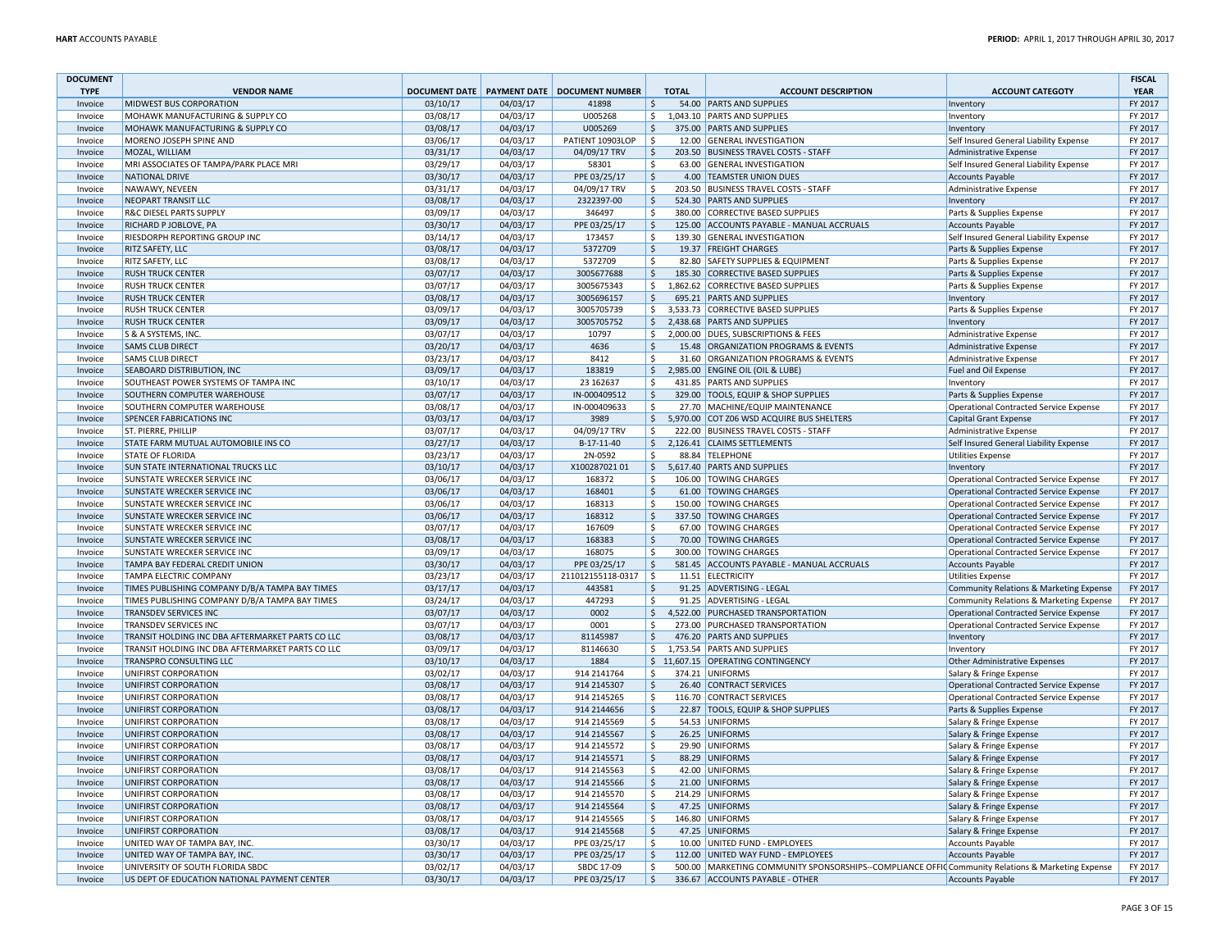| <b>DOCUMENT</b>    |                                                  |                      |                      |                                                |                           |                                                                                                   |                                               | <b>FISCAL</b>      |
|--------------------|--------------------------------------------------|----------------------|----------------------|------------------------------------------------|---------------------------|---------------------------------------------------------------------------------------------------|-----------------------------------------------|--------------------|
| <b>TYPE</b>        | <b>VENDOR NAME</b>                               |                      |                      | DOCUMENT DATE   PAYMENT DATE   DOCUMENT NUMBER | <b>TOTAL</b>              | <b>ACCOUNT DESCRIPTION</b>                                                                        | <b>ACCOUNT CATEGOTY</b>                       | <b>YEAR</b>        |
| Invoice            | MIDWEST BUS CORPORATION                          | 03/10/17             | 04/03/17             | 41898                                          | \$                        | 54.00 PARTS AND SUPPLIES                                                                          | Inventory                                     | FY 2017            |
| Invoice            | MOHAWK MANUFACTURING & SUPPLY CO                 | 03/08/17             | 04/03/17             | U005268                                        | \$                        | 1,043.10 PARTS AND SUPPLIES                                                                       | Inventory                                     | FY 2017            |
| Invoice            | MOHAWK MANUFACTURING & SUPPLY CO                 | 03/08/17             | 04/03/17             | U005269                                        | $\ddot{\mathsf{S}}$       | 375.00 PARTS AND SUPPLIES                                                                         | Inventory                                     | FY 2017            |
| Invoice            | MORENO JOSEPH SPINE AND<br>MOZAL, WILLIAM        | 03/06/17             | 04/03/17             | PATIENT 10903LOP                               | l \$                      | 12.00 GENERAL INVESTIGATION                                                                       | Self Insured General Liability Expense        | FY 2017            |
| Invoice            |                                                  | 03/31/17             | 04/03/17             | 04/09/17 TRV                                   | \$                        | 203.50 BUSINESS TRAVEL COSTS - STAFF                                                              | <b>Administrative Expense</b>                 | FY 2017            |
| Invoice            | MRI ASSOCIATES OF TAMPA/PARK PLACE MRI           | 03/29/17             | 04/03/17             | 58301                                          | \$                        | 63.00 GENERAL INVESTIGATION                                                                       | Self Insured General Liability Expense        | FY 2017            |
| Invoice            | NATIONAL DRIVE                                   | 03/30/17             | 04/03/17             | PPE 03/25/17                                   | $\ddot{\mathsf{S}}$       | 4.00 TEAMSTER UNION DUES                                                                          | <b>Accounts Payable</b>                       | FY 2017            |
| Invoice<br>Invoice | NAWAWY, NEVEEN<br>NEOPART TRANSIT LLC            | 03/31/17<br>03/08/17 | 04/03/17<br>04/03/17 | 04/09/17 TRV<br>2322397-00                     | $\ddot{\mathsf{S}}$<br>\$ | 203.50 BUSINESS TRAVEL COSTS - STAFF<br>524.30 PARTS AND SUPPLIES                                 | <b>Administrative Expense</b><br>Inventory    | FY 2017<br>FY 2017 |
| Invoice            | <b>R&amp;C DIESEL PARTS SUPPLY</b>               | 03/09/17             | 04/03/17             | 346497                                         | \$                        | 380.00 CORRECTIVE BASED SUPPLIES                                                                  | Parts & Supplies Expense                      | FY 2017            |
| Invoice            | RICHARD P JOBLOVE, PA                            | 03/30/17             | 04/03/17             | PPE 03/25/17                                   | $\zeta$                   | 125.00 ACCOUNTS PAYABLE - MANUAL ACCRUALS                                                         | <b>Accounts Payable</b>                       | FY 2017            |
| Invoice            | RIESDORPH REPORTING GROUP INC                    | 03/14/17             | 04/03/17             | 173457                                         | \$                        | 139.30 GENERAL INVESTIGATION                                                                      | Self Insured General Liability Expense        | FY 2017            |
| Invoice            | <b>RITZ SAFETY, LLC</b>                          | 03/08/17             | 04/03/17             | 5372709                                        | \$                        | 19.37 FREIGHT CHARGES                                                                             | Parts & Supplies Expense                      | FY 2017            |
| Invoice            | RITZ SAFETY, LLC                                 | 03/08/17             | 04/03/17             | 5372709                                        | \$                        | 82.80 SAFETY SUPPLIES & EQUIPMENT                                                                 | Parts & Supplies Expense                      | FY 2017            |
| Invoice            | <b>RUSH TRUCK CENTER</b>                         | 03/07/17             | 04/03/17             | 3005677688                                     | \$                        | 185.30 CORRECTIVE BASED SUPPLIES                                                                  | Parts & Supplies Expense                      | FY 2017            |
| Invoice            | <b>RUSH TRUCK CENTER</b>                         | 03/07/17             | 04/03/17             | 3005675343                                     | \$                        | 1,862.62 CORRECTIVE BASED SUPPLIES                                                                | Parts & Supplies Expense                      | FY 2017            |
| Invoice            | <b>RUSH TRUCK CENTER</b>                         | 03/08/17             | 04/03/17             | 3005696157                                     | \$                        | 695.21 PARTS AND SUPPLIES                                                                         | Inventory                                     | FY 2017            |
| Invoice            | <b>RUSH TRUCK CENTER</b>                         | 03/09/17             | 04/03/17             | 3005705739                                     | \$                        | 3,533.73 CORRECTIVE BASED SUPPLIES                                                                | Parts & Supplies Expense                      | FY 2017            |
| Invoice            | <b>RUSH TRUCK CENTER</b>                         | 03/09/17             | 04/03/17             | 3005705752                                     | S.                        | 2,438.68 PARTS AND SUPPLIES                                                                       | Inventory                                     | FY 2017            |
| Invoice            | S & A SYSTEMS, INC.                              | 03/07/17             | 04/03/17             | 10797                                          | \$                        | 2,000.00 DUES, SUBSCRIPTIONS & FEES                                                               | Administrative Expense                        | FY 2017            |
| Invoice            | <b>SAMS CLUB DIRECT</b>                          | 03/20/17             | 04/03/17             | 4636                                           | $\mathsf{S}$              | 15.48 ORGANIZATION PROGRAMS & EVENTS                                                              | <b>Administrative Expense</b>                 | FY 2017            |
| Invoice            | <b>SAMS CLUB DIRECT</b>                          | 03/23/17             | 04/03/17             | 8412                                           | \$                        | 31.60 ORGANIZATION PROGRAMS & EVENTS                                                              | Administrative Expense                        | FY 2017            |
| Invoice            | <b>SEABOARD DISTRIBUTION, INC</b>                | 03/09/17             | 04/03/17             | 183819                                         | S.                        | 2,985.00 ENGINE OIL (OIL & LUBE)                                                                  | Fuel and Oil Expense                          | FY 2017            |
| Invoice            | SOUTHEAST POWER SYSTEMS OF TAMPA INC             | 03/10/17             | 04/03/17             | 23 16 26 37                                    | \$                        | 431.85 PARTS AND SUPPLIES                                                                         | Inventory                                     | FY 2017            |
| Invoice            | SOUTHERN COMPUTER WAREHOUSE                      | 03/07/17             | 04/03/17             | IN-000409512                                   | $\ddot{\mathsf{S}}$       | 329.00 TOOLS, EQUIP & SHOP SUPPLIES                                                               | Parts & Supplies Expense                      | FY 2017            |
| Invoice            | SOUTHERN COMPUTER WAREHOUSE                      | 03/08/17             | 04/03/17             | IN-000409633                                   | \$                        | 27.70 MACHINE/EQUIP MAINTENANCE                                                                   | <b>Operational Contracted Service Expense</b> | FY 2017            |
| Invoice            | <b>SPENCER FABRICATIONS INC</b>                  | 03/03/17             | 04/03/17             | 3989                                           | $\mathsf{S}$              | 5,970.00 COT Z06 WSD ACQUIRE BUS SHELTERS                                                         | Capital Grant Expense                         | FY 2017            |
| Invoice            | ST. PIERRE, PHILLIP                              | 03/07/17             | 04/03/17             | 04/09/17 TRV                                   | <sup>5</sup>              | 222.00 BUSINESS TRAVEL COSTS - STAFF                                                              | Administrative Expense                        | FY 2017            |
| Invoice            | STATE FARM MUTUAL AUTOMOBILE INS CO              | 03/27/17             | 04/03/17             | B-17-11-40                                     | $\mathsf{S}$              | 2,126.41 CLAIMS SETTLEMENTS                                                                       | Self Insured General Liability Expense        | FY 2017            |
| Invoice            | STATE OF FLORIDA                                 | 03/23/17             | 04/03/17             | 2N-0592                                        | \$                        | 88.84 TELEPHONE                                                                                   | <b>Utilities Expense</b>                      | FY 2017            |
| Invoice            | <b>SUN STATE INTERNATIONAL TRUCKS LLC</b>        | 03/10/17             | 04/03/17             | X10028702101                                   | $\zeta$                   | 5,617.40 PARTS AND SUPPLIES                                                                       | Inventory                                     | FY 2017            |
| Invoice            | <b>SUNSTATE WRECKER SERVICE INC</b>              | 03/06/17             | 04/03/17             | 168372                                         | \$                        | 106.00 TOWING CHARGES                                                                             | <b>Operational Contracted Service Expense</b> | FY 2017            |
| Invoice            | <b>SUNSTATE WRECKER SERVICE INC</b>              | 03/06/17             | 04/03/17             | 168401                                         | $\ddot{\mathsf{S}}$       | 61.00 TOWING CHARGES                                                                              | Operational Contracted Service Expense        | FY 2017            |
| Invoice            | SUNSTATE WRECKER SERVICE INC                     | 03/06/17             | 04/03/17             | 168313                                         | \$                        | 150.00 TOWING CHARGES                                                                             | <b>Operational Contracted Service Expense</b> | FY 2017            |
| Invoice            | <b>SUNSTATE WRECKER SERVICE INC</b>              | 03/06/17             | 04/03/17             | 168312                                         | \$                        | 337.50 TOWING CHARGES                                                                             | Operational Contracted Service Expense        | FY 2017            |
| Invoice            | SUNSTATE WRECKER SERVICE INC                     | 03/07/17             | 04/03/17             | 167609                                         | $\ddot{\mathsf{S}}$       | 67.00 TOWING CHARGES                                                                              | Operational Contracted Service Expense        | FY 2017            |
| Invoice            | <b>SUNSTATE WRECKER SERVICE INC</b>              | 03/08/17             | 04/03/17             | 168383                                         | $\ddot{\mathsf{S}}$       | 70.00 TOWING CHARGES                                                                              | Operational Contracted Service Expense        | FY 2017            |
| Invoice            | SUNSTATE WRECKER SERVICE INC                     | 03/09/17             | 04/03/17             | 168075                                         | $\zeta$                   | 300.00 TOWING CHARGES                                                                             | Operational Contracted Service Expense        | FY 2017            |
| Invoice            | TAMPA BAY FEDERAL CREDIT UNION                   | 03/30/17             | 04/03/17             | PPE 03/25/17                                   | $\zeta$                   | 581.45 ACCOUNTS PAYABLE - MANUAL ACCRUALS                                                         | <b>Accounts Payable</b>                       | FY 2017            |
| Invoice            | TAMPA ELECTRIC COMPANY                           | 03/23/17             | 04/03/17             | 211012155118-0317                              | ۱\$                       | 11.51 ELECTRICITY                                                                                 | <b>Utilities Expense</b>                      | FY 2017            |
| Invoice            | TIMES PUBLISHING COMPANY D/B/A TAMPA BAY TIMES   | 03/17/17             | 04/03/17             | 443581                                         | $\zeta$                   | 91.25 ADVERTISING - LEGAL                                                                         | Community Relations & Marketing Expense       | FY 2017            |
| Invoice            | TIMES PUBLISHING COMPANY D/B/A TAMPA BAY TIMES   | 03/24/17             | 04/03/17             | 447293                                         | \$                        | 91.25 ADVERTISING - LEGAL                                                                         | Community Relations & Marketing Expense       | FY 2017            |
| Invoice            | <b>TRANSDEV SERVICES INC</b>                     | 03/07/17             | 04/03/17             | 0002                                           | \$                        | 4,522.00 PURCHASED TRANSPORTATION                                                                 | <b>Operational Contracted Service Expense</b> | FY 2017            |
| Invoice            | TRANSDEV SERVICES INC                            | 03/07/17             | 04/03/17             | 0001                                           | \$                        | 273.00 PURCHASED TRANSPORTATION                                                                   | <b>Operational Contracted Service Expense</b> | FY 2017            |
| Invoice            | TRANSIT HOLDING INC DBA AFTERMARKET PARTS CO LLC | 03/08/17             | 04/03/17             | 81145987                                       | \$                        | 476.20 PARTS AND SUPPLIES                                                                         | Inventory                                     | FY 2017            |
| Invoice            | TRANSIT HOLDING INC DBA AFTERMARKET PARTS CO LLC | 03/09/17             | 04/03/17             | 81146630                                       | \$                        | 1,753.54 PARTS AND SUPPLIES                                                                       | Inventory                                     | FY 2017            |
| Invoice            | TRANSPRO CONSULTING LLC                          | 03/10/17             | 04/03/17             | 1884                                           |                           | \$11,607.15 OPERATING CONTINGENCY                                                                 | <b>Other Administrative Expenses</b>          | FY 2017            |
| Invoice            | UNIFIRST CORPORATION                             | 03/02/17             | 04/03/17             | 914 2141764                                    | \$                        | 374.21 UNIFORMS                                                                                   | Salary & Fringe Expense                       | FY 2017            |
| Invoice            | UNIFIRST CORPORATION                             | 03/08/17             | 04/03/17             | 914 2145307                                    | \$                        | 26.40 CONTRACT SERVICES                                                                           | Operational Contracted Service Expense        | FY 2017            |
| Invoice            | UNIFIRST CORPORATION                             | 03/08/17             | 04/03/17             | 914 2145 265                                   | \$                        | 116.70 CONTRACT SERVICES                                                                          | Operational Contracted Service Expense        | FY 2017            |
| Invoice            | UNIFIRST CORPORATION                             | 03/08/17             | 04/03/17             | 914 214 4656                                   | $\zeta$                   | 22.87 TOOLS, EQUIP & SHOP SUPPLIES                                                                | Parts & Supplies Expense                      | FY 2017            |
| Invoice            | UNIFIRST CORPORATION                             | 03/08/17             | 04/03/17             | 914 2145569                                    | \$                        | 54.53 UNIFORMS                                                                                    | Salary & Fringe Expense                       | FY 2017            |
| Invoice            | UNIFIRST CORPORATION                             | 03/08/17             | 04/03/17             | 914 2145567                                    | \$                        | 26.25 UNIFORMS                                                                                    | Salary & Fringe Expense                       | FY 2017            |
| Invoice            | UNIFIRST CORPORATION                             | 03/08/17             | 04/03/17             | 914 2145572                                    | \$                        | 29.90 UNIFORMS                                                                                    | Salary & Fringe Expense                       | FY 2017            |
| Invoice            | UNIFIRST CORPORATION                             | 03/08/17             | 04/03/17             | 914 2145571                                    | \$                        | 88.29 UNIFORMS                                                                                    | Salary & Fringe Expense                       | FY 2017            |
| Invoice            | UNIFIRST CORPORATION                             | 03/08/17             | 04/03/17             | 914 2145563                                    | $\mathsf{\hat{S}}$        | 42.00 UNIFORMS                                                                                    | Salary & Fringe Expense                       | FY 2017            |
| Invoice            | UNIFIRST CORPORATION                             | 03/08/17             | 04/03/17             | 914 2145566                                    | \$                        | 21.00 UNIFORMS                                                                                    | Salary & Fringe Expense                       | FY 2017            |
| Invoice            | UNIFIRST CORPORATION                             | 03/08/17             | 04/03/17             | 914 2145570                                    | S.                        | 214.29 UNIFORMS                                                                                   | Salary & Fringe Expense                       | FY 2017            |
| Invoice            | UNIFIRST CORPORATION                             | 03/08/17             | 04/03/17             | 914 2145564                                    | \$                        | 47.25 UNIFORMS                                                                                    | Salary & Fringe Expense                       | FY 2017            |
| Invoice            | UNIFIRST CORPORATION                             | 03/08/17             | 04/03/17             | 914 2145565                                    | $\zeta$                   | 146.80 UNIFORMS                                                                                   | Salary & Fringe Expense                       | FY 2017            |
| Invoice            | UNIFIRST CORPORATION                             | 03/08/17             | 04/03/17             | 914 2145568                                    | $\zeta$                   | 47.25 UNIFORMS                                                                                    | Salary & Fringe Expense                       | FY 2017            |
| Invoice            | UNITED WAY OF TAMPA BAY, INC.                    | 03/30/17             | 04/03/17             | PPE 03/25/17                                   | \$                        | 10.00 UNITED FUND - EMPLOYEES                                                                     | <b>Accounts Payable</b>                       | FY 2017            |
| Invoice            | UNITED WAY OF TAMPA BAY, INC.                    | 03/30/17             | 04/03/17             | PPE 03/25/17                                   | $\zeta$                   | 112.00 UNITED WAY FUND - EMPLOYEES                                                                | <b>Accounts Payable</b>                       | FY 2017            |
| Invoice            | UNIVERSITY OF SOUTH FLORIDA SBDC                 | 03/02/17             | 04/03/17             | SBDC 17-09                                     | $\zeta$                   | 500.00 MARKETING COMMUNITY SPONSORSHIPS--COMPLIANCE OFFIC Community Relations & Marketing Expense |                                               | FY 2017            |
| Invoice            | US DEPT OF EDUCATION NATIONAL PAYMENT CENTER     | 03/30/17             | 04/03/17             | PPE 03/25/17                                   | $\ddot{\mathsf{S}}$       | 336.67 ACCOUNTS PAYABLE - OTHER                                                                   | <b>Accounts Payable</b>                       | FY 2017            |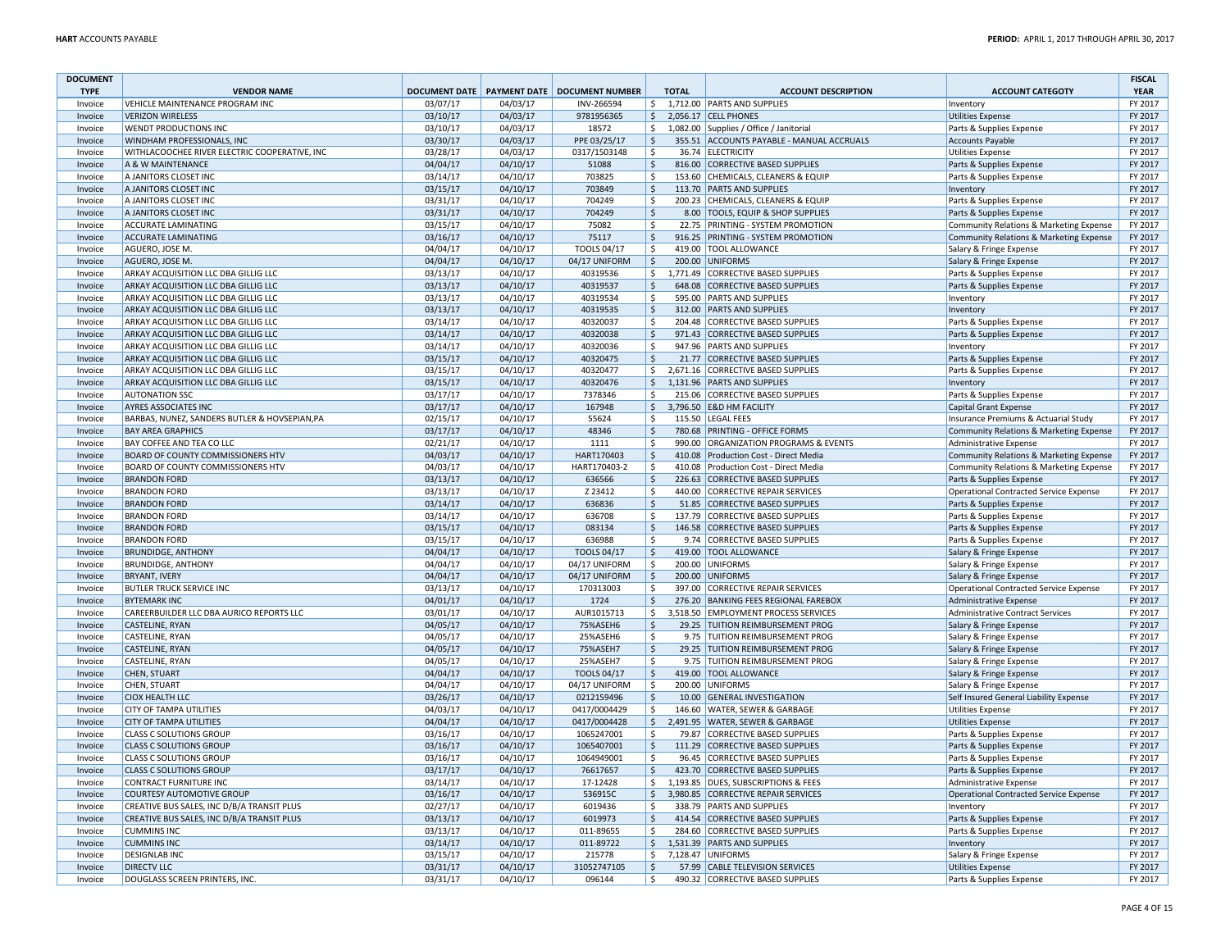| <b>DOCUMENT</b>    |                                               |          |          |                                                |                     |                                           |                                                      | <b>FISCAL</b> |
|--------------------|-----------------------------------------------|----------|----------|------------------------------------------------|---------------------|-------------------------------------------|------------------------------------------------------|---------------|
| <b>TYPE</b>        | <b>VENDOR NAME</b>                            |          |          | DOCUMENT DATE   PAYMENT DATE   DOCUMENT NUMBER | <b>TOTAL</b>        | <b>ACCOUNT DESCRIPTION</b>                | <b>ACCOUNT CATEGOTY</b>                              | <b>YEAR</b>   |
| Invoice            | VEHICLE MAINTENANCE PROGRAM INC               | 03/07/17 | 04/03/17 | INV-266594                                     | \$.                 | 1,712.00 PARTS AND SUPPLIES               | Inventory                                            | FY 2017       |
| Invoice            | <b>VERIZON WIRELESS</b>                       | 03/10/17 | 04/03/17 | 9781956365                                     | $\mathsf{S}$        | 2,056.17 CELL PHONES                      | <b>Utilities Expense</b>                             | FY 2017       |
| Invoice            | <b>WENDT PRODUCTIONS INC</b>                  | 03/10/17 | 04/03/17 | 18572                                          | S.                  | 1,082.00 Supplies / Office / Janitorial   | Parts & Supplies Expense                             | FY 2017       |
| Invoice            | WINDHAM PROFESSIONALS, INC                    | 03/30/17 | 04/03/17 | PPE 03/25/17                                   | $\zeta$             | 355.51 ACCOUNTS PAYABLE - MANUAL ACCRUALS | <b>Accounts Payable</b>                              | FY 2017       |
| Invoice            | WITHLACOOCHEE RIVER ELECTRIC COOPERATIVE, INC | 03/28/17 | 04/03/17 | 0317/1503148                                   | $\zeta$             | 36.74 ELECTRICITY                         | <b>Utilities Expense</b>                             | FY 2017       |
| Invoice            | A & W MAINTENANCE                             | 04/04/17 | 04/10/17 | 51088                                          | $\zeta$             | 816.00 CORRECTIVE BASED SUPPLIES          | Parts & Supplies Expense                             | FY 2017       |
| Invoice            | A JANITORS CLOSET INC                         | 03/14/17 | 04/10/17 | 703825                                         | $\zeta$             | 153.60 CHEMICALS, CLEANERS & EQUIF        | Parts & Supplies Expense                             | FY 2017       |
| Invoice            | A JANITORS CLOSET INC                         | 03/15/17 | 04/10/17 | 703849                                         | $\zeta$             | 113.70 PARTS AND SUPPLIES                 | Inventory                                            | FY 2017       |
| Invoice            | A JANITORS CLOSET INC                         | 03/31/17 | 04/10/17 | 704249                                         | $\mathsf{S}$        | 200.23 CHEMICALS, CLEANERS & EQUIP        | Parts & Supplies Expense                             | FY 2017       |
| Invoice            | A JANITORS CLOSET INC                         | 03/31/17 | 04/10/17 | 704249                                         | $\zeta$             | 8.00 TOOLS, EQUIP & SHOP SUPPLIES         | Parts & Supplies Expense                             | FY 2017       |
| Invoice            | <b>ACCURATE LAMINATING</b>                    | 03/15/17 | 04/10/17 | 75082                                          | $\mathsf{S}$        | 22.75 PRINTING - SYSTEM PROMOTION         | Community Relations & Marketing Expense              | FY 2017       |
| Invoice            | <b>ACCURATE LAMINATING</b>                    | 03/16/17 | 04/10/17 | 75117                                          | $\zeta$             | 916.25 PRINTING - SYSTEM PROMOTION        | Community Relations & Marketing Expense              | FY 2017       |
| Invoice            | AGUERO, JOSE M                                | 04/04/17 | 04/10/17 | TOOLS 04/17                                    | S.                  | 419.00 TOOL ALLOWANCE                     | Salary & Fringe Expense                              | FY 2017       |
| Invoice            | AGUERO, JOSE M                                | 04/04/17 | 04/10/17 | 04/17 UNIFORM                                  | $\ddot{\varsigma}$  | 200.00 UNIFORMS                           | Salary & Fringe Expense                              | FY 2017       |
| Invoice            | ARKAY ACQUISITION LLC DBA GILLIG LLC          | 03/13/17 | 04/10/17 | 40319536                                       | S.                  | 1,771.49 CORRECTIVE BASED SUPPLIES        | Parts & Supplies Expense                             | FY 2017       |
| Invoice            | ARKAY ACQUISITION LLC DBA GILLIG LLC          | 03/13/17 | 04/10/17 | 40319537                                       | $\zeta$             | 648.08 CORRECTIVE BASED SUPPLIES          | Parts & Supplies Expense                             | FY 2017       |
| Invoice            | ARKAY ACQUISITION LLC DBA GILLIG LLC          | 03/13/17 | 04/10/17 | 40319534                                       | \$                  | 595.00 PARTS AND SUPPLIES                 | Inventory                                            | FY 2017       |
| Invoice            | ARKAY ACQUISITION LLC DBA GILLIG LLC          | 03/13/17 | 04/10/17 | 40319535                                       | $\ddot{\mathsf{S}}$ | 312.00 PARTS AND SUPPLIES                 | Inventory                                            | FY 2017       |
| Invoice            | ARKAY ACQUISITION LLC DBA GILLIG LLC          | 03/14/17 | 04/10/17 | 40320037                                       | $\zeta$             | 204.48 CORRECTIVE BASED SUPPLIES          | Parts & Supplies Expense                             | FY 2017       |
| Invoice            | ARKAY ACQUISITION LLC DBA GILLIG LLC          | 03/14/17 | 04/10/17 | 40320038                                       | $\ddot{\mathsf{S}}$ | 971.43 CORRECTIVE BASED SUPPLIES          | Parts & Supplies Expense                             | FY 2017       |
| Invoice            | ARKAY ACQUISITION LLC DBA GILLIG LLC          | 03/14/17 | 04/10/17 | 40320036                                       | $\ddot{\mathsf{S}}$ | 947.96 PARTS AND SUPPLIES                 | Inventory                                            | FY 2017       |
| Invoice            | ARKAY ACQUISITION LLC DBA GILLIG LLC          | 03/15/17 | 04/10/17 | 40320475                                       | $\ddot{\mathsf{S}}$ | 21.77 CORRECTIVE BASED SUPPLIES           | Parts & Supplies Expense                             | FY 2017       |
| Invoice            | ARKAY ACQUISITION LLC DBA GILLIG LLC          | 03/15/17 | 04/10/17 | 40320477                                       | \$                  | 2,671.16 CORRECTIVE BASED SUPPLIES        | Parts & Supplies Expense                             | FY 2017       |
| Invoice            | ARKAY ACQUISITION LLC DBA GILLIG LLC          | 03/15/17 | 04/10/17 | 40320476                                       | $\mathsf{S}$        | 1,131.96 PARTS AND SUPPLIES               | Inventory                                            | FY 2017       |
| Invoice            | <b>AUTONATION SSC</b>                         | 03/17/17 | 04/10/17 | 7378346                                        | \$                  | 215.06 CORRECTIVE BASED SUPPLIES          | Parts & Supplies Expense                             | FY 2017       |
| Invoice            | <b>AYRES ASSOCIATES INC</b>                   | 03/17/17 | 04/10/17 | 167948                                         | $\zeta$             | 3,796.50 E&D HM FACILITY                  | <b>Capital Grant Expense</b>                         | FY 2017       |
| Invoice            | BARBAS, NUNEZ, SANDERS BUTLER & HOVSEPIAN, PA | 02/15/17 | 04/10/17 | 55624                                          | $\zeta$             | 115.50 LEGAL FEES                         | Insurance Premiums & Actuarial Study                 | FY 2017       |
| Invoice            | <b>BAY AREA GRAPHICS</b>                      | 03/17/17 | 04/10/17 | 48346                                          | $\zeta$             | 780.68 PRINTING - OFFICE FORMS            | Community Relations & Marketing Expense              | FY 2017       |
| Invoice            | BAY COFFEE AND TEA CO LLC                     | 02/21/17 | 04/10/17 | 1111                                           | $\zeta$             | 990.00 ORGANIZATION PROGRAMS & EVENTS     | Administrative Expense                               | FY 2017       |
| Invoice            | BOARD OF COUNTY COMMISSIONERS HTV             | 04/03/17 | 04/10/17 | HART170403                                     | $\zeta$             | 410.08 Production Cost - Direct Media     | Community Relations & Marketing Expense              | FY 2017       |
| Invoice            | BOARD OF COUNTY COMMISSIONERS HTV             | 04/03/17 | 04/10/17 | HART170403-2                                   | \$                  | 410.08 Production Cost - Direct Media     | Community Relations & Marketing Expense              | FY 2017       |
| Invoice            | <b>BRANDON FORD</b>                           | 03/13/17 | 04/10/17 | 636566                                         | $\mathsf{S}$        | 226.63 CORRECTIVE BASED SUPPLIES          | Parts & Supplies Expense                             | FY 2017       |
| Invoice            | <b>BRANDON FORD</b>                           | 03/13/17 | 04/10/17 | Z 23412                                        | $\mathsf{S}$        | 440.00 CORRECTIVE REPAIR SERVICES         | <b>Operational Contracted Service Expense</b>        | FY 2017       |
| Invoice            | <b>BRANDON FORD</b>                           | 03/14/17 | 04/10/17 | 636836                                         | $\mathsf{S}$        | 51.85 CORRECTIVE BASED SUPPLIES           |                                                      | FY 2017       |
| Invoice            | <b>BRANDON FORD</b>                           | 03/14/17 | 04/10/17 | 636708                                         | $\mathsf{S}$        | 137.79 CORRECTIVE BASED SUPPLIES          | Parts & Supplies Expense<br>Parts & Supplies Expense | FY 2017       |
|                    | <b>BRANDON FORD</b>                           | 03/15/17 | 04/10/17 | 083134                                         | $\zeta$             | 146.58 CORRECTIVE BASED SUPPLIES          | Parts & Supplies Expense                             | FY 2017       |
| Invoice<br>Invoice | <b>BRANDON FORD</b>                           | 03/15/17 | 04/10/17 | 636988                                         | $\mathsf{S}$        | 9.74 CORRECTIVE BASED SUPPLIES            | Parts & Supplies Expense                             | FY 2017       |
|                    | <b>BRUNDIDGE, ANTHONY</b>                     | 04/04/17 | 04/10/17 | <b>TOOLS 04/17</b>                             | $\zeta$             | 419.00 TOOL ALLOWANCE                     |                                                      | FY 2017       |
| Invoice            | <b>BRUNDIDGE, ANTHONY</b>                     | 04/04/17 | 04/10/17 | 04/17 UNIFORM                                  | l \$                | 200.00 UNIFORMS                           | Salary & Fringe Expense                              | FY 2017       |
| Invoice            | <b>BRYANT, IVERY</b>                          | 04/04/17 | 04/10/17 | 04/17 UNIFORM                                  | $\ddot{\varsigma}$  | 200.00 UNIFORMS                           | Salary & Fringe Expense                              | FY 2017       |
| Invoice            |                                               |          |          |                                                |                     |                                           | Salary & Fringe Expense                              |               |
| Invoice            | <b>BUTLER TRUCK SERVICE INC</b>               | 03/13/17 | 04/10/17 | 170313003                                      | \$                  | 397.00 CORRECTIVE REPAIR SERVICES         | Operational Contracted Service Expense               | FY 2017       |
| Invoice            | <b>BYTEMARK INC</b>                           | 04/01/17 | 04/10/17 | 1724                                           | $\ddot{\mathsf{S}}$ | 276.20 BANKING FEES REGIONAL FAREBOX      | Administrative Expense                               | FY 2017       |
| Invoice            | CAREERBUILDER LLC DBA AURICO REPORTS LLC      | 03/01/17 | 04/10/17 | AUR1015713                                     | \$                  | 3,518.50 EMPLOYMENT PROCESS SERVICES      | <b>Administrative Contract Services</b>              | FY 2017       |
| Invoice            | <b>CASTELINE, RYAN</b>                        | 04/05/17 | 04/10/17 | 75%ASEH6                                       | $\ddot{\mathsf{S}}$ | 29.25 TUITION REIMBURSEMENT PROG          | Salary & Fringe Expense                              | FY 2017       |
| Invoice            | CASTELINE, RYAN                               | 04/05/17 | 04/10/17 | 25%ASEH6                                       | $\zeta$             | 9.75 TUITION REIMBURSEMENT PROG           | Salary & Fringe Expense                              | FY 2017       |
| Invoice            | <b>CASTELINE, RYAN</b>                        | 04/05/17 | 04/10/17 | 75%ASEH7                                       | $\ddot{\mathsf{S}}$ | 29.25 TUITION REIMBURSEMENT PROG          | Salary & Fringe Expense                              | FY 2017       |
| Invoice            | CASTELINE, RYAN                               | 04/05/17 | 04/10/17 | 25%ASEH7                                       | $\zeta$             | 9.75 TUITION REIMBURSEMENT PROG           | Salary & Fringe Expense                              | FY 2017       |
| Invoice            | CHEN, STUART                                  | 04/04/17 | 04/10/17 | <b>TOOLS 04/17</b>                             | $\ddot{\varsigma}$  | 419.00 TOOL ALLOWANCE                     | Salary & Fringe Expense                              | FY 2017       |
| Invoice            | CHEN, STUART                                  | 04/04/17 | 04/10/17 | 04/17 UNIFORM                                  | $\zeta$             | 200.00 UNIFORMS                           | Salary & Fringe Expense                              | FY 2017       |
| Invoice            | <b>CIOX HEALTH LLC</b>                        | 03/26/17 | 04/10/17 | 0212159496                                     | $\zeta$             | 10.00 GENERAL INVESTIGATION               | Self Insured General Liability Expense               | FY 2017       |
| Invoice            | <b>CITY OF TAMPA UTILITIES</b>                | 04/03/17 | 04/10/17 | 0417/0004429                                   | $\ddot{\mathsf{S}}$ | 146.60 WATER, SEWER & GARBAGE             | <b>Utilities Expense</b>                             | FY 2017       |
| Invoice            | <b>CITY OF TAMPA UTILITIES</b>                | 04/04/17 | 04/10/17 | 0417/0004428                                   | $\ddot{\varsigma}$  | 2,491.95 WATER, SEWER & GARBAGE           | <b>Utilities Expense</b>                             | FY 2017       |
| Invoice            | <b>CLASS C SOLUTIONS GROUP</b>                | 03/16/17 | 04/10/17 | 1065247001                                     | $\zeta$             | 79.87 CORRECTIVE BASED SUPPLIES           | Parts & Supplies Expense                             | FY 2017       |
| Invoice            | <b>CLASS C SOLUTIONS GROUP</b>                | 03/16/17 | 04/10/17 | 1065407001                                     | $\zeta$             | 111.29 CORRECTIVE BASED SUPPLIES          | Parts & Supplies Expense                             | FY 2017       |
| Invoice            | <b>CLASS C SOLUTIONS GROUP</b>                | 03/16/17 | 04/10/17 | 1064949001                                     | \$                  | 96.45 CORRECTIVE BASED SUPPLIES           | Parts & Supplies Expense                             | FY 2017       |
| Invoice            | <b>CLASS C SOLUTIONS GROUP</b>                | 03/17/17 | 04/10/17 | 76617657                                       | $\mathsf{S}$        | 423.70 CORRECTIVE BASED SUPPLIES          | Parts & Supplies Expense                             | FY 2017       |
| Invoice            | <b>CONTRACT FURNITURE INC</b>                 | 03/14/17 | 04/10/17 | 17-12428                                       | S.                  | 1.193.85 DUES, SUBSCRIPTIONS & FEES       | Administrative Expense                               | FY 2017       |
| Invoice            | <b>COURTESY AUTOMOTIVE GROUP</b>              | 03/16/17 | 04/10/17 | 536915C                                        | S.                  | 3,980.85 CORRECTIVE REPAIR SERVICES       | Operational Contracted Service Expense               | FY 2017       |
| Invoice            | CREATIVE BUS SALES, INC D/B/A TRANSIT PLUS    | 02/27/17 | 04/10/17 | 6019436                                        | $\mathsf{S}$        | 338.79 PARTS AND SUPPLIES                 | Inventory                                            | FY 2017       |
| Invoice            | CREATIVE BUS SALES, INC D/B/A TRANSIT PLUS    | 03/13/17 | 04/10/17 | 6019973                                        | $\ddot{\mathsf{S}}$ | 414.54 CORRECTIVE BASED SUPPLIES          | Parts & Supplies Expense                             | FY 2017       |
| Invoice            | <b>CUMMINS INC</b>                            | 03/13/17 | 04/10/17 | 011-89655                                      | \$                  | 284.60 CORRECTIVE BASED SUPPLIES          | Parts & Supplies Expense                             | FY 2017       |
| Invoice            | <b>CUMMINS INC</b>                            | 03/14/17 | 04/10/17 | 011-89722                                      | $\ddot{\mathsf{S}}$ | 1,531.39 PARTS AND SUPPLIES               | Inventory                                            | FY 2017       |
| Invoice            | <b>DESIGNLAB INC</b>                          | 03/15/17 | 04/10/17 | 215778                                         | S.                  | 7,128.47 UNIFORMS                         | Salary & Fringe Expense                              | FY 2017       |
| Invoice            | <b>DIRECTV LLC</b>                            | 03/31/17 | 04/10/17 | 31052747105                                    | $\ddot{\mathsf{S}}$ | 57.99 CABLE TELEVISION SERVICES           | <b>Utilities Expense</b>                             | FY 2017       |
| Invoice            | DOUGLASS SCREEN PRINTERS, INC                 | 03/31/17 | 04/10/17 | 096144                                         | $\zeta$             | 490.32 CORRECTIVE BASED SUPPLIES          | Parts & Supplies Expense                             | FY 2017       |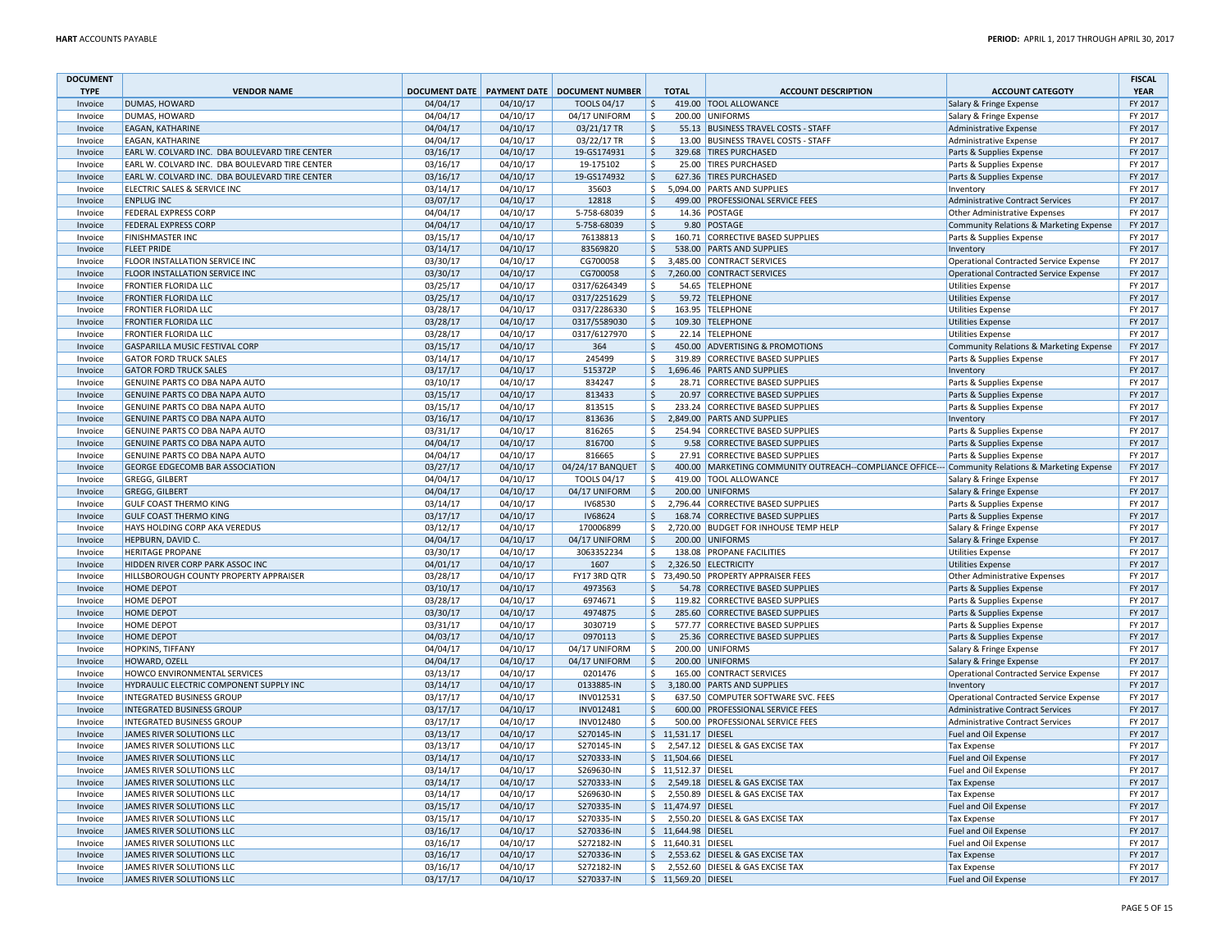| <b>DOCUMENT</b>    |                                                               |                      |                      |                                                |                                     |                                                                                                   |                                                      | <b>FISCAL</b>      |
|--------------------|---------------------------------------------------------------|----------------------|----------------------|------------------------------------------------|-------------------------------------|---------------------------------------------------------------------------------------------------|------------------------------------------------------|--------------------|
| <b>TYPE</b>        | <b>VENDOR NAME</b>                                            |                      |                      | DOCUMENT DATE   PAYMENT DATE   DOCUMENT NUMBER | <b>TOTAL</b>                        | <b>ACCOUNT DESCRIPTION</b>                                                                        | <b>ACCOUNT CATEGOTY</b>                              | <b>YEAR</b>        |
| Invoice            | DUMAS, HOWARD                                                 | 04/04/17             | 04/10/17             | <b>TOOLS 04/17</b>                             | $\zeta$                             | 419.00 TOOL ALLOWANCE                                                                             | Salary & Fringe Expense                              | FY 2017            |
| Invoice            | DUMAS, HOWARD                                                 | 04/04/17             | 04/10/17             | 04/17 UNIFORM                                  | \$                                  | 200.00 UNIFORMS                                                                                   | Salary & Fringe Expense                              | FY 2017            |
| Invoice            | EAGAN, KATHARINE<br>EAGAN, KATHARINE                          | 04/04/17             | 04/10/17             | 03/21/17 TR                                    | $\ddot{\mathsf{S}}$                 | 55.13 BUSINESS TRAVEL COSTS - STAFF                                                               | Administrative Expense                               | FY 2017            |
| Invoice            | EARL W. COLVARD INC. DBA BOULEVARD TIRE CENTER                | 04/04/17<br>03/16/17 | 04/10/17<br>04/10/17 | 03/22/17 TR                                    | \$                                  | 13.00 BUSINESS TRAVEL COSTS - STAFF<br>329.68 TIRES PURCHASED                                     | <b>Administrative Expense</b>                        | FY 2017            |
| Invoice            | EARL W. COLVARD INC. DBA BOULEVARD TIRE CENTER                | 03/16/17             | 04/10/17             | 19-GS174931<br>19-175102                       | \$<br>\$                            | 25.00 TIRES PURCHASED                                                                             | Parts & Supplies Expense<br>Parts & Supplies Expense | FY 2017<br>FY 2017 |
| Invoice<br>Invoice | EARL W. COLVARD INC. DBA BOULEVARD TIRE CENTER                | 03/16/17             | 04/10/17             | 19-GS174932                                    | $\zeta$                             | 627.36 TIRES PURCHASED                                                                            | Parts & Supplies Expense                             | FY 2017            |
| Invoice            | ELECTRIC SALES & SERVICE INC                                  | 03/14/17             | 04/10/17             | 35603                                          | \$                                  | 5,094.00 PARTS AND SUPPLIES                                                                       | Inventory                                            | FY 2017            |
| Invoice            | <b>ENPLUG INC</b>                                             | 03/07/17             | 04/10/17             | 12818                                          | \$                                  | 499.00 PROFESSIONAL SERVICE FEES                                                                  | <b>Administrative Contract Services</b>              | FY 2017            |
| Invoice            | <b>FEDERAL EXPRESS CORP</b>                                   | 04/04/17             | 04/10/17             | 5-758-68039                                    | \$                                  | 14.36 POSTAGE                                                                                     | <b>Other Administrative Expenses</b>                 | FY 2017            |
| Invoice            | <b>FEDERAL EXPRESS CORP</b>                                   | 04/04/17             | 04/10/17             | 5-758-68039                                    | $\zeta$                             | 9.80 POSTAGE                                                                                      | Community Relations & Marketing Expense              | FY 2017            |
| Invoice            | <b>FINISHMASTER INC</b>                                       | 03/15/17             | 04/10/17             | 76138813                                       | $\zeta$                             | 160.71 CORRECTIVE BASED SUPPLIES                                                                  | Parts & Supplies Expense                             | FY 2017            |
| Invoice            | <b>FLEET PRIDE</b>                                            | 03/14/17             | 04/10/17             | 83569820                                       | \$                                  | 538.00 PARTS AND SUPPLIES                                                                         | Inventory                                            | FY 2017            |
| Invoice            | FLOOR INSTALLATION SERVICE INC                                | 03/30/17             | 04/10/17             | CG700058                                       | S.                                  | 3,485.00 CONTRACT SERVICES                                                                        | Operational Contracted Service Expense               | FY 2017            |
| Invoice            | FLOOR INSTALLATION SERVICE INC                                | 03/30/17             | 04/10/17             | CG700058                                       | \$                                  | 7,260.00 CONTRACT SERVICES                                                                        | Operational Contracted Service Expense               | FY 2017            |
| Invoice            | <b>FRONTIER FLORIDA LLC</b>                                   | 03/25/17             | 04/10/17             | 0317/6264349                                   | \$                                  | 54.65 TELEPHONE                                                                                   | <b>Utilities Expense</b>                             | FY 2017            |
| Invoice            | FRONTIER FLORIDA LLC                                          | 03/25/17             | 04/10/17             | 0317/2251629                                   | \$                                  | 59.72 TELEPHONE                                                                                   | <b>Utilities Expense</b>                             | FY 2017            |
| Invoice            | FRONTIER FLORIDA LLC                                          | 03/28/17             | 04/10/17             | 0317/2286330                                   | \$                                  | 163.95 TELEPHONE                                                                                  | <b>Utilities Expense</b>                             | FY 2017            |
| Invoice            | <b>FRONTIER FLORIDA LLC</b>                                   | 03/28/17             | 04/10/17             | 0317/5589030                                   | $\zeta$                             | 109.30 TELEPHONE                                                                                  | <b>Utilities Expense</b>                             | FY 2017            |
| Invoice            | <b>FRONTIER FLORIDA LLC</b>                                   | 03/28/17             | 04/10/17             | 0317/6127970                                   | \$                                  | 22.14 TELEPHONE                                                                                   | <b>Utilities Expense</b>                             | FY 2017            |
| Invoice            | GASPARILLA MUSIC FESTIVAL CORP                                | 03/15/17             | 04/10/17             | 364                                            | $\mathsf{S}$                        | 450.00 ADVERTISING & PROMOTIONS                                                                   | Community Relations & Marketing Expense              | FY 2017            |
| Invoice            | <b>GATOR FORD TRUCK SALES</b>                                 | 03/14/17             | 04/10/17             | 245499                                         | \$                                  | 319.89 CORRECTIVE BASED SUPPLIES                                                                  | Parts & Supplies Expense                             | FY 2017            |
| Invoice            | <b>GATOR FORD TRUCK SALES</b>                                 | 03/17/17             | 04/10/17             | 515372P                                        | S.                                  | 1,696.46 PARTS AND SUPPLIES                                                                       | Inventory                                            | FY 2017            |
| Invoice            | GENUINE PARTS CO DBA NAPA AUTO                                | 03/10/17             | 04/10/17             | 834247                                         | \$                                  | 28.71 CORRECTIVE BASED SUPPLIES                                                                   | Parts & Supplies Expense                             | FY 2017            |
| Invoice            | GENUINE PARTS CO DBA NAPA AUTO                                | 03/15/17             | 04/10/17             | 813433                                         | $\ddot{\mathsf{S}}$                 | 20.97 CORRECTIVE BASED SUPPLIES                                                                   | Parts & Supplies Expense                             | FY 2017            |
| Invoice            | GENUINE PARTS CO DBA NAPA AUTO                                | 03/15/17             | 04/10/17             | 813515                                         | \$                                  | 233.24 CORRECTIVE BASED SUPPLIES                                                                  | Parts & Supplies Expense                             | FY 2017            |
| Invoice            | GENUINE PARTS CO DBA NAPA AUTO                                | 03/16/17             | 04/10/17             | 813636                                         | $\ddot{\mathsf{S}}$                 | 2,849.00 PARTS AND SUPPLIES                                                                       | Inventory                                            | FY 2017            |
| Invoice            | GENUINE PARTS CO DBA NAPA AUTO                                | 03/31/17             | 04/10/17             | 816265                                         | \$                                  | 254.94 CORRECTIVE BASED SUPPLIES                                                                  | Parts & Supplies Expense                             | FY 2017            |
| Invoice            | GENUINE PARTS CO DBA NAPA AUTO                                | 04/04/17             | 04/10/17             | 816700                                         | $\zeta$                             | 9.58 CORRECTIVE BASED SUPPLIES                                                                    | Parts & Supplies Expense                             | FY 2017            |
| Invoice            | GENUINE PARTS CO DBA NAPA AUTO                                | 04/04/17             | 04/10/17             | 816665                                         | \$                                  | 27.91 CORRECTIVE BASED SUPPLIES                                                                   | Parts & Supplies Expense                             | FY 2017            |
| Invoice            | GEORGE EDGECOMB BAR ASSOCIATION                               | 03/27/17             | 04/10/17             | 04/24/17 BANQUET                               | $\frac{1}{2}$                       | 400.00 MARKETING COMMUNITY OUTREACH--COMPLIANCE OFFICE--- Community Relations & Marketing Expense |                                                      | FY 2017            |
| Invoice            | GREGG, GILBERT                                                | 04/04/17             | 04/10/17             | TOOLS 04/17                                    | \$                                  | 419.00 TOOL ALLOWANCE                                                                             | Salary & Fringe Expense                              | FY 2017            |
| Invoice            | <b>GREGG, GILBERT</b>                                         | 04/04/17             | 04/10/17             | 04/17 UNIFORM                                  | $\ddot{\mathsf{S}}$                 | 200.00 UNIFORMS                                                                                   | Salary & Fringe Expense                              | FY 2017            |
| Invoice            | <b>GULF COAST THERMO KING</b>                                 | 03/14/17             | 04/10/17             | IV68530                                        | \$                                  | 2,796.44 CORRECTIVE BASED SUPPLIES                                                                | Parts & Supplies Expense                             | FY 2017            |
| Invoice            | <b>GULF COAST THERMO KING</b>                                 | 03/17/17             | 04/10/17             | IV68624                                        | \$                                  | 168.74 CORRECTIVE BASED SUPPLIES                                                                  | Parts & Supplies Expense                             | FY 2017            |
| Invoice            | HAYS HOLDING CORP AKA VEREDUS                                 | 03/12/17             | 04/10/17             | 170006899                                      | \$                                  | 2,720.00 BUDGET FOR INHOUSE TEMP HELP                                                             | Salary & Fringe Expense                              | FY 2017            |
| Invoice            | HEPBURN, DAVID C.                                             | 04/04/17             | 04/10/17             | 04/17 UNIFORM                                  | $\zeta$                             | 200.00 UNIFORMS                                                                                   | Salary & Fringe Expense                              | FY 2017            |
| Invoice            | <b>HERITAGE PROPANE</b>                                       | 03/30/17             | 04/10/17             | 3063352234                                     | $\zeta$                             | 138.08 PROPANE FACILITIES                                                                         | <b>Utilities Expense</b>                             | FY 2017            |
| Invoice            | HIDDEN RIVER CORP PARK ASSOC INC                              | 04/01/17             | 04/10/17             | 1607                                           | $\zeta$                             | 2,326.50 ELECTRICITY                                                                              | <b>Utilities Expense</b>                             | FY 2017            |
| Invoice            | HILLSBOROUGH COUNTY PROPERTY APPRAISER                        | 03/28/17             | 04/10/17             | FY17 3RD QTR                                   |                                     | \$73,490.50 PROPERTY APPRAISER FEES                                                               | <b>Other Administrative Expenses</b>                 | FY 2017            |
| Invoice            | <b>HOME DEPOT</b>                                             | 03/10/17             | 04/10/17             | 4973563                                        | \$                                  | 54.78 CORRECTIVE BASED SUPPLIES                                                                   | Parts & Supplies Expense                             | FY 2017            |
| Invoice            | HOME DEPOT                                                    | 03/28/17             | 04/10/17             | 6974671                                        | \$                                  | 119.82 CORRECTIVE BASED SUPPLIES                                                                  | Parts & Supplies Expense                             | FY 2017            |
| Invoice            | <b>HOME DEPOT</b>                                             | 03/30/17             | 04/10/17             | 4974875                                        | $\zeta$                             | 285.60 CORRECTIVE BASED SUPPLIES                                                                  | Parts & Supplies Expense                             | FY 2017            |
| Invoice            | HOME DEPOT                                                    | 03/31/17             | 04/10/17             | 3030719                                        | $\zeta$                             | 577.77 CORRECTIVE BASED SUPPLIES                                                                  | Parts & Supplies Expense                             | FY 2017            |
| Invoice            | <b>HOME DEPOT</b>                                             | 04/03/17             | 04/10/17             | 0970113                                        | \$                                  | 25.36 CORRECTIVE BASED SUPPLIES                                                                   | Parts & Supplies Expense                             | FY 2017            |
| Invoice            | HOPKINS, TIFFANY                                              | 04/04/17             | 04/10/17             | 04/17 UNIFORM                                  | \$                                  | 200.00 UNIFORMS                                                                                   | Salary & Fringe Expense                              | FY 2017            |
| Invoice            | HOWARD, OZELL                                                 | 04/04/17             | 04/10/17             | 04/17 UNIFORM                                  | $\zeta$                             | 200.00 UNIFORMS                                                                                   | Salary & Fringe Expense                              | FY 2017            |
| Invoice            | HOWCO ENVIRONMENTAL SERVICES                                  | 03/13/17             | 04/10/17             | 0201476                                        | \$                                  | 165.00 CONTRACT SERVICES                                                                          | <b>Operational Contracted Service Expense</b>        | FY 2017            |
| Invoice            | HYDRAULIC ELECTRIC COMPONENT SUPPLY INC                       | 03/14/17             | 04/10/17             | 0133885-IN                                     | \$                                  | 3,180.00 PARTS AND SUPPLIES                                                                       | Inventory                                            | FY 2017            |
| Invoice            | <b>INTEGRATED BUSINESS GROUP</b>                              | 03/17/17             | 04/10/17             | INV012531                                      | \$                                  | 637.50 COMPUTER SOFTWARE SVC. FEES                                                                | Operational Contracted Service Expense               | FY 2017            |
| Invoice            | <b>INTEGRATED BUSINESS GROUP</b>                              | 03/17/17             | 04/10/17             | INV012481                                      | $\zeta$                             | 600.00 PROFESSIONAL SERVICE FEES                                                                  | Administrative Contract Services                     | FY 2017            |
| Invoice            | <b>INTEGRATED BUSINESS GROUP</b>                              | 03/17/17             | 04/10/17             | INV012480                                      | S.                                  | 500.00 PROFESSIONAL SERVICE FEES                                                                  | <b>Administrative Contract Services</b>              | FY 2017            |
| Invoice            | JAMES RIVER SOLUTIONS LLC                                     | 03/13/17             | 04/10/17             | S270145-IN                                     | \$ 11,531.17 DIESEL                 |                                                                                                   | Fuel and Oil Expense                                 | FY 2017            |
| Invoice            | JAMES RIVER SOLUTIONS LLC                                     | 03/13/17             | 04/10/17             | S270145-IN                                     | S.                                  | 2,547.12 DIESEL & GAS EXCISE TAX                                                                  | <b>Tax Expense</b>                                   | FY 2017<br>FY 2017 |
| Invoice            | JAMES RIVER SOLUTIONS LLC                                     | 03/14/17             | 04/10/17             | S270333-IN                                     | \$ 11,504.66 DIESEL                 |                                                                                                   | Fuel and Oil Expense                                 | FY 2017            |
| Invoice            | JAMES RIVER SOLUTIONS LLC<br>JAMES RIVER SOLUTIONS LLC        | 03/14/17<br>03/14/17 | 04/10/17<br>04/10/17 | S269630-IN<br>S270333-IN                       | \$ 11,512.37 DIESEL<br>$\mathsf{S}$ | 2,549.18 DIESEL & GAS EXCISE TAX                                                                  | Fuel and Oil Expense<br><b>Tax Expense</b>           | FY 2017            |
| Invoice            |                                                               | 03/14/17             | 04/10/17             |                                                |                                     | 2,550.89 DIESEL & GAS EXCISE TAX                                                                  |                                                      | FY 2017            |
| Invoice<br>Invoice | JAMES RIVER SOLUTIONS LLC<br><b>JAMES RIVER SOLUTIONS LLC</b> | 03/15/17             | 04/10/17             | S269630-IN<br>S270335-IN                       | S.<br>\$ 11,474.97 DIESEL           |                                                                                                   | <b>Tax Expense</b><br><b>Fuel and Oil Expense</b>    | FY 2017            |
|                    | JAMES RIVER SOLUTIONS LLC                                     | 03/15/17             | 04/10/17             | S270335-IN                                     | \$                                  | 2,550.20 DIESEL & GAS EXCISE TAX                                                                  |                                                      | FY 2017            |
| Invoice<br>Invoice | JAMES RIVER SOLUTIONS LLC                                     | 03/16/17             | 04/10/17             | S270336-IN                                     | \$ 11,644.98 DIESEL                 |                                                                                                   | <b>Tax Expense</b><br>Fuel and Oil Expense           | FY 2017            |
| Invoice            | JAMES RIVER SOLUTIONS LLC                                     | 03/16/17             | 04/10/17             | S272182-IN                                     | \$ 11,640.31 DIESEL                 |                                                                                                   | Fuel and Oil Expense                                 | FY 2017            |
| Invoice            | JAMES RIVER SOLUTIONS LLC                                     | 03/16/17             | 04/10/17             | S270336-IN                                     |                                     | \$ 2,553.62 DIESEL & GAS EXCISE TAX                                                               | <b>Tax Expense</b>                                   | FY 2017            |
| Invoice            | JAMES RIVER SOLUTIONS LLC                                     | 03/16/17             | 04/10/17             | S272182-IN                                     | \$                                  | 2,552.60 DIESEL & GAS EXCISE TAX                                                                  | <b>Tax Expense</b>                                   | FY 2017            |
| Invoice            | JAMES RIVER SOLUTIONS LLC                                     | 03/17/17             | 04/10/17             | S270337-IN                                     | \$ 11,569.20 DIESEL                 |                                                                                                   | Fuel and Oil Expense                                 | FY 2017            |
|                    |                                                               |                      |                      |                                                |                                     |                                                                                                   |                                                      |                    |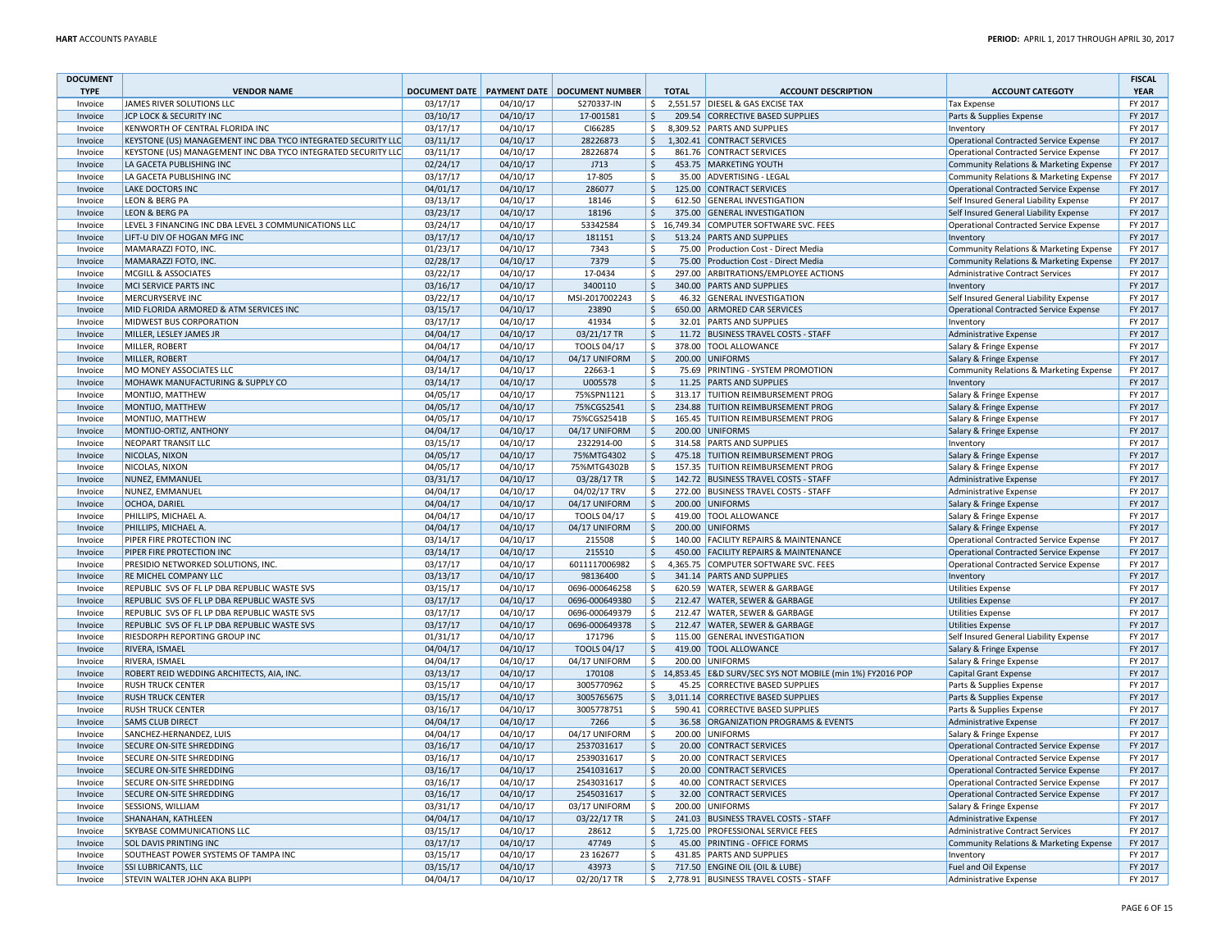| <b>DOCUMENT</b>    | <b>VENDOR NAME</b>                                                                           |                      |                      |                                                |                     | <b>TOTAL</b> | <b>ACCOUNT DESCRIPTION</b>                                                 |                                                                    | <b>FISCAL</b><br><b>YEAR</b> |
|--------------------|----------------------------------------------------------------------------------------------|----------------------|----------------------|------------------------------------------------|---------------------|--------------|----------------------------------------------------------------------------|--------------------------------------------------------------------|------------------------------|
| <b>TYPE</b>        | JAMES RIVER SOLUTIONS LLC                                                                    | 03/17/17             | 04/10/17             | DOCUMENT DATE   PAYMENT DATE   DOCUMENT NUMBER |                     |              | 2,551.57 DIESEL & GAS EXCISE TAX                                           | <b>ACCOUNT CATEGOTY</b>                                            | FY 2017                      |
| Invoice<br>Invoice | JCP LOCK & SECURITY INC                                                                      | 03/10/17             | 04/10/17             | S270337-IN<br>17-001581                        | -S<br>$\zeta$       |              | 209.54 CORRECTIVE BASED SUPPLIES                                           | <b>Tax Expense</b><br>Parts & Supplies Expense                     | FY 2017                      |
| Invoice            | KENWORTH OF CENTRAL FLORIDA INC                                                              | 03/17/17             | 04/10/17             | CI66285                                        | \$                  |              | 8,309.52 PARTS AND SUPPLIES                                                | Inventory                                                          | FY 2017                      |
| Invoice            | KEYSTONE (US) MANAGEMENT INC DBA TYCO INTEGRATED SECURITY LLC                                | 03/11/17             | 04/10/17             | 28226873                                       | \$                  |              | 1,302.41 CONTRACT SERVICES                                                 | <b>Operational Contracted Service Expense</b>                      | FY 2017                      |
| Invoice            | KEYSTONE (US) MANAGEMENT INC DBA TYCO INTEGRATED SECURITY LLC                                | 03/11/17             | 04/10/17             | 28226874                                       | \$                  |              | 861.76 CONTRACT SERVICES                                                   | Operational Contracted Service Expense                             | FY 2017                      |
| Invoice            | LA GACETA PUBLISHING INC                                                                     | 02/24/17             | 04/10/17             | J713                                           | $\zeta$             |              | 453.75 MARKETING YOUTH                                                     | <b>Community Relations &amp; Marketing Expense</b>                 | FY 2017                      |
| Invoice            | LA GACETA PUBLISHING INC                                                                     | 03/17/17             | 04/10/17             | 17-805                                         | \$                  |              | 35.00 ADVERTISING - LEGAL                                                  | Community Relations & Marketing Expense                            | FY 2017                      |
| Invoice            | LAKE DOCTORS INC                                                                             | 04/01/17             | 04/10/17             | 286077                                         | $\zeta$             |              | 125.00 CONTRACT SERVICES                                                   | Operational Contracted Service Expense                             | FY 2017                      |
| Invoice            | LEON & BERG PA                                                                               | 03/13/17             | 04/10/17             | 18146                                          | \$                  |              | 612.50 GENERAL INVESTIGATION                                               | Self Insured General Liability Expense                             | FY 2017                      |
| Invoice            | LEON & BERG PA                                                                               | 03/23/17             | 04/10/17             | 18196                                          | $\zeta$             |              | 375.00 GENERAL INVESTIGATION                                               | Self Insured General Liability Expense                             | FY 2017                      |
| Invoice            | LEVEL 3 FINANCING INC DBA LEVEL 3 COMMUNICATIONS LLC                                         | 03/24/17             | 04/10/17             | 53342584                                       |                     |              | \$16,749.34 COMPUTER SOFTWARE SVC. FEES                                    | <b>Operational Contracted Service Expense</b>                      | FY 2017                      |
| Invoice            | LIFT-U DIV OF HOGAN MFG INC                                                                  | 03/17/17             | 04/10/17             | 181151                                         | $\zeta$             |              | 513.24 PARTS AND SUPPLIES                                                  | Inventory                                                          | FY 2017                      |
| Invoice            | MAMARAZZI FOTO, INC                                                                          | 01/23/17             | 04/10/17             | 7343                                           | $\zeta$             |              | 75.00 Production Cost - Direct Media                                       | Community Relations & Marketing Expense                            | FY 2017                      |
| Invoice            | MAMARAZZI FOTO, INC.                                                                         | 02/28/17             | 04/10/17             | 7379                                           | $\zeta$             |              | 75.00 Production Cost - Direct Media                                       | Community Relations & Marketing Expense                            | FY 2017                      |
| Invoice            | <b>MCGILL &amp; ASSOCIATES</b>                                                               | 03/22/17             | 04/10/17             | 17-0434                                        | \$                  |              | 297.00 ARBITRATIONS/EMPLOYEE ACTIONS                                       | <b>Administrative Contract Services</b>                            | FY 2017                      |
| Invoice            | MCI SERVICE PARTS INC                                                                        | 03/16/17             | 04/10/17             | 3400110                                        | $\zeta$             |              | 340.00 PARTS AND SUPPLIES                                                  | Inventory                                                          | FY 2017                      |
| Invoice            | MERCURYSERVE INC                                                                             | 03/22/17             | 04/10/17             | MSI-2017002243                                 | \$                  |              | 46.32 GENERAL INVESTIGATION                                                | Self Insured General Liability Expense                             | FY 2017                      |
| Invoice            | MID FLORIDA ARMORED & ATM SERVICES INC                                                       | 03/15/17             | 04/10/17             | 23890                                          | $\zeta$             |              | 650.00 ARMORED CAR SERVICES                                                | <b>Operational Contracted Service Expense</b>                      | FY 2017                      |
| Invoice            | <b>MIDWEST BUS CORPORATION</b>                                                               | 03/17/17             | 04/10/17             | 41934                                          | \$                  |              | 32.01 PARTS AND SUPPLIES                                                   | Inventory                                                          | FY 2017                      |
| Invoice            | MILLER, LESLEY JAMES JR                                                                      | 04/04/17             | 04/10/17             | 03/21/17 TR                                    | $\zeta$<br>Ŝ.       |              | 11.72 BUSINESS TRAVEL COSTS - STAFF                                        | Administrative Expense                                             | FY 2017                      |
| Invoice            | MILLER, ROBERT                                                                               | 04/04/17             | 04/10/17<br>04/10/17 | TOOLS 04/17<br>04/17 UNIFORM                   | $\zeta$             |              | 378.00 TOOL ALLOWANCE                                                      | Salary & Fringe Expense                                            | FY 2017<br>FY 2017           |
| Invoice<br>Invoice | MILLER, ROBERT<br>MO MONEY ASSOCIATES LLC                                                    | 04/04/17<br>03/14/17 | 04/10/17             | 22663-1                                        | \$                  |              | 200.00 UNIFORMS<br>75.69 PRINTING - SYSTEM PROMOTION                       | Salary & Fringe Expense<br>Community Relations & Marketing Expense | FY 2017                      |
| Invoice            | MOHAWK MANUFACTURING & SUPPLY CO                                                             | 03/14/17             | 04/10/17             | U005578                                        | $\zeta$             |              | 11.25 PARTS AND SUPPLIES                                                   | Inventory                                                          | FY 2017                      |
| Invoice            | MONTIJO, MATTHEW                                                                             | 04/05/17             | 04/10/17             | 75%SPN1121                                     | \$                  |              | 313.17 TUITION REIMBURSEMENT PROG                                          | Salary & Fringe Expense                                            | FY 2017                      |
| Invoice            | MONTIJO, MATTHEW                                                                             | 04/05/17             | 04/10/17             | 75%CGS2541                                     | $\zeta$             |              | 234.88 TUITION REIMBURSEMENT PROG                                          | Salary & Fringe Expense                                            | FY 2017                      |
| Invoice            | MONTIJO, MATTHEW                                                                             | 04/05/17             | 04/10/17             | 75%CGS2541B                                    | \$                  |              | 165.45 TUITION REIMBURSEMENT PROG                                          | Salary & Fringe Expense                                            | FY 2017                      |
| Invoice            | MONTIJO-ORTIZ, ANTHONY                                                                       | 04/04/17             | 04/10/17             | 04/17 UNIFORM                                  | $\ddot{\mathsf{S}}$ |              | 200.00 UNIFORMS                                                            | Salary & Fringe Expense                                            | FY 2017                      |
| Invoice            | NEOPART TRANSIT LLC                                                                          | 03/15/17             | 04/10/17             | 2322914-00                                     | \$                  |              | 314.58 PARTS AND SUPPLIES                                                  | Inventory                                                          | FY 2017                      |
| Invoice            | NICOLAS, NIXON                                                                               | 04/05/17             | 04/10/17             | 75%MTG4302                                     | $\zeta$             |              | 475.18 TUITION REIMBURSEMENT PROG                                          | Salary & Fringe Expense                                            | FY 2017                      |
| Invoice            | NICOLAS, NIXON                                                                               | 04/05/17             | 04/10/17             | 75%MTG4302B                                    | \$                  |              | 157.35 TUITION REIMBURSEMENT PROG                                          | Salary & Fringe Expense                                            | FY 2017                      |
| Invoice            | NUNEZ, EMMANUEI                                                                              | 03/31/17             | 04/10/17             | 03/28/17 TR                                    | \$                  |              | 142.72 BUSINESS TRAVEL COSTS - STAFF                                       | Administrative Expense                                             | FY 2017                      |
| Invoice            | NUNEZ, EMMANUEI                                                                              | 04/04/17             | 04/10/17             | 04/02/17 TRV                                   | \$                  |              | 272.00 BUSINESS TRAVEL COSTS - STAFF                                       | Administrative Expense                                             | FY 2017                      |
| Invoice            | OCHOA, DARIEL                                                                                | 04/04/17             | 04/10/17             | 04/17 UNIFORM                                  | $\zeta$             |              | 200.00 UNIFORMS                                                            | Salary & Fringe Expense                                            | FY 2017                      |
| Invoice            | PHILLIPS, MICHAEL A                                                                          | 04/04/17             | 04/10/17             | TOOLS 04/17                                    | $\zeta$             |              | 419.00 TOOL ALLOWANCE                                                      | Salary & Fringe Expense                                            | FY 2017                      |
| Invoice            | PHILLIPS, MICHAEL A                                                                          | 04/04/17             | 04/10/17             | 04/17 UNIFORM                                  | $\zeta$             |              | 200.00 UNIFORMS                                                            | Salary & Fringe Expense                                            | FY 2017                      |
| Invoice            | PIPER FIRE PROTECTION INC                                                                    | 03/14/17             | 04/10/17             | 215508                                         | -S                  |              | 140.00 FACILITY REPAIRS & MAINTENANCE                                      | <b>Operational Contracted Service Expense</b>                      | FY 2017                      |
| Invoice            | PIPER FIRE PROTECTION INC                                                                    | 03/14/17             | 04/10/17             | 215510                                         | $\mathsf{\hat{S}}$  |              | 450.00 FACILITY REPAIRS & MAINTENANCE                                      | Operational Contracted Service Expense                             | FY 2017                      |
| Invoice            | PRESIDIO NETWORKED SOLUTIONS, INC.                                                           | 03/17/17             | 04/10/17             | 6011117006982                                  | \$                  |              | 4,365.75 COMPUTER SOFTWARE SVC. FEES                                       | <b>Operational Contracted Service Expense</b>                      | FY 2017                      |
| Invoice            | RE MICHEL COMPANY LLC                                                                        | 03/13/17             | 04/10/17             | 98136400                                       | $\zeta$             |              | 341.14 PARTS AND SUPPLIES                                                  | Inventory                                                          | FY 2017                      |
| Invoice<br>Invoice | REPUBLIC SVS OF FL LP DBA REPUBLIC WASTE SVS<br>REPUBLIC SVS OF FL LP DBA REPUBLIC WASTE SVS | 03/15/17<br>03/17/17 | 04/10/17<br>04/10/17 | 0696-000646258<br>0696-000649380               | \$<br>$\zeta$       |              | 620.59 WATER, SEWER & GARBAGE<br>212.47 WATER, SEWER & GARBAGE             | <b>Utilities Expense</b><br><b>Utilities Expense</b>               | FY 2017<br>FY 2017           |
| Invoice            | REPUBLIC SVS OF FL LP DBA REPUBLIC WASTE SVS                                                 | 03/17/17             | 04/10/17             | 0696-000649379                                 | \$                  |              | 212.47 WATER, SEWER & GARBAGE                                              | <b>Utilities Expense</b>                                           | FY 2017                      |
| Invoice            | REPUBLIC SVS OF FL LP DBA REPUBLIC WASTE SVS                                                 | 03/17/17             | 04/10/17             | 0696-000649378                                 | $\zeta$             |              | 212.47 WATER, SEWER & GARBAGE                                              | <b>Utilities Expense</b>                                           | FY 2017                      |
| Invoice            | RIESDORPH REPORTING GROUP INC                                                                | 01/31/17             | 04/10/17             | 171796                                         | \$                  |              | 115.00 GENERAL INVESTIGATION                                               | Self Insured General Liability Expense                             | FY 2017                      |
| Invoice            | <b>RIVERA, ISMAEL</b>                                                                        | 04/04/17             | 04/10/17             | <b>TOOLS 04/17</b>                             | \$                  |              | 419.00 TOOL ALLOWANCE                                                      | Salary & Fringe Expense                                            | FY 2017                      |
| Invoice            | RIVERA, ISMAEL                                                                               | 04/04/17             | 04/10/17             | 04/17 UNIFORM                                  | \$                  |              | 200.00 UNIFORMS                                                            | Salary & Fringe Expense                                            | FY 2017                      |
| Invoice            | ROBERT REID WEDDING ARCHITECTS, AIA, INC.                                                    | 03/13/17             | 04/10/17             | 170108                                         |                     |              | \$14,853.45 E&D SURV/SEC SYS NOT MOBILE (min 1%) FY2016 POP                | <b>Capital Grant Expense</b>                                       | FY 2017                      |
| Invoice            | <b>RUSH TRUCK CENTER</b>                                                                     | 03/15/17             | 04/10/17             | 3005770962                                     | \$                  |              | 45.25 CORRECTIVE BASED SUPPLIES                                            | Parts & Supplies Expense                                           | FY 2017                      |
| Invoice            | <b>RUSH TRUCK CENTER</b>                                                                     | 03/15/17             | 04/10/17             | 3005765675                                     | \$                  |              | 3,011.14 CORRECTIVE BASED SUPPLIES                                         | Parts & Supplies Expense                                           | FY 2017                      |
| Invoice            | <b>RUSH TRUCK CENTER</b>                                                                     | 03/16/17             | 04/10/17             | 3005778751                                     | \$                  |              | 590.41 CORRECTIVE BASED SUPPLIES                                           | Parts & Supplies Expense                                           | FY 2017                      |
| Invoice            | <b>SAMS CLUB DIRECT</b>                                                                      | 04/04/17             | 04/10/17             | 7266                                           | $\zeta$             |              | 36.58 ORGANIZATION PROGRAMS & EVENTS                                       | Administrative Expense                                             | FY 2017                      |
| Invoice            | SANCHEZ-HERNANDEZ, LUIS                                                                      | 04/04/17             | 04/10/17             | 04/17 UNIFORM                                  | \$                  |              | 200.00 UNIFORMS                                                            | Salary & Fringe Expense                                            | FY 2017                      |
| Invoice            | SECURE ON-SITE SHREDDING                                                                     | 03/16/17             | 04/10/17             | 2537031617                                     | \$                  |              | 20.00 CONTRACT SERVICES                                                    | Operational Contracted Service Expense                             | FY 2017                      |
| Invoice            | SECURE ON-SITE SHREDDING                                                                     | 03/16/17             | 04/10/17             | 2539031617                                     | \$                  |              | 20.00 CONTRACT SERVICES                                                    | Operational Contracted Service Expense                             | FY 2017                      |
| Invoice            | SECURE ON-SITE SHREDDING                                                                     | 03/16/17             | 04/10/17             | 2541031617                                     | $\zeta$             |              | 20.00 CONTRACT SERVICES                                                    | Operational Contracted Service Expense                             | FY 2017                      |
| Invoice            | SECURE ON-SITE SHREDDING                                                                     | 03/16/17             | 04/10/17             | 2543031617                                     | \$                  |              | 40.00 CONTRACT SERVICES                                                    | Operational Contracted Service Expense                             | FY 2017                      |
| Invoice            | SECURE ON-SITE SHREDDING                                                                     | 03/16/17             | 04/10/17             | 2545031617                                     | $\zeta$             |              | 32.00 CONTRACT SERVICES                                                    | Operational Contracted Service Expense                             | FY 2017                      |
| Invoice            | <b>SESSIONS, WILLIAM</b>                                                                     | 03/31/17             | 04/10/17             | 03/17 UNIFORM                                  | \$                  |              | 200.00 UNIFORMS                                                            | Salary & Fringe Expense                                            | FY 2017<br>FY 2017           |
| Invoice<br>Invoice | <b>SHANAHAN, KATHLEEN</b><br>SKYBASE COMMUNICATIONS LLC                                      | 04/04/17<br>03/15/17 | 04/10/17<br>04/10/17 | 03/22/17 TR<br>28612                           | S.<br>Ŝ.            |              | 241.03 BUSINESS TRAVEL COSTS - STAFF<br>1,725.00 PROFESSIONAL SERVICE FEES | Administrative Expense<br><b>Administrative Contract Services</b>  | FY 2017                      |
| Invoice            | <b>SOL DAVIS PRINTING INC</b>                                                                | 03/17/17             | 04/10/17             | 47749                                          | $\zeta$             |              | 45.00 PRINTING - OFFICE FORMS                                              | Community Relations & Marketing Expense                            | FY 2017                      |
| Invoice            | SOUTHEAST POWER SYSTEMS OF TAMPA INC                                                         | 03/15/17             | 04/10/17             | 23 16 26 77                                    | \$                  |              | 431.85 PARTS AND SUPPLIES                                                  | Inventory                                                          | FY 2017                      |
| Invoice            | <b>SSI LUBRICANTS, LLC</b>                                                                   | 03/15/17             | 04/10/17             | 43973                                          | $\zeta$             |              | 717.50 ENGINE OIL (OIL & LUBE)                                             | Fuel and Oil Expense                                               | FY 2017                      |
| Invoice            | STEVIN WALTER JOHN AKA BLIPPI                                                                | 04/04/17             | 04/10/17             | 02/20/17 TR                                    | \$                  |              | 2,778.91 BUSINESS TRAVEL COSTS - STAFF                                     | Administrative Expense                                             | FY 2017                      |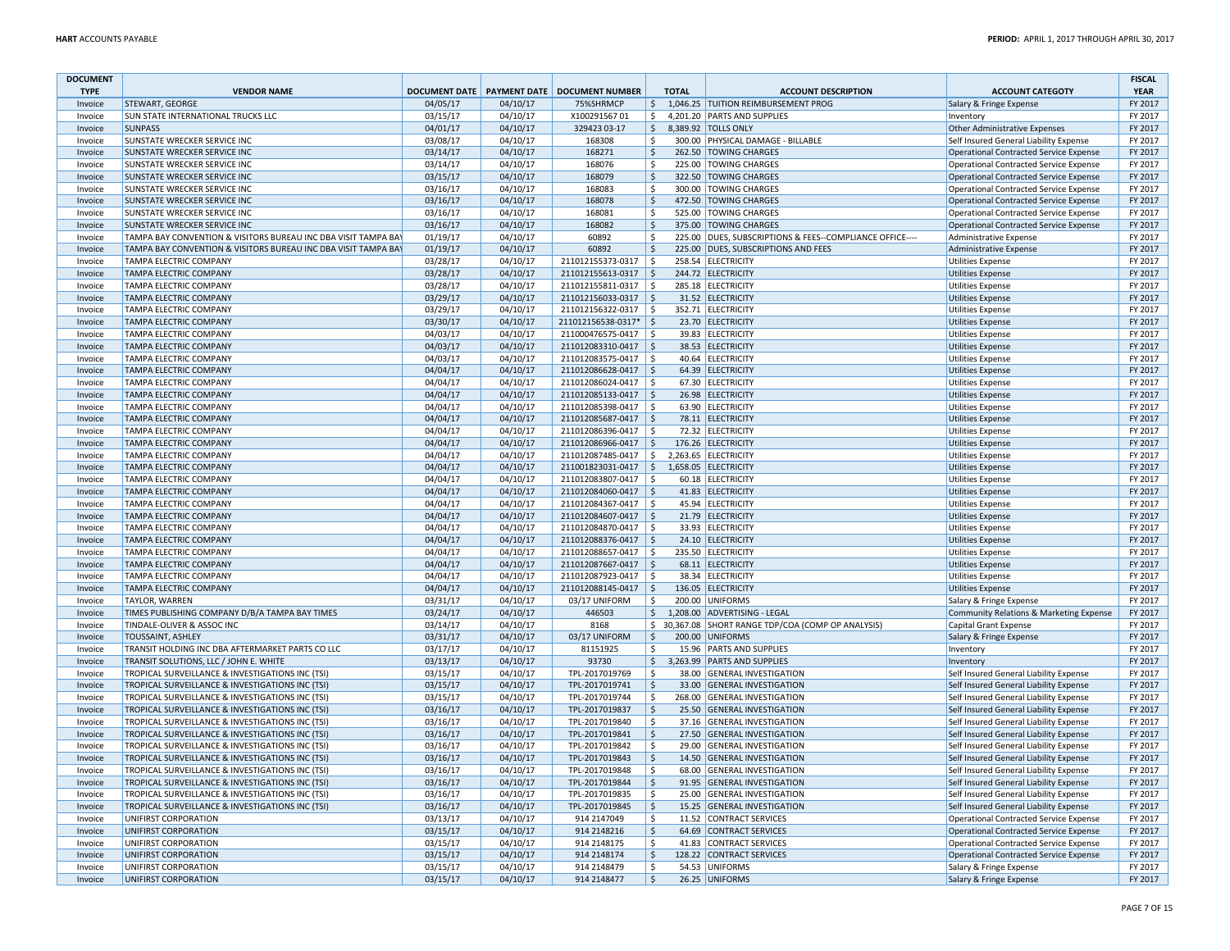| <b>DOCUMENT</b> |                                                                |          |          |                                                |                     |                                                         |                                               | <b>FISCAL</b> |
|-----------------|----------------------------------------------------------------|----------|----------|------------------------------------------------|---------------------|---------------------------------------------------------|-----------------------------------------------|---------------|
| <b>TYPE</b>     | <b>VENDOR NAME</b>                                             |          |          | DOCUMENT DATE   PAYMENT DATE   DOCUMENT NUMBER | <b>TOTAL</b>        | <b>ACCOUNT DESCRIPTION</b>                              | <b>ACCOUNT CATEGOTY</b>                       | <b>YEAR</b>   |
| Invoice         | STEWART, GEORGE                                                | 04/05/17 | 04/10/17 | 75%SHRMCP                                      | \$                  | 1,046.25 TUITION REIMBURSEMENT PROG                     | Salary & Fringe Expense                       | FY 2017       |
| Invoice         | <b>SUN STATE INTERNATIONAL TRUCKS LLC</b>                      | 03/15/17 | 04/10/17 | X10029156701                                   | S.                  | 4,201.20 PARTS AND SUPPLIES                             | Inventory                                     | FY 2017       |
| Invoice         | <b>SUNPASS</b>                                                 | 04/01/17 | 04/10/17 | 329423 03-17                                   | $\ddot{\mathsf{S}}$ | 8,389.92 TOLLS ONLY                                     | Other Administrative Expenses                 | FY 2017       |
| Invoice         | SUNSTATE WRECKER SERVICE INC                                   | 03/08/17 | 04/10/17 | 168308                                         | $\zeta$             | 300.00 PHYSICAL DAMAGE - BILLABLE                       | Self Insured General Liability Expense        | FY 2017       |
| Invoice         | SUNSTATE WRECKER SERVICE INC                                   | 03/14/17 | 04/10/17 | 168271                                         | $\ddot{\mathsf{S}}$ | 262.50 TOWING CHARGES                                   | Operational Contracted Service Expense        | FY 2017       |
| Invoice         | SUNSTATE WRECKER SERVICE INC                                   | 03/14/17 | 04/10/17 | 168076                                         | -\$                 | 225.00 TOWING CHARGES                                   | <b>Operational Contracted Service Expense</b> | FY 2017       |
| Invoice         | SUNSTATE WRECKER SERVICE INC                                   | 03/15/17 | 04/10/17 | 168079                                         | $\zeta$             | 322.50 TOWING CHARGES                                   | Operational Contracted Service Expense        | FY 2017       |
| Invoice         | SUNSTATE WRECKER SERVICE INC                                   | 03/16/17 | 04/10/17 | 168083                                         | $\zeta$             | 300.00 TOWING CHARGES                                   | <b>Operational Contracted Service Expense</b> | FY 2017       |
| Invoice         | SUNSTATE WRECKER SERVICE INC                                   | 03/16/17 | 04/10/17 | 168078                                         | $\zeta$             | 472.50 TOWING CHARGES                                   | <b>Operational Contracted Service Expense</b> | FY 2017       |
| Invoice         | SUNSTATE WRECKER SERVICE INC                                   | 03/16/17 | 04/10/17 | 168081                                         | $\zeta$             | 525.00 TOWING CHARGES                                   | Operational Contracted Service Expense        | FY 2017       |
| Invoice         | SUNSTATE WRECKER SERVICE INC                                   | 03/16/17 | 04/10/17 | 168082                                         | $\zeta$             | 375.00 TOWING CHARGES                                   | Operational Contracted Service Expense        | FY 2017       |
| Invoice         | TAMPA BAY CONVENTION & VISITORS BUREAU INC DBA VISIT TAMPA BAY | 01/19/17 | 04/10/17 | 60892                                          | \$                  | 225.00 DUES, SUBSCRIPTIONS & FEES--COMPLIANCE OFFICE--- | Administrative Expense                        | FY 2017       |
| Invoice         | TAMPA BAY CONVENTION & VISITORS BUREAU INC DBA VISIT TAMPA BAY | 01/19/17 | 04/10/17 | 60892                                          | $\zeta$             | 225.00 DUES, SUBSCRIPTIONS AND FEES                     | <b>Administrative Expense</b>                 | FY 2017       |
| Invoice         | TAMPA ELECTRIC COMPANY                                         | 03/28/17 | 04/10/17 | 211012155373-0317 \$                           |                     | 258.54 ELECTRICITY                                      | <b>Utilities Expense</b>                      | FY 2017       |
| Invoice         | TAMPA ELECTRIC COMPANY                                         | 03/28/17 | 04/10/17 | 211012155613-0317                              | $\vert$ \$          | 244.72 ELECTRICITY                                      | Utilities Expense                             | FY 2017       |
| Invoice         | TAMPA ELECTRIC COMPANY                                         | 03/28/17 | 04/10/17 | 211012155811-0317                              | ۱\$                 | 285.18 ELECTRICITY                                      | <b>Utilities Expense</b>                      | FY 2017       |
| Invoice         | TAMPA ELECTRIC COMPANY                                         | 03/29/17 | 04/10/17 | 211012156033-0317                              | S.                  | 31.52 ELECTRICITY                                       | <b>Utilities Expense</b>                      | FY 2017       |
| Invoice         | TAMPA ELECTRIC COMPANY                                         | 03/29/17 | 04/10/17 | 211012156322-0317                              | ۱\$                 | 352.71 ELECTRICITY                                      | <b>Utilities Expense</b>                      | FY 2017       |
| Invoice         | TAMPA ELECTRIC COMPANY                                         | 03/30/17 | 04/10/17 | 211012156538-0317* \$                          |                     | 23.70 ELECTRICITY                                       | <b>Utilities Expense</b>                      | FY 2017       |
| Invoice         | TAMPA ELECTRIC COMPANY                                         | 04/03/17 | 04/10/17 | 211000476575-0417   \$                         |                     | 39.83 ELECTRICITY                                       | <b>Utilities Expense</b>                      | FY 2017       |
| Invoice         | TAMPA ELECTRIC COMPANY                                         | 04/03/17 | 04/10/17 | 211012083310-0417                              | \$ ا                | 38.53 ELECTRICITY                                       | <b>Utilities Expense</b>                      | FY 2017       |
| Invoice         | TAMPA ELECTRIC COMPANY                                         | 04/03/17 | 04/10/17 | 211012083575-0417 \$                           |                     | 40.64 ELECTRICITY                                       | <b>Utilities Expense</b>                      | FY 2017       |
| Invoice         | TAMPA ELECTRIC COMPANY                                         | 04/04/17 | 04/10/17 | 211012086628-0417 \$                           |                     | 64.39 ELECTRICITY                                       | <b>Utilities Expense</b>                      | FY 2017       |
| Invoice         | TAMPA ELECTRIC COMPANY                                         | 04/04/17 | 04/10/17 | 211012086024-0417                              | ا \$                | 67.30 ELECTRICITY                                       | <b>Utilities Expense</b>                      | FY 2017       |
| Invoice         | TAMPA ELECTRIC COMPANY                                         | 04/04/17 | 04/10/17 | 211012085133-0417                              | \$ ا                | 26.98 ELECTRICITY                                       | Utilities Expense                             | FY 2017       |
| Invoice         | TAMPA ELECTRIC COMPANY                                         | 04/04/17 | 04/10/17 | 211012085398-0417                              | l\$                 | 63.90 ELECTRICITY                                       | <b>Utilities Expense</b>                      | FY 2017       |
| Invoice         | TAMPA ELECTRIC COMPANY                                         | 04/04/17 | 04/10/17 | 211012085687-0417                              | l \$                | 78.11 ELECTRICITY                                       | <b>Utilities Expense</b>                      | FY 2017       |
| Invoice         | TAMPA ELECTRIC COMPANY                                         | 04/04/17 | 04/10/17 | 211012086396-0417                              | l \$                | 72.32 ELECTRICITY                                       | <b>Utilities Expense</b>                      | FY 2017       |
| Invoice         | TAMPA ELECTRIC COMPANY                                         | 04/04/17 | 04/10/17 | 211012086966-0417                              | ا \$                | 176.26 ELECTRICITY                                      | <b>Utilities Expense</b>                      | FY 2017       |
| Invoice         | TAMPA ELECTRIC COMPANY                                         | 04/04/17 | 04/10/17 | 211012087485-0417                              | \$                  | 2,263.65 ELECTRICITY                                    | <b>Utilities Expense</b>                      | FY 2017       |
| Invoice         | <b>TAMPA ELECTRIC COMPANY</b>                                  | 04/04/17 | 04/10/17 | 211001823031-0417   \$                         |                     | 1,658.05 ELECTRICITY                                    | <b>Utilities Expense</b>                      | FY 2017       |
| Invoice         | TAMPA ELECTRIC COMPANY                                         | 04/04/17 | 04/10/17 | 211012083807-0417                              | l \$                | 60.18 ELECTRICITY                                       | <b>Utilities Expense</b>                      | FY 2017       |
| Invoice         | <b>TAMPA ELECTRIC COMPANY</b>                                  | 04/04/17 | 04/10/17 | 211012084060-0417                              | ١ś                  | 41.83 ELECTRICITY                                       | Utilities Expense                             | FY 2017       |
| Invoice         | TAMPA ELECTRIC COMPANY                                         | 04/04/17 | 04/10/17 | 211012084367-0417                              | S.                  | 45.94 ELECTRICITY                                       | <b>Utilities Expense</b>                      | FY 2017       |
| Invoice         | TAMPA ELECTRIC COMPANY                                         | 04/04/17 | 04/10/17 | 211012084607-0417                              | l\$                 | 21.79 ELECTRICITY                                       | <b>Utilities Expense</b>                      | FY 2017       |
| Invoice         | TAMPA ELECTRIC COMPANY                                         | 04/04/17 | 04/10/17 | 211012084870-0417                              | ا \$                | 33.93 ELECTRICITY                                       | <b>Utilities Expense</b>                      | FY 2017       |
| Invoice         | TAMPA ELECTRIC COMPANY                                         | 04/04/17 | 04/10/17 | 211012088376-0417                              | $\vert$ \$          | 24.10 ELECTRICITY                                       | <b>Utilities Expense</b>                      | FY 2017       |
| Invoice         | TAMPA ELECTRIC COMPANY                                         | 04/04/17 | 04/10/17 | 211012088657-0417                              | l\$                 | 235.50 ELECTRICITY                                      | <b>Utilities Expense</b>                      | FY 2017       |
| Invoice         | TAMPA ELECTRIC COMPANY                                         | 04/04/17 | 04/10/17 | 211012087667-0417                              | l \$                | 68.11 ELECTRICITY                                       | <b>Utilities Expense</b>                      | FY 2017       |
| Invoice         | TAMPA ELECTRIC COMPANY                                         | 04/04/17 | 04/10/17 | 211012087923-0417   \$                         |                     | 38.34 ELECTRICITY                                       | <b>Utilities Expense</b>                      | FY 2017       |
| Invoice         | TAMPA ELECTRIC COMPANY                                         | 04/04/17 | 04/10/17 | 211012088145-0417                              | l \$                | 136.05 ELECTRICITY                                      | Utilities Expense                             | FY 2017       |
| Invoice         | TAYLOR, WARREN                                                 | 03/31/17 | 04/10/17 | 03/17 UNIFORM                                  | $\ddot{\mathsf{S}}$ | 200.00 UNIFORMS                                         | Salary & Fringe Expense                       | FY 2017       |
| Invoice         | TIMES PUBLISHING COMPANY D/B/A TAMPA BAY TIMES                 | 03/24/17 | 04/10/17 | 446503                                         | $\zeta$             | 1,208.00 ADVERTISING - LEGAL                            | Community Relations & Marketing Expense       | FY 2017       |
| Invoice         | TINDALE-OLIVER & ASSOC INC                                     | 03/14/17 | 04/10/17 | 8168                                           |                     | \$ 30,367.08 SHORT RANGE TDP/COA (COMP OP ANALYSIS)     | Capital Grant Expense                         | FY 2017       |
| Invoice         | TOUSSAINT, ASHLEY                                              | 03/31/17 | 04/10/17 | 03/17 UNIFORM                                  | $\zeta$             | 200.00 UNIFORMS                                         | Salary & Fringe Expense                       | FY 2017       |
| Invoice         | TRANSIT HOLDING INC DBA AFTERMARKET PARTS CO LLC               | 03/17/17 | 04/10/17 | 81151925                                       | $\mathsf{S}$        | 15.96 PARTS AND SUPPLIES                                | Inventory                                     | FY 2017       |
| Invoice         | TRANSIT SOLUTIONS, LLC / JOHN E. WHITE                         | 03/13/17 | 04/10/17 | 93730                                          | $\zeta$             | 3,263.99 PARTS AND SUPPLIES                             | Inventory                                     | FY 2017       |
| Invoice         | TROPICAL SURVEILLANCE & INVESTIGATIONS INC (TSI)               | 03/15/17 | 04/10/17 | TPL-2017019769                                 | \$                  | 38.00 GENERAL INVESTIGATION                             | Self Insured General Liability Expense        | FY 2017       |
| Invoice         | TROPICAL SURVEILLANCE & INVESTIGATIONS INC (TSI)               | 03/15/17 | 04/10/17 | TPL-2017019741                                 | $\zeta$             | 33.00 GENERAL INVESTIGATION                             | Self Insured General Liability Expense        | FY 2017       |
| Invoice         | TROPICAL SURVEILLANCE & INVESTIGATIONS INC (TSI)               | 03/15/17 | 04/10/17 | TPL-2017019744                                 | \$                  | 268.00 GENERAL INVESTIGATION                            | Self Insured General Liability Expense        | FY 2017       |
| Invoice         | TROPICAL SURVEILLANCE & INVESTIGATIONS INC (TSI)               | 03/16/17 | 04/10/17 | TPL-2017019837                                 | $\ddot{\mathsf{S}}$ | 25.50 GENERAL INVESTIGATION                             | Self Insured General Liability Expense        | FY 2017       |
| Invoice         | TROPICAL SURVEILLANCE & INVESTIGATIONS INC (TSI)               | 03/16/17 | 04/10/17 | TPL-2017019840                                 | \$                  | 37.16 GENERAL INVESTIGATION                             | Self Insured General Liability Expense        | FY 2017       |
| Invoice         | TROPICAL SURVEILLANCE & INVESTIGATIONS INC (TSI)               | 03/16/17 | 04/10/17 | TPL-2017019841                                 | $\ddot{\varsigma}$  | 27.50 GENERAL INVESTIGATION                             | Self Insured General Liability Expense        | FY 2017       |
| Invoice         | TROPICAL SURVEILLANCE & INVESTIGATIONS INC (TSI)               | 03/16/17 | 04/10/17 | TPL-2017019842                                 | \$                  | 29.00 GENERAL INVESTIGATION                             | Self Insured General Liability Expense        | FY 2017       |
| Invoice         | TROPICAL SURVEILLANCE & INVESTIGATIONS INC (TSI)               | 03/16/17 | 04/10/17 | TPL-2017019843                                 | $\ddot{\varsigma}$  | 14.50 GENERAL INVESTIGATION                             | Self Insured General Liability Expense        | FY 2017       |
| Invoice         | TROPICAL SURVEILLANCE & INVESTIGATIONS INC (TSI)               | 03/16/17 | 04/10/17 | TPL-2017019848                                 | $\mathsf{S}$        | 68.00 GENERAL INVESTIGATION                             | Self Insured General Liability Expense        | FY 2017       |
| Invoice         | TROPICAL SURVEILLANCE & INVESTIGATIONS INC (TSI)               | 03/16/17 | 04/10/17 | TPL-2017019844                                 | $\ddot{\varsigma}$  | 91.95 GENERAL INVESTIGATION                             | Self Insured General Liability Expense        | FY 2017       |
| Invoice         | TROPICAL SURVEILLANCE & INVESTIGATIONS INC (TSI)               | 03/16/17 | 04/10/17 | TPL-2017019835                                 | \$                  | 25.00 GENERAL INVESTIGATION                             | Self Insured General Liability Expense        | FY 2017       |
| Invoice         | TROPICAL SURVEILLANCE & INVESTIGATIONS INC (TSI)               | 03/16/17 | 04/10/17 | TPL-2017019845                                 | $\ddot{\varsigma}$  | 15.25 GENERAL INVESTIGATION                             | Self Insured General Liability Expense        | FY 2017       |
| Invoice         | UNIFIRST CORPORATION                                           | 03/13/17 | 04/10/17 | 914 2147049                                    | $\zeta$             | 11.52 CONTRACT SERVICES                                 | Operational Contracted Service Expense        | FY 2017       |
| Invoice         | UNIFIRST CORPORATION                                           | 03/15/17 | 04/10/17 | 914 2148 216                                   | $\zeta$             | 64.69 CONTRACT SERVICES                                 | <b>Operational Contracted Service Expense</b> | FY 2017       |
| Invoice         | UNIFIRST CORPORATION                                           | 03/15/17 | 04/10/17 | 914 2148175                                    | $\zeta$             | 41.83 CONTRACT SERVICES                                 | Operational Contracted Service Expense        | FY 2017       |
| Invoice         | UNIFIRST CORPORATION                                           | 03/15/17 | 04/10/17 | 914 2148174                                    | $\zeta$             | 128.22 CONTRACT SERVICES                                | Operational Contracted Service Expense        | FY 2017       |
| Invoice         | UNIFIRST CORPORATION                                           | 03/15/17 | 04/10/17 | 914 2148479                                    | \$                  | 54.53 UNIFORMS                                          | Salary & Fringe Expense                       | FY 2017       |
| Invoice         | UNIFIRST CORPORATION                                           | 03/15/17 | 04/10/17 | 914 2148477                                    | $\zeta$             | 26.25 UNIFORMS                                          | Salary & Fringe Expense                       | FY 2017       |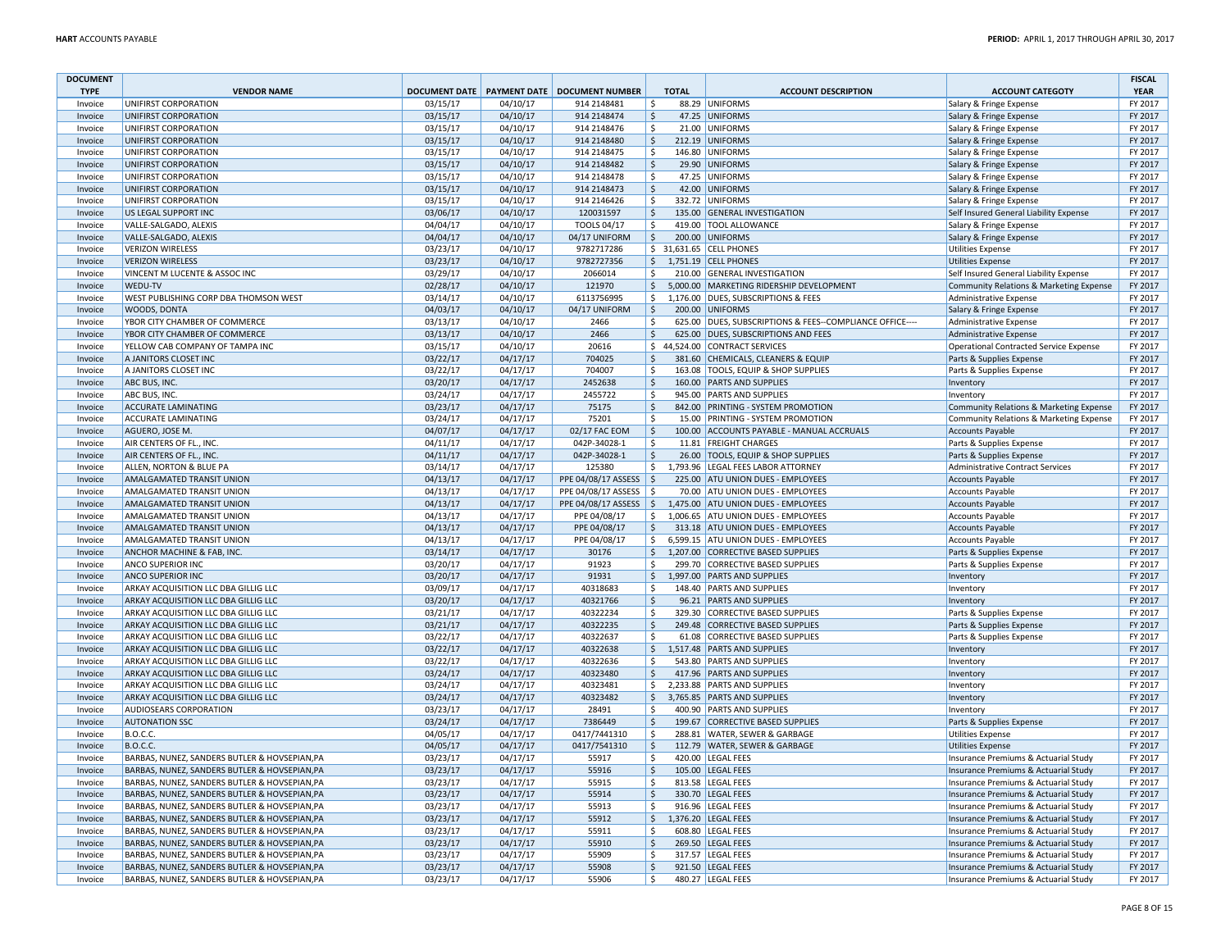| <b>DOCUMENT</b>    |                                               |          |          |                                                |                                     |                                                          |                                                                  | <b>FISCAL</b> |
|--------------------|-----------------------------------------------|----------|----------|------------------------------------------------|-------------------------------------|----------------------------------------------------------|------------------------------------------------------------------|---------------|
| <b>TYPE</b>        | <b>VENDOR NAME</b>                            |          |          | DOCUMENT DATE   PAYMENT DATE   DOCUMENT NUMBER | <b>TOTAL</b>                        | <b>ACCOUNT DESCRIPTION</b>                               | <b>ACCOUNT CATEGOTY</b>                                          | <b>YEAR</b>   |
| Invoice            | UNIFIRST CORPORATION                          | 03/15/17 | 04/10/17 | 914 2148481                                    | \$                                  | 88.29 UNIFORMS                                           | Salary & Fringe Expense                                          | FY 2017       |
| Invoice            | <b>UNIFIRST CORPORATION</b>                   | 03/15/17 | 04/10/17 | 914 2148474                                    | $\zeta$                             | 47.25 UNIFORMS                                           | Salary & Fringe Expense                                          | FY 2017       |
| Invoice            | UNIFIRST CORPORATION                          | 03/15/17 | 04/10/17 | 914 2148476                                    | \$                                  | 21.00 UNIFORMS                                           | Salary & Fringe Expense                                          | FY 2017       |
| Invoice            | UNIFIRST CORPORATION                          | 03/15/17 | 04/10/17 | 914 2148480                                    | \$                                  | 212.19 UNIFORMS                                          | Salary & Fringe Expense                                          | FY 2017       |
| Invoice            | UNIFIRST CORPORATION                          | 03/15/17 | 04/10/17 | 914 2148475                                    | \$                                  | 146.80 UNIFORMS                                          | Salary & Fringe Expense                                          | FY 2017       |
| Invoice            | UNIFIRST CORPORATION                          | 03/15/17 | 04/10/17 | 914 2148482                                    | \$                                  | 29.90 UNIFORMS                                           | Salary & Fringe Expense                                          | FY 2017       |
| Invoice            | UNIFIRST CORPORATION                          | 03/15/17 | 04/10/17 | 914 2148478                                    | \$                                  | 47.25 UNIFORMS                                           | Salary & Fringe Expense                                          | FY 2017       |
| Invoice            | UNIFIRST CORPORATION                          | 03/15/17 | 04/10/17 | 914 2148473                                    | $\zeta$                             | 42.00 UNIFORMS                                           | Salary & Fringe Expense                                          | FY 2017       |
| Invoice            | UNIFIRST CORPORATION                          | 03/15/17 | 04/10/17 | 914 2146426                                    | \$                                  | 332.72 UNIFORMS                                          | Salary & Fringe Expense                                          | FY 2017       |
| Invoice            | <b>US LEGAL SUPPORT INC</b>                   | 03/06/17 | 04/10/17 | 120031597                                      | $\zeta$                             | 135.00 GENERAL INVESTIGATION                             | Self Insured General Liability Expense                           | FY 2017       |
| Invoice            | VALLE-SALGADO, ALEXIS                         | 04/04/17 | 04/10/17 | TOOLS 04/17                                    | \$                                  | 419.00 TOOL ALLOWANCE                                    | Salary & Fringe Expense                                          | FY 2017       |
| Invoice            | VALLE-SALGADO, ALEXIS                         | 04/04/17 | 04/10/17 | 04/17 UNIFORM                                  | $\mathsf{S}$                        | 200.00 UNIFORMS                                          | Salary & Fringe Expense                                          | FY 2017       |
| Invoice            | <b>VERIZON WIRELESS</b>                       | 03/23/17 | 04/10/17 | 9782717286                                     | $\frac{1}{2}$ 31,631.65 CELL PHONES |                                                          | <b>Utilities Expense</b>                                         | FY 2017       |
| Invoice            | <b>VERIZON WIRELESS</b>                       | 03/23/17 | 04/10/17 | 9782727356                                     | $\frac{1}{2}$                       | 1,751.19 CELL PHONES                                     | <b>Utilities Expense</b>                                         | FY 2017       |
| Invoice            | VINCENT M LUCENTE & ASSOC INC                 | 03/29/17 | 04/10/17 | 2066014                                        | \$                                  | 210.00 GENERAL INVESTIGATION                             | Self Insured General Liability Expense                           | FY 2017       |
| Invoice            | WEDU-TV                                       | 02/28/17 | 04/10/17 | 121970                                         | $\zeta$                             | 5,000.00 MARKETING RIDERSHIP DEVELOPMENT                 | Community Relations & Marketing Expense                          | FY 2017       |
| Invoice            | WEST PUBLISHING CORP DBA THOMSON WEST         | 03/14/17 | 04/10/17 | 6113756995                                     | \$                                  | 1,176.00 DUES, SUBSCRIPTIONS & FEES                      | Administrative Expense                                           | FY 2017       |
| Invoice            | WOODS, DONTA                                  | 04/03/17 | 04/10/17 | 04/17 UNIFORM                                  | $\zeta$                             | 200.00 UNIFORMS                                          | Salary & Fringe Expense                                          | FY 2017       |
| Invoice            | YBOR CITY CHAMBER OF COMMERCE                 | 03/13/17 | 04/10/17 | 2466                                           | \$                                  | 625.00 DUES, SUBSCRIPTIONS & FEES--COMPLIANCE OFFICE---- | <b>Administrative Expense</b>                                    | FY 2017       |
| Invoice            | YBOR CITY CHAMBER OF COMMERCE                 | 03/13/17 | 04/10/17 | 2466                                           | $\zeta$                             | 625.00 DUES, SUBSCRIPTIONS AND FEES                      | Administrative Expense                                           | FY 2017       |
| Invoice            | YELLOW CAB COMPANY OF TAMPA INC               | 03/15/17 | 04/10/17 | 20616                                          |                                     | \$44,524.00 CONTRACT SERVICES                            | Operational Contracted Service Expense                           | FY 2017       |
| Invoice            | A JANITORS CLOSET INC                         | 03/22/17 | 04/17/17 | 704025                                         | $\zeta$                             | 381.60 CHEMICALS, CLEANERS & EQUIP                       | Parts & Supplies Expense                                         | FY 2017       |
| Invoice            | A JANITORS CLOSET INC                         | 03/22/17 | 04/17/17 | 704007                                         | \$                                  | 163.08 TOOLS, EQUIP & SHOP SUPPLIES                      | Parts & Supplies Expense                                         | FY 2017       |
| Invoice            | ABC BUS, INC.                                 | 03/20/17 | 04/17/17 | 2452638                                        | $\mathsf{\hat{S}}$                  | 160.00 PARTS AND SUPPLIES                                | Inventory                                                        | FY 2017       |
| Invoice            | ABC BUS, INC.                                 | 03/24/17 | 04/17/17 | 2455722                                        | \$                                  | 945.00 PARTS AND SUPPLIES                                | Inventory                                                        | FY 2017       |
| Invoice            | ACCURATE LAMINATING                           | 03/23/17 | 04/17/17 | 75175                                          | \$                                  | 842.00 PRINTING - SYSTEM PROMOTION                       | Community Relations & Marketing Expense                          | FY 2017       |
| Invoice            | <b>ACCURATE LAMINATING</b>                    | 03/24/17 | 04/17/17 | 75201                                          | $\zeta$                             | 15.00 PRINTING - SYSTEM PROMOTION                        | Community Relations & Marketing Expense                          | FY 2017       |
|                    |                                               |          | 04/17/17 | 02/17 FAC EOM                                  |                                     |                                                          |                                                                  | FY 2017       |
| Invoice            | AGUERO, JOSE M.                               | 04/07/17 |          |                                                | \$                                  | 100.00 ACCOUNTS PAYABLE - MANUAL ACCRUALS                | Accounts Payable                                                 |               |
| Invoice            | AIR CENTERS OF FL., INC.                      | 04/11/17 | 04/17/17 | 042P-34028-1                                   | $\zeta$                             | 11.81 FREIGHT CHARGES                                    | Parts & Supplies Expense                                         | FY 2017       |
| Invoice            | AIR CENTERS OF FL., INC.                      | 04/11/17 | 04/17/17 | 042P-34028-1                                   | $\zeta$                             | 26.00 TOOLS, EQUIP & SHOP SUPPLIES                       | Parts & Supplies Expense                                         | FY 2017       |
| Invoice            | ALLEN, NORTON & BLUE PA                       | 03/14/17 | 04/17/17 | 125380                                         | \$                                  | 1.793.96 LEGAL FEES LABOR ATTORNEY                       | <b>Administrative Contract Services</b>                          | FY 2017       |
| Invoice            | <b>AMALGAMATED TRANSIT UNION</b>              | 04/13/17 | 04/17/17 | PPE 04/08/17 ASSESS                            | l \$                                | 225.00 ATU UNION DUES - EMPLOYEES                        | Accounts Payable                                                 | FY 2017       |
| Invoice            | <b>AMALGAMATED TRANSIT UNION</b>              | 04/13/17 | 04/17/17 | PPE 04/08/17 ASSESS                            | ١ś                                  | 70.00 ATU UNION DUES - EMPLOYEES                         | Accounts Payable                                                 | FY 2017       |
| Invoice            | AMALGAMATED TRANSIT UNION                     | 04/13/17 | 04/17/17 | PPE 04/08/17 ASSESS                            | l\$                                 | 1,475.00 ATU UNION DUES - EMPLOYEES                      | <b>Accounts Payable</b>                                          | FY 2017       |
| Invoice            | AMALGAMATED TRANSIT UNION                     | 04/13/17 | 04/17/17 | PPE 04/08/17                                   | \$                                  | 1,006.65 ATU UNION DUES - EMPLOYEES                      | <b>Accounts Payable</b>                                          | FY 2017       |
| Invoice            | AMALGAMATED TRANSIT UNION                     | 04/13/17 | 04/17/17 | PPE 04/08/17                                   | $\zeta$                             | 313.18 ATU UNION DUES - EMPLOYEES                        | Accounts Payable                                                 | FY 2017       |
| Invoice            | AMALGAMATED TRANSIT UNION                     | 04/13/17 | 04/17/17 | PPE 04/08/17                                   | \$                                  | 6,599.15 ATU UNION DUES - EMPLOYEES                      | <b>Accounts Payable</b>                                          | FY 2017       |
| Invoice            | ANCHOR MACHINE & FAB, INC.                    | 03/14/17 | 04/17/17 | 30176                                          | $\zeta$                             | 1,207.00 CORRECTIVE BASED SUPPLIES                       | Parts & Supplies Expense                                         | FY 2017       |
| Invoice            | ANCO SUPERIOR INC                             | 03/20/17 | 04/17/17 | 91923                                          | \$                                  | 299.70 CORRECTIVE BASED SUPPLIES                         | Parts & Supplies Expense                                         | FY 2017       |
| Invoice            | ANCO SUPERIOR INC                             | 03/20/17 | 04/17/17 | 91931                                          | \$                                  | 1,997.00 PARTS AND SUPPLIES                              | Inventory                                                        | FY 2017       |
| Invoice            | ARKAY ACQUISITION LLC DBA GILLIG LLC          | 03/09/17 | 04/17/17 | 40318683                                       | \$                                  | 148.40 PARTS AND SUPPLIES                                | Inventory                                                        | FY 2017       |
| Invoice            | ARKAY ACQUISITION LLC DBA GILLIG LLC          | 03/20/17 | 04/17/17 | 40321766                                       | $\ddot{\mathsf{S}}$                 | 96.21 PARTS AND SUPPLIES                                 | Inventory                                                        | FY 2017       |
| Invoice            | ARKAY ACQUISITION LLC DBA GILLIG LLC          | 03/21/17 | 04/17/17 | 40322234                                       | \$                                  | 329.30 CORRECTIVE BASED SUPPLIES                         | Parts & Supplies Expense                                         | FY 2017       |
| Invoice            | ARKAY ACQUISITION LLC DBA GILLIG LLC          | 03/21/17 | 04/17/17 | 40322235                                       | $\ddot{\mathsf{S}}$                 | 249.48 CORRECTIVE BASED SUPPLIES                         | Parts & Supplies Expense                                         | FY 2017       |
| Invoice            | ARKAY ACQUISITION LLC DBA GILLIG LLC          | 03/22/17 | 04/17/17 | 40322637                                       | \$                                  | 61.08 CORRECTIVE BASED SUPPLIES                          | Parts & Supplies Expense                                         | FY 2017       |
| Invoice            | ARKAY ACQUISITION LLC DBA GILLIG LLC          | 03/22/17 | 04/17/17 | 40322638                                       | $\zeta$                             | 1,517.48 PARTS AND SUPPLIES                              | Inventory                                                        | FY 2017       |
| Invoice            | ARKAY ACQUISITION LLC DBA GILLIG LLC          | 03/22/17 | 04/17/17 | 40322636                                       | $\zeta$                             | 543.80 PARTS AND SUPPLIES                                | Inventory                                                        | FY 2017       |
| Invoice            | ARKAY ACQUISITION LLC DBA GILLIG LLC          | 03/24/17 | 04/17/17 | 40323480                                       | $\zeta$                             | 417.96 PARTS AND SUPPLIES                                | Inventory                                                        | FY 2017       |
| Invoice            | ARKAY ACQUISITION LLC DBA GILLIG LLC          | 03/24/17 | 04/17/17 | 40323481                                       | \$                                  | 2,233.88 PARTS AND SUPPLIES                              | Inventory                                                        | FY 2017       |
| Invoice            | ARKAY ACQUISITION LLC DBA GILLIG LLC          | 03/24/17 | 04/17/17 | 40323482                                       | \$                                  | 3,765.85 PARTS AND SUPPLIES                              | Inventory                                                        | FY 2017       |
| Invoice            | AUDIOSEARS CORPORATION                        | 03/23/17 | 04/17/17 | 28491                                          | \$                                  | 400.90 PARTS AND SUPPLIES                                | Inventory                                                        | FY 2017       |
| Invoice            | <b>AUTONATION SSC</b>                         | 03/24/17 | 04/17/17 | 7386449                                        | \$                                  | 199.67 CORRECTIVE BASED SUPPLIES                         | Parts & Supplies Expense                                         | FY 2017       |
|                    | <b>B.O.C.C.</b>                               | 04/05/17 | 04/17/17 | 0417/7441310                                   | \$                                  | 288.81 WATER, SEWER & GARBAGE                            |                                                                  | FY 2017       |
| Invoice            | <b>B.O.C.C.</b>                               |          | 04/17/17 |                                                |                                     |                                                          | <b>Utilities Expense</b>                                         | FY 2017       |
| Invoice<br>Invoice | BARBAS, NUNEZ, SANDERS BUTLER & HOVSEPIAN, PA | 04/05/17 |          | 0417/7541310<br>55917                          | \$<br>\$                            | 112.79 WATER, SEWER & GARBAGE<br>420.00 LEGAL FEES       | <b>Utilities Expense</b><br>Insurance Premiums & Actuarial Study | FY 2017       |
|                    |                                               | 03/23/17 | 04/17/17 |                                                |                                     |                                                          |                                                                  | FY 2017       |
| Invoice            | BARBAS, NUNEZ, SANDERS BUTLER & HOVSEPIAN, PA | 03/23/17 | 04/17/17 | 55916                                          | $\mathsf{S}$                        | 105.00 LEGAL FEES                                        | Insurance Premiums & Actuarial Study                             |               |
| Invoice            | BARBAS, NUNEZ, SANDERS BUTLER & HOVSEPIAN, PA | 03/23/17 | 04/17/17 | 55915                                          | \$                                  | 813.58 LEGAL FEES                                        | Insurance Premiums & Actuarial Study                             | FY 2017       |
| Invoice            | BARBAS, NUNEZ, SANDERS BUTLER & HOVSEPIAN, PA | 03/23/17 | 04/17/17 | 55914                                          | $\mathsf{S}$                        | 330.70 LEGAL FEES                                        | Insurance Premiums & Actuarial Study                             | FY 2017       |
| Invoice            | BARBAS, NUNEZ, SANDERS BUTLER & HOVSEPIAN, PA | 03/23/17 | 04/17/17 | 55913                                          | \$                                  | 916.96 LEGAL FEES                                        | Insurance Premiums & Actuarial Study                             | FY 2017       |
| Invoice            | BARBAS, NUNEZ, SANDERS BUTLER & HOVSEPIAN, PA | 03/23/17 | 04/17/17 | 55912                                          | $\ddot{\mathsf{S}}$                 | 1,376.20 LEGAL FEES                                      | Insurance Premiums & Actuarial Study                             | FY 2017       |
| Invoice            | BARBAS, NUNEZ, SANDERS BUTLER & HOVSEPIAN, PA | 03/23/17 | 04/17/17 | 55911                                          | \$                                  | 608.80 LEGAL FEES                                        | Insurance Premiums & Actuarial Study                             | FY 2017       |
| Invoice            | BARBAS, NUNEZ, SANDERS BUTLER & HOVSEPIAN, PA | 03/23/17 | 04/17/17 | 55910                                          | $\zeta$                             | 269.50 LEGAL FEES                                        | Insurance Premiums & Actuarial Study                             | FY 2017       |
| Invoice            | BARBAS, NUNEZ, SANDERS BUTLER & HOVSEPIAN, PA | 03/23/17 | 04/17/17 | 55909                                          | \$                                  | 317.57 LEGAL FEES                                        | Insurance Premiums & Actuarial Study                             | FY 2017       |
| Invoice            | BARBAS, NUNEZ, SANDERS BUTLER & HOVSEPIAN, PA | 03/23/17 | 04/17/17 | 55908                                          | $\ddot{\mathsf{S}}$                 | 921.50 LEGAL FEES                                        | Insurance Premiums & Actuarial Study                             | FY 2017       |
| Invoice            | BARBAS, NUNEZ, SANDERS BUTLER & HOVSEPIAN, PA | 03/23/17 | 04/17/17 | 55906                                          | \$                                  | 480.27 LEGAL FEES                                        | Insurance Premiums & Actuarial Study                             | FY 2017       |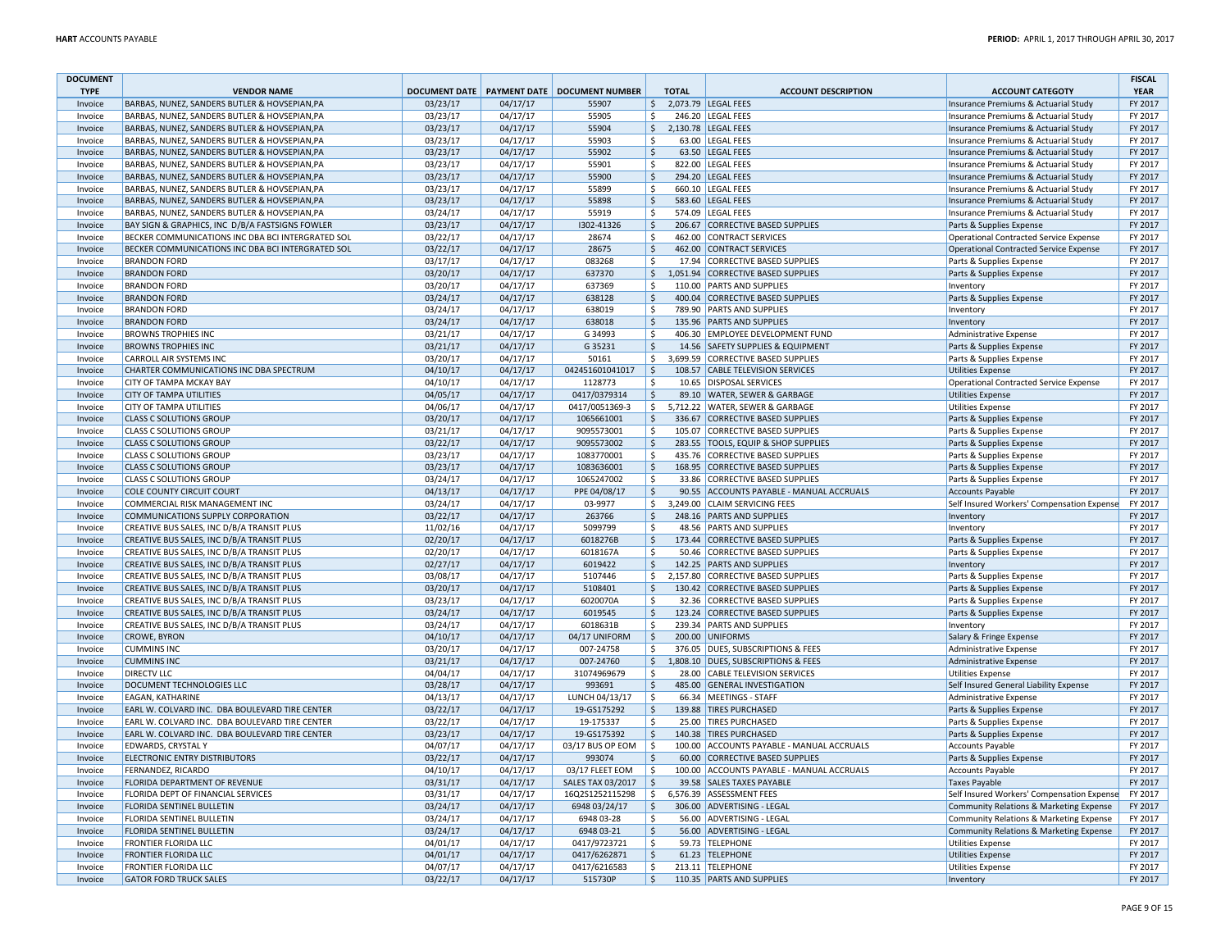| <b>DOCUMENT</b>    |                                                                                                |                      |                      |                                                |                                |                                           |                                                                                                | <b>FISCAL</b>      |
|--------------------|------------------------------------------------------------------------------------------------|----------------------|----------------------|------------------------------------------------|--------------------------------|-------------------------------------------|------------------------------------------------------------------------------------------------|--------------------|
| <b>TYPE</b>        | <b>VENDOR NAME</b>                                                                             |                      |                      | DOCUMENT DATE   PAYMENT DATE   DOCUMENT NUMBER | <b>TOTAL</b>                   | <b>ACCOUNT DESCRIPTION</b>                | <b>ACCOUNT CATEGOTY</b>                                                                        | <b>YEAR</b>        |
| Invoice            | BARBAS, NUNEZ, SANDERS BUTLER & HOVSEPIAN, PA                                                  | 03/23/17             | 04/17/17             | 55907                                          | $\zeta$                        | 2.073.79 LEGAL FEES                       | Insurance Premiums & Actuarial Study                                                           | FY 2017            |
| Invoice            | BARBAS, NUNEZ, SANDERS BUTLER & HOVSEPIAN, PA                                                  | 03/23/17             | 04/17/17             | 55905                                          | \$                             | 246.20 LEGAL FEES                         | Insurance Premiums & Actuarial Study                                                           | FY 2017            |
| Invoice            | BARBAS, NUNEZ, SANDERS BUTLER & HOVSEPIAN.PA                                                   | 03/23/17             | 04/17/17             | 55904                                          | S.                             | 2.130.78 LEGAL FEES                       | Insurance Premiums & Actuarial Study                                                           | FY 2017            |
| Invoice            | BARBAS, NUNEZ, SANDERS BUTLER & HOVSEPIAN, PA                                                  | 03/23/17<br>03/23/17 | 04/17/17<br>04/17/17 | 55903<br>55902                                 | $\ddot{\mathsf{S}}$<br>$\zeta$ | 63.00 LEGAL FEES<br>63.50 LEGAL FEES      | Insurance Premiums & Actuarial Study                                                           | FY 2017<br>FY 2017 |
| Invoice            | BARBAS, NUNEZ, SANDERS BUTLER & HOVSEPIAN, PA                                                  |                      |                      |                                                |                                |                                           | Insurance Premiums & Actuarial Study                                                           |                    |
| Invoice            | BARBAS, NUNEZ, SANDERS BUTLER & HOVSEPIAN, PA                                                  | 03/23/17             | 04/17/17             | 55901                                          | \$                             | 822.00 LEGAL FEES                         | Insurance Premiums & Actuarial Study                                                           | FY 2017            |
| Invoice            | BARBAS, NUNEZ, SANDERS BUTLER & HOVSEPIAN, PA                                                  | 03/23/17             | 04/17/17             | 55900                                          | $\zeta$                        | 294.20 LEGAL FEES                         | Insurance Premiums & Actuarial Study                                                           | FY 2017<br>FY 2017 |
| Invoice<br>Invoice | BARBAS, NUNEZ, SANDERS BUTLER & HOVSEPIAN, PA<br>BARBAS, NUNEZ, SANDERS BUTLER & HOVSEPIAN, PA | 03/23/17             | 04/17/17             | 55899<br>55898                                 | \$<br>$\zeta$                  | 660.10 LEGAL FEES                         | Insurance Premiums & Actuarial Study                                                           | FY 2017            |
| Invoice            | BARBAS, NUNEZ, SANDERS BUTLER & HOVSEPIAN, PA                                                  | 03/23/17<br>03/24/17 | 04/17/17<br>04/17/17 | 55919                                          | \$                             | 583.60 LEGAL FEES<br>574.09 LEGAL FEES    | Insurance Premiums & Actuarial Study<br>Insurance Premiums & Actuarial Study                   | FY 2017            |
| Invoice            | BAY SIGN & GRAPHICS, INC D/B/A FASTSIGNS FOWLER                                                | 03/23/17             | 04/17/17             | 1302-41326                                     | $\zeta$                        | 206.67 CORRECTIVE BASED SUPPLIES          | Parts & Supplies Expense                                                                       | FY 2017            |
| Invoice            | BECKER COMMUNICATIONS INC DBA BCI INTERGRATED SOL                                              | 03/22/17             | 04/17/17             | 28674                                          | \$                             | 462.00 CONTRACT SERVICES                  |                                                                                                | FY 2017            |
| Invoice            | BECKER COMMUNICATIONS INC DBA BCI INTERGRATED SOL                                              | 03/22/17             | 04/17/17             | 28675                                          | $\zeta$                        | 462.00 CONTRACT SERVICES                  | <b>Operational Contracted Service Expense</b><br><b>Operational Contracted Service Expense</b> | FY 2017            |
| Invoice            | <b>BRANDON FORD</b>                                                                            | 03/17/17             | 04/17/17             | 083268                                         | \$                             | 17.94 CORRECTIVE BASED SUPPLIES           | Parts & Supplies Expense                                                                       | FY 2017            |
| Invoice            | <b>BRANDON FORD</b>                                                                            | 03/20/17             | 04/17/17             | 637370                                         | \$                             | 1,051.94 CORRECTIVE BASED SUPPLIES        | Parts & Supplies Expense                                                                       | FY 2017            |
| Invoice            | <b>BRANDON FORD</b>                                                                            | 03/20/17             | 04/17/17             | 637369                                         | \$                             | 110.00 PARTS AND SUPPLIES                 | Inventory                                                                                      | FY 2017            |
| Invoice            | <b>BRANDON FORD</b>                                                                            | 03/24/17             | 04/17/17             | 638128                                         | $\ddot{\mathsf{S}}$            | 400.04 CORRECTIVE BASED SUPPLIES          | Parts & Supplies Expense                                                                       | FY 2017            |
| Invoice            | <b>BRANDON FORD</b>                                                                            | 03/24/17             | 04/17/17             | 638019                                         | \$                             | 789.90 PARTS AND SUPPLIES                 | Inventory                                                                                      | FY 2017            |
| Invoice            | <b>BRANDON FORD</b>                                                                            | 03/24/17             | 04/17/17             | 638018                                         | \$                             | 135.96 PARTS AND SUPPLIES                 | Inventory                                                                                      | FY 2017            |
| Invoice            | <b>BROWNS TROPHIES INC</b>                                                                     | 03/21/17             | 04/17/17             | G 34993                                        | \$                             | 406.30 EMPLOYEE DEVELOPMENT FUND          | <b>Administrative Expense</b>                                                                  | FY 2017            |
| Invoice            | <b>BROWNS TROPHIES INC</b>                                                                     | 03/21/17             | 04/17/17             | G 35231                                        | $\mathsf{S}$                   | 14.56 SAFETY SUPPLIES & EQUIPMENT         | Parts & Supplies Expense                                                                       | FY 2017            |
| Invoice            | CARROLL AIR SYSTEMS INC                                                                        | 03/20/17             | 04/17/17             | 50161                                          | \$                             | 3,699.59 CORRECTIVE BASED SUPPLIES        | Parts & Supplies Expense                                                                       | FY 2017            |
| Invoice            | CHARTER COMMUNICATIONS INC DBA SPECTRUM                                                        | 04/10/17             | 04/17/17             | 042451601041017                                | \$                             | 108.57 CABLE TELEVISION SERVICES          | <b>Utilities Expense</b>                                                                       | FY 2017            |
| Invoice            | CITY OF TAMPA MCKAY BAY                                                                        | 04/10/17             | 04/17/17             | 1128773                                        | \$                             | 10.65 DISPOSAL SERVICES                   | Operational Contracted Service Expense                                                         | FY 2017            |
| Invoice            | <b>CITY OF TAMPA UTILITIES</b>                                                                 | 04/05/17             | 04/17/17             | 0417/0379314                                   | $\mathsf{S}$                   | 89.10 WATER, SEWER & GARBAGE              | <b>Utilities Expense</b>                                                                       | FY 2017            |
| Invoice            | CITY OF TAMPA UTILITIES                                                                        | 04/06/17             | 04/17/17             | 0417/0051369-3                                 | \$                             | 5,712.22 WATER, SEWER & GARBAGE           | <b>Utilities Expense</b>                                                                       | FY 2017            |
| Invoice            | <b>CLASS C SOLUTIONS GROUP</b>                                                                 | 03/20/17             | 04/17/17             | 1065661001                                     | $\zeta$                        | 336.67 CORRECTIVE BASED SUPPLIES          | Parts & Supplies Expense                                                                       | FY 2017            |
| Invoice            | <b>CLASS C SOLUTIONS GROUP</b>                                                                 | 03/21/17             | 04/17/17             | 9095573001                                     | \$                             | 105.07 CORRECTIVE BASED SUPPLIES          | Parts & Supplies Expense                                                                       | FY 2017            |
| Invoice            | <b>CLASS C SOLUTIONS GROUP</b>                                                                 | 03/22/17             | 04/17/17             | 9095573002                                     | $\ddot{\mathsf{S}}$            | 283.55 TOOLS, EQUIP & SHOP SUPPLIES       | Parts & Supplies Expense                                                                       | FY 2017            |
| Invoice            | <b>CLASS C SOLUTIONS GROUP</b>                                                                 | 03/23/17             | 04/17/17             | 1083770001                                     | $\ddot{\mathsf{S}}$            | 435.76 CORRECTIVE BASED SUPPLIES          | Parts & Supplies Expense                                                                       | FY 2017            |
| Invoice            | <b>CLASS C SOLUTIONS GROUP</b>                                                                 | 03/23/17             | 04/17/17             | 1083636001                                     | $\zeta$                        | 168.95 CORRECTIVE BASED SUPPLIES          | Parts & Supplies Expense                                                                       | FY 2017            |
| Invoice            | <b>CLASS C SOLUTIONS GROUP</b>                                                                 | 03/24/17             | 04/17/17             | 1065247002                                     | $\ddot{\mathsf{S}}$            | 33.86 CORRECTIVE BASED SUPPLIES           | Parts & Supplies Expense                                                                       | FY 2017            |
| Invoice            | <b>COLE COUNTY CIRCUIT COURT</b>                                                               | 04/13/17             | 04/17/17             | PPE 04/08/17                                   | $\zeta$                        | 90.55 ACCOUNTS PAYABLE - MANUAL ACCRUALS  | Accounts Payable                                                                               | FY 2017            |
| Invoice            | COMMERCIAL RISK MANAGEMENT INC                                                                 | 03/24/17             | 04/17/17             | 03-9977                                        | $\ddot{\mathsf{S}}$            | 3,249.00 CLAIM SERVICING FEES             | Self Insured Workers' Compensation Expense                                                     | FY 2017            |
| Invoice            | COMMUNICATIONS SUPPLY CORPORATION                                                              | 03/22/17             | 04/17/17             | 263766                                         | $\zeta$                        | 248.16 PARTS AND SUPPLIES                 | Inventory                                                                                      | FY 2017            |
| Invoice            | CREATIVE BUS SALES, INC D/B/A TRANSIT PLUS                                                     | 11/02/16             | 04/17/17             | 5099799                                        | $\ddot{\mathsf{S}}$            | 48.56 PARTS AND SUPPLIES                  | Inventory                                                                                      | FY 2017            |
| Invoice            | CREATIVE BUS SALES, INC D/B/A TRANSIT PLUS                                                     | 02/20/17             | 04/17/17             | 6018276B                                       | $\ddot{\mathsf{S}}$            | 173.44 CORRECTIVE BASED SUPPLIES          | Parts & Supplies Expense                                                                       | FY 2017            |
| Invoice            | CREATIVE BUS SALES, INC D/B/A TRANSIT PLUS                                                     | 02/20/17             | 04/17/17             | 6018167A                                       | \$                             | 50.46 CORRECTIVE BASED SUPPLIES           | Parts & Supplies Expense                                                                       | FY 2017            |
| Invoice            | CREATIVE BUS SALES, INC D/B/A TRANSIT PLUS                                                     | 02/27/17             | 04/17/17             | 6019422                                        | \$                             | 142.25 PARTS AND SUPPLIES                 | Inventory                                                                                      | FY 2017            |
| Invoice            | CREATIVE BUS SALES, INC D/B/A TRANSIT PLUS                                                     | 03/08/17             | 04/17/17             | 5107446                                        | Ŝ.                             | 2,157.80 CORRECTIVE BASED SUPPLIES        | Parts & Supplies Expense                                                                       | FY 2017            |
| Invoice            | CREATIVE BUS SALES, INC D/B/A TRANSIT PLUS                                                     | 03/20/17             | 04/17/17             | 5108401                                        | S.                             | 130.42 CORRECTIVE BASED SUPPLIES          | Parts & Supplies Expense                                                                       | FY 2017            |
| Invoice            | CREATIVE BUS SALES, INC D/B/A TRANSIT PLUS                                                     | 03/23/17             | 04/17/17             | 6020070A                                       | \$                             | 32.36 CORRECTIVE BASED SUPPLIES           | Parts & Supplies Expense                                                                       | FY 2017            |
| Invoice            | CREATIVE BUS SALES, INC D/B/A TRANSIT PLUS                                                     | 03/24/17             | 04/17/17             | 6019545                                        | $\mathsf{S}$                   | 123.24 CORRECTIVE BASED SUPPLIES          | Parts & Supplies Expense                                                                       | FY 2017            |
| Invoice            | CREATIVE BUS SALES, INC D/B/A TRANSIT PLUS                                                     | 03/24/17             | 04/17/17             | 6018631B                                       | \$                             | 239.34 PARTS AND SUPPLIES                 | Inventory                                                                                      | FY 2017            |
| Invoice            | <b>CROWE, BYRON</b>                                                                            | 04/10/17             | 04/17/17             | 04/17 UNIFORM                                  | \$                             | 200.00 UNIFORMS                           | Salary & Fringe Expense                                                                        | FY 2017            |
| Invoice            | <b>CUMMINS INC</b>                                                                             | 03/20/17             | 04/17/17             | 007-24758                                      | \$                             | 376.05 DUES, SUBSCRIPTIONS & FEES         | Administrative Expense                                                                         | FY 2017            |
| Invoice            | <b>CUMMINS INC</b>                                                                             | 03/21/17             | 04/17/17             | 007-24760                                      | $\zeta$                        | 1,808.10 DUES, SUBSCRIPTIONS & FEES       | Administrative Expense                                                                         | FY 2017            |
| Invoice            | <b>DIRECTV LLC</b>                                                                             | 04/04/17             | 04/17/17             | 31074969679                                    | \$                             | 28.00 CABLE TELEVISION SERVICES           | <b>Utilities Expense</b>                                                                       | FY 2017            |
| Invoice            | DOCUMENT TECHNOLOGIES LLC                                                                      | 03/28/17             | 04/17/17             | 993691                                         | $\zeta$                        | 485.00 GENERAL INVESTIGATION              | Self Insured General Liability Expense                                                         | FY 2017            |
| Invoice            | EAGAN, KATHARINE                                                                               | 04/13/17             | 04/17/17             | LUNCH 04/13/17                                 | \$                             | 66.34 MEETINGS - STAFF                    | Administrative Expense                                                                         | FY 2017            |
| Invoice            | EARL W. COLVARD INC. DBA BOULEVARD TIRE CENTER                                                 | 03/22/17             | 04/17/17             | 19-GS175292                                    | $\zeta$                        | 139.88 TIRES PURCHASED                    | Parts & Supplies Expense                                                                       | FY 2017            |
| Invoice            | EARL W. COLVARD INC. DBA BOULEVARD TIRE CENTER                                                 | 03/22/17             | 04/17/17             | 19-175337                                      | \$                             | 25.00 TIRES PURCHASED                     | Parts & Supplies Expense                                                                       | FY 2017            |
| Invoice            | EARL W. COLVARD INC. DBA BOULEVARD TIRE CENTER                                                 | 03/23/17             | 04/17/17             | 19-GS175392                                    | \$                             | 140.38 TIRES PURCHASED                    | Parts & Supplies Expense                                                                       | FY 2017            |
| Invoice            | EDWARDS, CRYSTAL Y                                                                             | 04/07/17             | 04/17/17             | 03/17 BUS OP EOM                               | l\$                            | 100.00 ACCOUNTS PAYABLE - MANUAL ACCRUALS | <b>Accounts Payable</b>                                                                        | FY 2017            |
| Invoice            | ELECTRONIC ENTRY DISTRIBUTORS                                                                  | 03/22/17             | 04/17/17             | 993074                                         | \$                             | 60.00 CORRECTIVE BASED SUPPLIES           | Parts & Supplies Expense                                                                       | FY 2017            |
| Invoice            | FERNANDEZ, RICARDO                                                                             | 04/10/17             | 04/17/17             | 03/17 FLEET EOM                                | \$                             | 100.00 ACCOUNTS PAYABLE - MANUAL ACCRUALS | <b>Accounts Payable</b>                                                                        | FY 2017            |
| Invoice            | <b>FLORIDA DEPARTMENT OF REVENUE</b>                                                           | 03/31/17             | 04/17/17             | SALES TAX 03/2017                              | l \$                           | 39.58 SALES TAXES PAYABLE                 | <b>Taxes Payable</b>                                                                           | FY 2017            |
| Invoice            | FLORIDA DEPT OF FINANCIAL SERVICES                                                             | 03/31/17             | 04/17/17             | 16Q2S1252115298                                | l \$                           | 6,576.39 ASSESSMENT FEES                  | Self Insured Workers' Compensation Expense                                                     | FY 2017            |
| Invoice            | <b>FLORIDA SENTINEL BULLETIN</b>                                                               | 03/24/17             | 04/17/17             | 6948 03/24/17                                  | $\zeta$                        | 306.00 ADVERTISING - LEGAL                | Community Relations & Marketing Expense                                                        | FY 2017            |
| Invoice            | FLORIDA SENTINEL BULLETIN                                                                      | 03/24/17             | 04/17/17             | 6948 03-28                                     | \$                             | 56.00 ADVERTISING - LEGAL                 | Community Relations & Marketing Expense                                                        | FY 2017            |
| Invoice            | FLORIDA SENTINEL BULLETIN                                                                      | 03/24/17             | 04/17/17             | 6948 03-21                                     | $\zeta$                        | 56.00 ADVERTISING - LEGAL                 | Community Relations & Marketing Expense                                                        | FY 2017            |
| Invoice            | FRONTIER FLORIDA LLC                                                                           | 04/01/17             | 04/17/17             | 0417/9723721                                   | \$                             | 59.73 TELEPHONE                           | <b>Utilities Expense</b>                                                                       | FY 2017            |
| Invoice            | <b>FRONTIER FLORIDA LLC</b>                                                                    | 04/01/17             | 04/17/17             | 0417/6262871                                   | $\zeta$                        | 61.23 TELEPHONE                           | <b>Utilities Expense</b>                                                                       | FY 2017            |
| Invoice            | <b>FRONTIER FLORIDA LLC</b>                                                                    | 04/07/17             | 04/17/17             | 0417/6216583                                   | $\zeta$                        | 213.11 TELEPHONE                          | <b>Utilities Expense</b>                                                                       | FY 2017            |
| Invoice            | <b>GATOR FORD TRUCK SALES</b>                                                                  | 03/22/17             | 04/17/17             | 515730P                                        | $\zeta$                        | 110.35 PARTS AND SUPPLIES                 | Inventory                                                                                      | FY 2017            |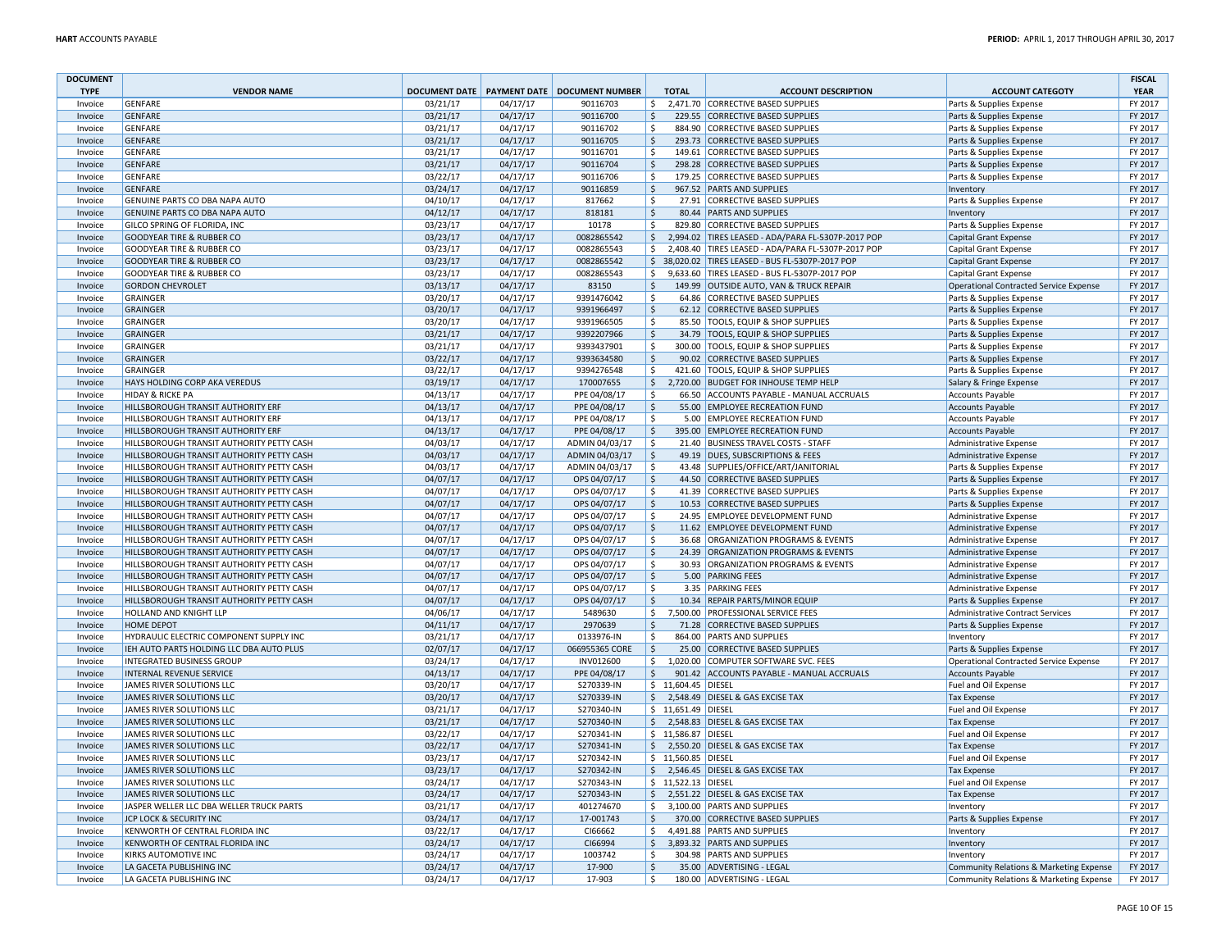| <b>DOCUMENT</b> |                                           |          |          |                                                |                     |                                                    |                                               | <b>FISCAL</b> |
|-----------------|-------------------------------------------|----------|----------|------------------------------------------------|---------------------|----------------------------------------------------|-----------------------------------------------|---------------|
| <b>TYPE</b>     | <b>VENDOR NAME</b>                        |          |          | DOCUMENT DATE   PAYMENT DATE   DOCUMENT NUMBER | <b>TOTAL</b>        | <b>ACCOUNT DESCRIPTION</b>                         | <b>ACCOUNT CATEGOTY</b>                       | <b>YEAR</b>   |
| Invoice         | <b>GENFARE</b>                            | 03/21/17 | 04/17/17 | 90116703                                       | \$                  | 2.471.70 CORRECTIVE BASED SUPPLIES                 | Parts & Supplies Expense                      | FY 2017       |
| Invoice         | <b>GENFARE</b>                            | 03/21/17 | 04/17/17 | 90116700                                       | \$                  | 229.55 CORRECTIVE BASED SUPPLIES                   | Parts & Supplies Expense                      | FY 2017       |
| Invoice         | <b>GENFARE</b>                            | 03/21/17 | 04/17/17 | 90116702                                       | Ŝ.                  | 884.90 CORRECTIVE BASED SUPPLIES                   | Parts & Supplies Expense                      | FY 2017       |
| Invoice         | <b>GENFARE</b>                            | 03/21/17 | 04/17/17 | 90116705                                       | $\ddot{\mathsf{S}}$ | 293.73 CORRECTIVE BASED SUPPLIES                   | Parts & Supplies Expense                      | FY 2017       |
| Invoice         | <b>GENFARE</b>                            | 03/21/17 | 04/17/17 | 90116701                                       | \$                  | 149.61 CORRECTIVE BASED SUPPLIES                   | Parts & Supplies Expense                      | FY 2017       |
| Invoice         | <b>GENFARE</b>                            | 03/21/17 | 04/17/17 | 90116704                                       | $\zeta$             | 298.28 CORRECTIVE BASED SUPPLIES                   | Parts & Supplies Expense                      | FY 2017       |
| Invoice         | <b>GENFARE</b>                            | 03/22/17 | 04/17/17 | 90116706                                       | \$                  | 179.25 CORRECTIVE BASED SUPPLIES                   | Parts & Supplies Expense                      | FY 2017       |
| Invoice         | <b>GENFARE</b>                            | 03/24/17 | 04/17/17 | 90116859                                       | $\mathsf{S}$        | 967.52 PARTS AND SUPPLIES                          | Inventory                                     | FY 2017       |
| Invoice         | GENUINE PARTS CO DBA NAPA AUTO            | 04/10/17 | 04/17/17 | 817662                                         | \$                  | 27.91 CORRECTIVE BASED SUPPLIES                    | Parts & Supplies Expense                      | FY 2017       |
| Invoice         | GENUINE PARTS CO DBA NAPA AUTO            | 04/12/17 | 04/17/17 | 818181                                         | $\ddot{\mathsf{S}}$ | 80.44 PARTS AND SUPPLIES                           | Inventory                                     | FY 2017       |
| Invoice         | GILCO SPRING OF FLORIDA, INC              | 03/23/17 | 04/17/17 | 10178                                          | \$                  | 829.80 CORRECTIVE BASED SUPPLIES                   | Parts & Supplies Expense                      | FY 2017       |
| Invoice         | <b>GOODYEAR TIRE &amp; RUBBER CO</b>      | 03/23/17 | 04/17/17 | 0082865542                                     | $\zeta$             | 2,994.02 TIRES LEASED - ADA/PARA FL-5307P-2017 POP | <b>Capital Grant Expense</b>                  | FY 2017       |
| Invoice         | <b>GOODYEAR TIRE &amp; RUBBER CO</b>      | 03/23/17 | 04/17/17 | 0082865543                                     | \$                  | 2,408.40 TIRES LEASED - ADA/PARA FL-5307P-2017 POP | Capital Grant Expense                         | FY 2017       |
| Invoice         | <b>GOODYEAR TIRE &amp; RUBBER CO</b>      | 03/23/17 | 04/17/17 | 0082865542                                     |                     | \$38,020.02 TIRES LEASED - BUS FL-5307P-2017 POP   | <b>Capital Grant Expense</b>                  | FY 2017       |
| Invoice         | <b>GOODYEAR TIRE &amp; RUBBER CO</b>      | 03/23/17 | 04/17/17 | 0082865543                                     | \$                  | 9,633.60 TIRES LEASED - BUS FL-5307P-2017 POP      | <b>Capital Grant Expense</b>                  | FY 2017       |
| Invoice         | <b>GORDON CHEVROLET</b>                   | 03/13/17 | 04/17/17 | 83150                                          | $\mathsf{\hat{S}}$  | 149.99 OUTSIDE AUTO, VAN & TRUCK REPAIR            | Operational Contracted Service Expense        | FY 2017       |
| Invoice         | GRAINGER                                  | 03/20/17 | 04/17/17 | 9391476042                                     | \$                  | 64.86 CORRECTIVE BASED SUPPLIES                    | Parts & Supplies Expense                      | FY 2017       |
| Invoice         | <b>GRAINGER</b>                           | 03/20/17 | 04/17/17 | 9391966497                                     | $\zeta$             | 62.12 CORRECTIVE BASED SUPPLIES                    | Parts & Supplies Expense                      | FY 2017       |
| Invoice         | GRAINGER                                  | 03/20/17 | 04/17/17 | 9391966505                                     | \$                  | 85.50 TOOLS, EQUIP & SHOP SUPPLIES                 | Parts & Supplies Expense                      | FY 2017       |
| Invoice         | GRAINGER                                  | 03/21/17 | 04/17/17 | 9392207966                                     | $\zeta$             | 34.79 TOOLS, EQUIP & SHOP SUPPLIES                 | Parts & Supplies Expense                      | FY 2017       |
| Invoice         | GRAINGER                                  | 03/21/17 | 04/17/17 | 9393437901                                     | $\mathsf{\hat{S}}$  | 300.00 TOOLS, EQUIP & SHOP SUPPLIES                | Parts & Supplies Expense                      | FY 2017       |
| Invoice         | <b>GRAINGER</b>                           | 03/22/17 | 04/17/17 | 9393634580                                     | $\zeta$             | 90.02 CORRECTIVE BASED SUPPLIES                    | Parts & Supplies Expense                      | FY 2017       |
| Invoice         | GRAINGER                                  | 03/22/17 | 04/17/17 | 9394276548                                     | \$                  | 421.60 TOOLS, EQUIP & SHOP SUPPLIES                | Parts & Supplies Expense                      | FY 2017       |
| Invoice         | HAYS HOLDING CORP AKA VEREDUS             | 03/19/17 | 04/17/17 | 170007655                                      | $\mathsf{S}$        | 2,720.00 BUDGET FOR INHOUSE TEMP HELP              | Salary & Fringe Expense                       | FY 2017       |
| Invoice         | <b>HIDAY &amp; RICKE PA</b>               | 04/13/17 | 04/17/17 | PPE 04/08/17                                   | \$                  | 66.50 ACCOUNTS PAYABLE - MANUAL ACCRUALS           | <b>Accounts Payable</b>                       | FY 2017       |
| Invoice         | HILLSBOROUGH TRANSIT AUTHORITY ERF        | 04/13/17 | 04/17/17 | PPE 04/08/17                                   | $\zeta$             | 55.00 EMPLOYEE RECREATION FUND                     | <b>Accounts Payable</b>                       | FY 2017       |
| Invoice         | HILLSBOROUGH TRANSIT AUTHORITY ERF        | 04/13/17 | 04/17/17 | PPE 04/08/17                                   | \$                  | 5.00 EMPLOYEE RECREATION FUND                      | <b>Accounts Payable</b>                       | FY 2017       |
| Invoice         | <b>HILLSBOROUGH TRANSIT AUTHORITY ERF</b> | 04/13/17 | 04/17/17 | PPE 04/08/17                                   | $\zeta$             | 395.00 EMPLOYEE RECREATION FUND                    | <b>Accounts Payable</b>                       | FY 2017       |
| Invoice         | HILLSBOROUGH TRANSIT AUTHORITY PETTY CASH | 04/03/17 | 04/17/17 | ADMIN 04/03/17                                 | $\ddot{\mathsf{S}}$ | 21.40 BUSINESS TRAVEL COSTS - STAFF                | Administrative Expense                        | FY 2017       |
| Invoice         | HILLSBOROUGH TRANSIT AUTHORITY PETTY CASH | 04/03/17 | 04/17/17 | ADMIN 04/03/17                                 | $\zeta$             | 49.19 DUES, SUBSCRIPTIONS & FEES                   | Administrative Expense                        | FY 2017       |
| Invoice         | HILLSBOROUGH TRANSIT AUTHORITY PETTY CASH | 04/03/17 | 04/17/17 | ADMIN 04/03/17                                 | \$                  | 43.48 SUPPLIES/OFFICE/ART/JANITORIAL               | Parts & Supplies Expense                      | FY 2017       |
| Invoice         | HILLSBOROUGH TRANSIT AUTHORITY PETTY CASH | 04/07/17 | 04/17/17 | OPS 04/07/17                                   | $\zeta$             | 44.50 CORRECTIVE BASED SUPPLIES                    | Parts & Supplies Expense                      | FY 2017       |
| Invoice         | HILLSBOROUGH TRANSIT AUTHORITY PETTY CASH | 04/07/17 | 04/17/17 | OPS 04/07/17                                   | \$                  | 41.39 CORRECTIVE BASED SUPPLIES                    | Parts & Supplies Expense                      | FY 2017       |
| Invoice         | HILLSBOROUGH TRANSIT AUTHORITY PETTY CASH | 04/07/17 | 04/17/17 | OPS 04/07/17                                   | $\ddot{\mathsf{S}}$ | 10.53 CORRECTIVE BASED SUPPLIES                    | Parts & Supplies Expense                      | FY 2017       |
| Invoice         | HILLSBOROUGH TRANSIT AUTHORITY PETTY CASH | 04/07/17 | 04/17/17 | OPS 04/07/17                                   | \$                  | 24.95 EMPLOYEE DEVELOPMENT FUND                    | <b>Administrative Expense</b>                 | FY 2017       |
| Invoice         | HILLSBOROUGH TRANSIT AUTHORITY PETTY CASH | 04/07/17 | 04/17/17 | OPS 04/07/17                                   | \$                  | 11.62 EMPLOYEE DEVELOPMENT FUND                    | Administrative Expense                        | FY 2017       |
| Invoice         | HILLSBOROUGH TRANSIT AUTHORITY PETTY CASH | 04/07/17 | 04/17/17 | OPS 04/07/17                                   | \$                  | 36.68 ORGANIZATION PROGRAMS & EVENTS               | <b>Administrative Expense</b>                 | FY 2017       |
| Invoice         | HILLSBOROUGH TRANSIT AUTHORITY PETTY CASH | 04/07/17 | 04/17/17 | OPS 04/07/17                                   | \$                  | 24.39 ORGANIZATION PROGRAMS & EVENTS               | <b>Administrative Expense</b>                 | FY 2017       |
| Invoice         | HILLSBOROUGH TRANSIT AUTHORITY PETTY CASH | 04/07/17 | 04/17/17 | OPS 04/07/17                                   | \$                  | 30.93 ORGANIZATION PROGRAMS & EVENTS               | <b>Administrative Expense</b>                 | FY 2017       |
| Invoice         | HILLSBOROUGH TRANSIT AUTHORITY PETTY CASH | 04/07/17 | 04/17/17 | OPS 04/07/17                                   | \$                  | 5.00 PARKING FEES                                  | Administrative Expense                        | FY 2017       |
| Invoice         | HILLSBOROUGH TRANSIT AUTHORITY PETTY CASH | 04/07/17 | 04/17/17 | OPS 04/07/17                                   | S.                  | 3.35 PARKING FEES                                  | <b>Administrative Expense</b>                 | FY 2017       |
| Invoice         | HILLSBOROUGH TRANSIT AUTHORITY PETTY CASH | 04/07/17 | 04/17/17 | OPS 04/07/17                                   | $\mathsf{S}$        | 10.34 REPAIR PARTS/MINOR EQUIP                     | Parts & Supplies Expense                      | FY 2017       |
| Invoice         | HOLLAND AND KNIGHT LLP                    | 04/06/17 | 04/17/17 | 5489630                                        | \$                  | 7,500.00 PROFESSIONAL SERVICE FEES                 | <b>Administrative Contract Services</b>       | FY 2017       |
| Invoice         | <b>HOME DEPOT</b>                         | 04/11/17 | 04/17/17 | 2970639                                        | $\mathsf{S}$        | 71.28 CORRECTIVE BASED SUPPLIES                    | Parts & Supplies Expense                      | FY 2017       |
| Invoice         | HYDRAULIC ELECTRIC COMPONENT SUPPLY INC   | 03/21/17 | 04/17/17 | 0133976-IN                                     | \$                  | 864.00 PARTS AND SUPPLIES                          | Inventory                                     | FY 2017       |
| Invoice         | IEH AUTO PARTS HOLDING LLC DBA AUTO PLUS  | 02/07/17 | 04/17/17 | 066955365 CORE                                 | l\$                 | 25.00 CORRECTIVE BASED SUPPLIES                    | Parts & Supplies Expense                      | FY 2017       |
| Invoice         | <b>INTEGRATED BUSINESS GROUP</b>          | 03/24/17 | 04/17/17 | INV012600                                      | \$                  | 1,020.00 COMPUTER SOFTWARE SVC. FEES               | <b>Operational Contracted Service Expense</b> | FY 2017       |
| Invoice         | <b>INTERNAL REVENUE SERVICE</b>           | 04/13/17 | 04/17/17 | PPE 04/08/17                                   | $\zeta$             | 901.42 ACCOUNTS PAYABLE - MANUAL ACCRUALS          | <b>Accounts Payable</b>                       | FY 2017       |
|                 | JAMES RIVER SOLUTIONS LLC                 | 03/20/17 | 04/17/17 |                                                | \$ 11,604.45 DIESEL |                                                    |                                               | FY 2017       |
| Invoice         | JAMES RIVER SOLUTIONS LLC                 | 03/20/17 | 04/17/17 | S270339-IN<br>S270339-IN                       | $\mathsf{S}$        | 2,548.49 DIESEL & GAS EXCISE TAX                   | Fuel and Oil Expense<br><b>Tax Expense</b>    | FY 2017       |
| Invoice         | JAMES RIVER SOLUTIONS LLC                 |          |          | S270340-IN                                     | \$ 11,651.49 DIESEL |                                                    |                                               | FY 2017       |
| Invoice         |                                           | 03/21/17 | 04/17/17 |                                                |                     |                                                    | Fuel and Oil Expense                          |               |
| Invoice         | JAMES RIVER SOLUTIONS LLC                 | 03/21/17 | 04/17/17 | S270340-IN                                     | -Ś                  | 2,548.83 DIESEL & GAS EXCISE TAX                   | <b>Tax Expense</b>                            | FY 2017       |
| Invoice         | JAMES RIVER SOLUTIONS LLC                 | 03/22/17 | 04/17/17 | S270341-IN                                     | \$ 11,586.87 DIESEL |                                                    | Fuel and Oil Expense                          | FY 2017       |
| Invoice         | JAMES RIVER SOLUTIONS LLC                 | 03/22/17 | 04/17/17 | S270341-IN                                     | $\mathsf{S}$        | 2,550.20 DIESEL & GAS EXCISE TAX                   | <b>Tax Expense</b>                            | FY 2017       |
| Invoice         | JAMES RIVER SOLUTIONS LLC                 | 03/23/17 | 04/17/17 | S270342-IN                                     | \$ 11,560.85 DIESEL |                                                    | Fuel and Oil Expense                          | FY 2017       |
| Invoice         | JAMES RIVER SOLUTIONS LLC                 | 03/23/17 | 04/17/17 | S270342-IN                                     | S.                  | 2,546.45 DIESEL & GAS EXCISE TAX                   | <b>Tax Expense</b>                            | FY 2017       |
| Invoice         | JAMES RIVER SOLUTIONS LLC                 | 03/24/17 | 04/17/17 | S270343-IN                                     | \$ 11.522.13 DIESEL |                                                    | Fuel and Oil Expense                          | FY 2017       |
| Invoice         | JAMES RIVER SOLUTIONS LLC                 | 03/24/17 | 04/17/17 | S270343-IN                                     | \$                  | 2,551.22 DIESEL & GAS EXCISE TAX                   | <b>Tax Expense</b>                            | FY 2017       |
| Invoice         | JASPER WELLER LLC DBA WELLER TRUCK PARTS  | 03/21/17 | 04/17/17 | 401274670                                      | S.                  | 3.100.00 PARTS AND SUPPLIES                        | Inventory                                     | FY 2017       |
| Invoice         | JCP LOCK & SECURITY INC                   | 03/24/17 | 04/17/17 | 17-001743                                      | -Ś                  | 370.00 CORRECTIVE BASED SUPPLIES                   | Parts & Supplies Expense                      | FY 2017       |
| Invoice         | KENWORTH OF CENTRAL FLORIDA INC           | 03/22/17 | 04/17/17 | CI66662                                        | S.                  | 4,491.88 PARTS AND SUPPLIES                        | Inventory                                     | FY 2017       |
| Invoice         | KENWORTH OF CENTRAL FLORIDA INC           | 03/24/17 | 04/17/17 | CI66994                                        | $\zeta$             | 3,893.32 PARTS AND SUPPLIES                        | Inventory                                     | FY 2017       |
| Invoice         | KIRKS AUTOMOTIVE INC                      | 03/24/17 | 04/17/17 | 1003742                                        | \$                  | 304.98 PARTS AND SUPPLIES                          | Inventory                                     | FY 2017       |
| Invoice         | LA GACETA PUBLISHING INC                  | 03/24/17 | 04/17/17 | 17-900                                         | $\ddot{\mathsf{S}}$ | 35.00 ADVERTISING - LEGAL                          | Community Relations & Marketing Expense       | FY 2017       |
| Invoice         | LA GACETA PUBLISHING INC                  | 03/24/17 | 04/17/17 | 17-903                                         | \$                  | 180.00 ADVERTISING - LEGAL                         | Community Relations & Marketing Expense       | FY 2017       |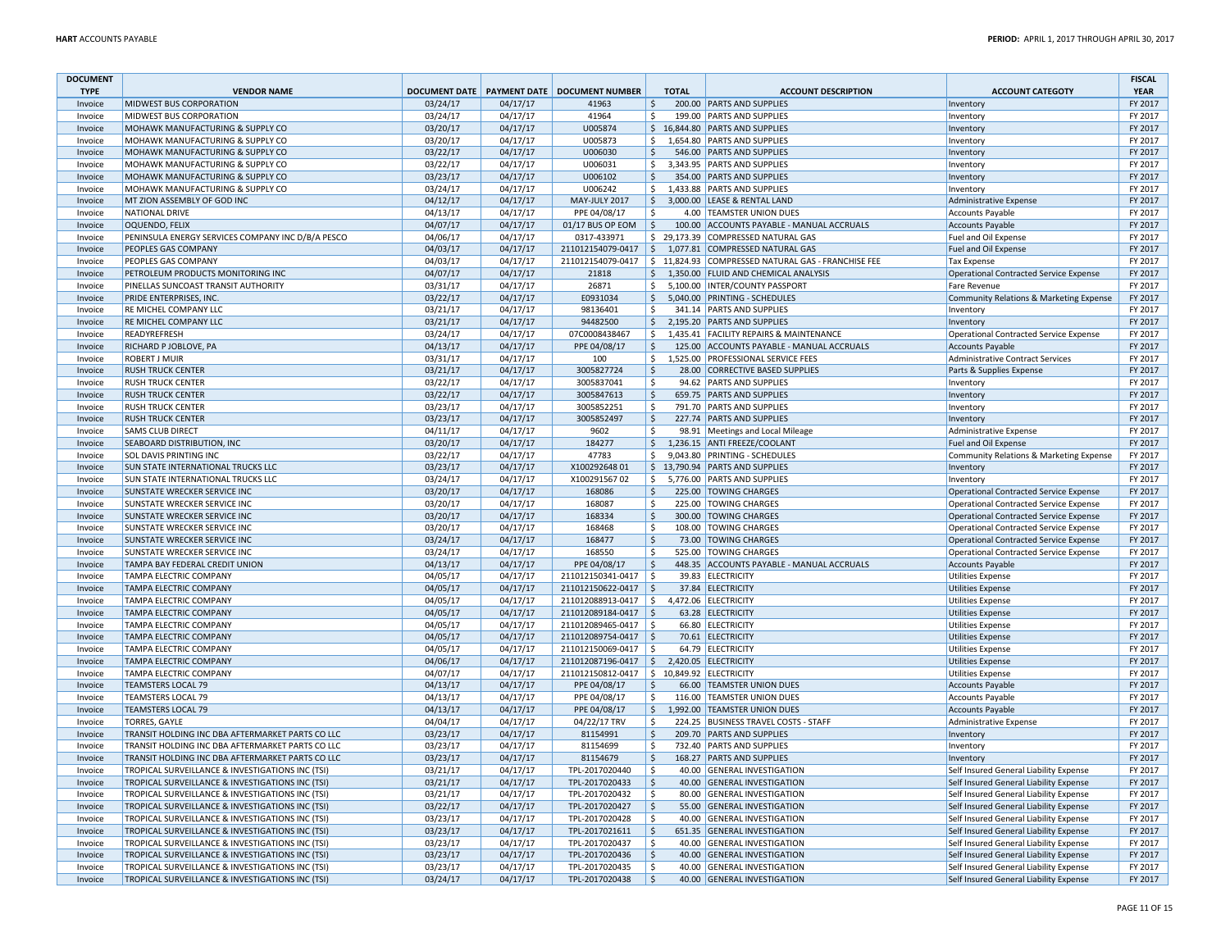| <b>DOCUMENT</b>    |                                                             |                      |                      |                                                |                     |              |                                                                |                                                      | <b>FISCAL</b>      |
|--------------------|-------------------------------------------------------------|----------------------|----------------------|------------------------------------------------|---------------------|--------------|----------------------------------------------------------------|------------------------------------------------------|--------------------|
| <b>TYPE</b>        | <b>VENDOR NAME</b>                                          |                      |                      | DOCUMENT DATE   PAYMENT DATE   DOCUMENT NUMBER |                     | <b>TOTAL</b> | <b>ACCOUNT DESCRIPTION</b>                                     | <b>ACCOUNT CATEGOTY</b>                              | <b>YEAR</b>        |
| Invoice            | <b>MIDWEST BUS CORPORATION</b>                              | 03/24/17             | 04/17/17             | 41963                                          | \$                  |              | 200.00 PARTS AND SUPPLIES                                      | Inventory                                            | FY 2017            |
| Invoice            | MIDWEST BUS CORPORATION<br>MOHAWK MANUFACTURING & SUPPLY CO | 03/24/17             | 04/17/17<br>04/17/17 | 41964<br>U005874                               | \$<br>\$            |              | 199.00 PARTS AND SUPPLIES<br>16,844.80 PARTS AND SUPPLIES      | Inventory                                            | FY 2017<br>FY 2017 |
| Invoice<br>Invoice | MOHAWK MANUFACTURING & SUPPLY CO                            | 03/20/17<br>03/20/17 | 04/17/17             | U005873                                        | -Ś                  |              | 1,654.80 PARTS AND SUPPLIES                                    | Inventory<br>Inventory                               | FY 2017            |
| Invoice            | MOHAWK MANUFACTURING & SUPPLY CO                            | 03/22/17             | 04/17/17             | U006030                                        | $\zeta$             |              | 546.00 PARTS AND SUPPLIES                                      | Inventory                                            | FY 2017            |
| Invoice            | MOHAWK MANUFACTURING & SUPPLY CO                            | 03/22/17             | 04/17/17             | U006031                                        | \$                  |              | 3,343.95 PARTS AND SUPPLIES                                    | Inventory                                            | FY 2017            |
| Invoice            | MOHAWK MANUFACTURING & SUPPLY CO                            | 03/23/17             | 04/17/17             | U006102                                        | <sub>S</sub>        |              | 354.00 PARTS AND SUPPLIES                                      | Inventory                                            | FY 2017            |
| Invoice            | MOHAWK MANUFACTURING & SUPPLY CO                            | 03/24/17             | 04/17/17             | U006242                                        | \$                  |              | 1,433.88 PARTS AND SUPPLIES                                    | Inventory                                            | FY 2017            |
| Invoice            | MT ZION ASSEMBLY OF GOD INC                                 | 04/12/17             | 04/17/17             | MAY-JULY 2017                                  | $\frac{1}{2}$       |              | 3,000.00 LEASE & RENTAL LAND                                   | Administrative Expense                               | FY 2017            |
| Invoice            | NATIONAL DRIVE                                              | 04/13/17             | 04/17/17             | PPE 04/08/17                                   | \$                  |              | 4.00 TEAMSTER UNION DUES                                       | <b>Accounts Payable</b>                              | FY 2017            |
| Invoice            | OQUENDO, FELIX                                              | 04/07/17             | 04/17/17             | 01/17 BUS OP EOM                               | \$                  |              | 100.00 ACCOUNTS PAYABLE - MANUAL ACCRUALS                      | <b>Accounts Payable</b>                              | FY 2017            |
| Invoice            | PENINSULA ENERGY SERVICES COMPANY INC D/B/A PESCO           | 04/06/17             | 04/17/17             | 0317-433971                                    |                     |              | \$29,173.39 COMPRESSED NATURAL GAS                             | Fuel and Oil Expense                                 | FY 2017            |
| Invoice            | PEOPLES GAS COMPANY                                         | 04/03/17             | 04/17/17             | 211012154079-0417                              | $\mathsf{S}$        |              | 1,077.81 COMPRESSED NATURAL GAS                                | Fuel and Oil Expense                                 | FY 2017            |
| Invoice            | PEOPLES GAS COMPANY                                         | 04/03/17             | 04/17/17             | 211012154079-0417                              |                     |              | \$11,824.93 COMPRESSED NATURAL GAS - FRANCHISE FEE             | <b>Tax Expense</b>                                   | FY 2017            |
| Invoice            | PETROLEUM PRODUCTS MONITORING INC                           | 04/07/17             | 04/17/17             | 21818                                          | S.                  |              | 1,350.00 FLUID AND CHEMICAL ANALYSIS                           | Operational Contracted Service Expense               | FY 2017            |
| Invoice            | PINELLAS SUNCOAST TRANSIT AUTHORITY                         | 03/31/17             | 04/17/17             | 26871                                          | \$                  |              | 5,100.00 INTER/COUNTY PASSPORT                                 | Fare Revenue                                         | FY 2017            |
| Invoice            | PRIDE ENTERPRISES, INC.                                     | 03/22/17             | 04/17/17             | E0931034                                       | \$                  |              | 5,040.00 PRINTING - SCHEDULES                                  | Community Relations & Marketing Expense              | FY 2017            |
| Invoice            | RE MICHEL COMPANY LLC                                       | 03/21/17             | 04/17/17             | 98136401                                       | -Ś                  |              | 341.14 PARTS AND SUPPLIES                                      | Inventory                                            | FY 2017            |
| Invoice            | <b>RE MICHEL COMPANY LLC</b>                                | 03/21/17             | 04/17/17             | 94482500                                       | S.                  |              | 2,195.20 PARTS AND SUPPLIES                                    | Inventory                                            | FY 2017            |
| Invoice            | READYREFRESH                                                | 03/24/17             | 04/17/17             | 07C0008438467                                  | \$                  |              | 1,435.41 FACILITY REPAIRS & MAINTENANCE                        | <b>Operational Contracted Service Expense</b>        | FY 2017            |
| Invoice            | RICHARD P JOBLOVE, PA                                       | 04/13/17             | 04/17/17             | PPE 04/08/17                                   | S.                  |              | 125.00 ACCOUNTS PAYABLE - MANUAL ACCRUALS                      | <b>Accounts Payable</b>                              | FY 2017            |
| Invoice            | <b>ROBERT J MUIR</b>                                        | 03/31/17             | 04/17/17             | 100                                            | Ŝ.                  |              | 1,525.00 PROFESSIONAL SERVICE FEES                             | Administrative Contract Services                     | FY 2017            |
| Invoice            | <b>RUSH TRUCK CENTER</b>                                    | 03/21/17             | 04/17/17             | 3005827724                                     | S.                  |              | 28.00 CORRECTIVE BASED SUPPLIES                                | Parts & Supplies Expense                             | FY 2017            |
| Invoice            | <b>RUSH TRUCK CENTER</b>                                    | 03/22/17             | 04/17/17             | 3005837041                                     | \$                  |              | 94.62 PARTS AND SUPPLIES                                       | Inventory                                            | FY 2017            |
| Invoice            | <b>RUSH TRUCK CENTER</b>                                    | 03/22/17             | 04/17/17             | 3005847613                                     | $\zeta$             |              | 659.75 PARTS AND SUPPLIES                                      | Inventory                                            | FY 2017            |
| Invoice            | <b>RUSH TRUCK CENTER</b>                                    | 03/23/17             | 04/17/17             | 3005852251                                     | \$                  |              | 791.70 PARTS AND SUPPLIES                                      | Inventory                                            | FY 2017            |
| Invoice            | <b>RUSH TRUCK CENTER</b>                                    | 03/23/17             | 04/17/17             | 3005852497                                     | $\zeta$             |              | 227.74 PARTS AND SUPPLIES                                      | Inventory                                            | FY 2017            |
| Invoice            | <b>SAMS CLUB DIRECT</b>                                     | 04/11/17             | 04/17/17             | 9602                                           | \$                  |              | 98.91 Meetings and Local Mileage                               | Administrative Expense                               | FY 2017            |
| Invoice            | SEABOARD DISTRIBUTION, INC                                  | 03/20/17             | 04/17/17             | 184277                                         | $\zeta$             |              | 1,236.15 ANTI FREEZE/COOLANT                                   | Fuel and Oil Expense                                 | FY 2017            |
| Invoice            | SOL DAVIS PRINTING INC                                      | 03/22/17             | 04/17/17             | 47783                                          | \$                  |              | 9,043.80 PRINTING - SCHEDULES                                  | Community Relations & Marketing Expense              | FY 2017            |
| Invoice            | SUN STATE INTERNATIONAL TRUCKS LLC                          | 03/23/17             | 04/17/17             | X10029264801                                   |                     |              | \$13,790.94 PARTS AND SUPPLIES                                 | Inventory                                            | FY 2017            |
| Invoice            | SUN STATE INTERNATIONAL TRUCKS LLC                          | 03/24/17             | 04/17/17             | X10029156702                                   | \$                  |              | 5,776.00 PARTS AND SUPPLIES                                    | Inventory                                            | FY 2017            |
| Invoice            | <b>SUNSTATE WRECKER SERVICE INC</b>                         | 03/20/17             | 04/17/17             | 168086                                         | $\zeta$             |              | 225.00 TOWING CHARGES                                          | Operational Contracted Service Expense               | FY 2017            |
| Invoice            | SUNSTATE WRECKER SERVICE INC                                | 03/20/17             | 04/17/17             | 168087                                         | \$                  |              | 225.00 TOWING CHARGES                                          | Operational Contracted Service Expense               | FY 2017            |
| Invoice            | SUNSTATE WRECKER SERVICE INC                                | 03/20/17             | 04/17/17             | 168334                                         | $\zeta$             |              | 300.00 TOWING CHARGES                                          | Operational Contracted Service Expense               | FY 2017            |
| Invoice            | SUNSTATE WRECKER SERVICE INC                                | 03/20/17             | 04/17/17             | 168468                                         | \$                  |              | 108.00 TOWING CHARGES                                          | Operational Contracted Service Expense               | FY 2017            |
| Invoice            | SUNSTATE WRECKER SERVICE INC                                | 03/24/17             | 04/17/17             | 168477                                         | $\zeta$             |              | 73.00 TOWING CHARGES                                           | Operational Contracted Service Expense               | FY 2017            |
| Invoice            | SUNSTATE WRECKER SERVICE INC                                | 03/24/17             | 04/17/17             | 168550                                         | \$                  |              | 525.00 TOWING CHARGES                                          | <b>Operational Contracted Service Expense</b>        | FY 2017            |
| Invoice            | TAMPA BAY FEDERAL CREDIT UNION                              | 04/13/17             | 04/17/17             | PPE 04/08/17                                   | $\zeta$             |              | 448.35 ACCOUNTS PAYABLE - MANUAL ACCRUALS                      | <b>Accounts Payable</b>                              | FY 2017            |
| Invoice            | TAMPA ELECTRIC COMPANY                                      | 04/05/17             | 04/17/17             | 211012150341-0417                              | $\zeta$             |              | 39.83 ELECTRICITY                                              | <b>Utilities Expense</b>                             | FY 2017            |
| Invoice            | TAMPA ELECTRIC COMPANY                                      | 04/05/17             | 04/17/17             | 211012150622-0417                              | S.                  |              | 37.84 ELECTRICITY                                              | <b>Utilities Expense</b>                             | FY 2017            |
| Invoice            | TAMPA ELECTRIC COMPANY                                      | 04/05/17             | 04/17/17             | 211012088913-0417                              | \$                  |              | 4,472.06 ELECTRICITY                                           | <b>Utilities Expense</b>                             | FY 2017            |
| Invoice            | TAMPA ELECTRIC COMPANY                                      | 04/05/17             | 04/17/17             | 211012089184-0417                              | -\$                 |              | 63.28 ELECTRICITY                                              | <b>Utilities Expense</b>                             | FY 2017            |
| Invoice            | TAMPA ELECTRIC COMPANY                                      | 04/05/17             | 04/17/17             | 211012089465-0417                              | S,                  |              | 66.80 ELECTRICITY                                              | <b>Utilities Expense</b>                             | FY 2017            |
| Invoice<br>Invoice | TAMPA ELECTRIC COMPANY<br>TAMPA ELECTRIC COMPANY            | 04/05/17             | 04/17/17<br>04/17/17 | 211012089754-0417                              | $\zeta$<br>-\$      |              | 70.61 ELECTRICITY                                              | <b>Utilities Expense</b>                             | FY 2017<br>FY 2017 |
|                    |                                                             | 04/05/17             | 04/17/17             | 211012150069-0417                              |                     |              | 64.79 ELECTRICITY                                              | <b>Utilities Expense</b>                             | FY 2017            |
| Invoice<br>Invoice | TAMPA ELECTRIC COMPANY<br>TAMPA ELECTRIC COMPANY            | 04/06/17<br>04/07/17 | 04/17/17             | 211012087196-0417<br>211012150812-0417         | $\zeta$             |              | 2,420.05 ELECTRICITY<br>$\frac{1}{2}$ \$ 10,849.92 ELECTRICITY | <b>Utilities Expense</b><br><b>Utilities Expense</b> | FY 2017            |
| Invoice            | <b>TEAMSTERS LOCAL 79</b>                                   | 04/13/17             | 04/17/17             | PPE 04/08/17                                   | \$                  |              | 66.00 TEAMSTER UNION DUES                                      |                                                      | FY 2017            |
| Invoice            | <b>TEAMSTERS LOCAL 79</b>                                   | 04/13/17             | 04/17/17             | PPE 04/08/17                                   | \$                  |              | 116.00 TEAMSTER UNION DUES                                     | <b>Accounts Payable</b><br><b>Accounts Payable</b>   | FY 2017            |
| Invoice            | <b>TEAMSTERS LOCAL 79</b>                                   | 04/13/17             | 04/17/17             | PPE 04/08/17                                   | \$                  |              | 1,992.00 TEAMSTER UNION DUES                                   | <b>Accounts Payable</b>                              | FY 2017            |
| Invoice            | TORRES, GAYLE                                               | 04/04/17             | 04/17/17             | 04/22/17 TRV                                   | \$                  |              | 224.25 BUSINESS TRAVEL COSTS - STAFF                           | <b>Administrative Expense</b>                        | FY 2017            |
| Invoice            | TRANSIT HOLDING INC DBA AFTERMARKET PARTS CO LLC            | 03/23/17             | 04/17/17             | 81154991                                       | \$                  |              | 209.70 PARTS AND SUPPLIES                                      | Inventory                                            | FY 2017            |
| Invoice            | TRANSIT HOLDING INC DBA AFTERMARKET PARTS CO LLC            | 03/23/17             | 04/17/17             | 81154699                                       | \$                  |              | 732.40 PARTS AND SUPPLIES                                      | Inventory                                            | FY 2017            |
| Invoice            | TRANSIT HOLDING INC DBA AFTERMARKET PARTS CO LLC            | 03/23/17             | 04/17/17             | 81154679                                       | \$                  |              | 168.27 PARTS AND SUPPLIES                                      | Inventory                                            | FY 2017            |
| Invoice            | TROPICAL SURVEILLANCE & INVESTIGATIONS INC (TSI)            | 03/21/17             | 04/17/17             | TPL-2017020440                                 | \$                  |              | 40.00 GENERAL INVESTIGATION                                    | Self Insured General Liability Expense               | FY 2017            |
| Invoice            | TROPICAL SURVEILLANCE & INVESTIGATIONS INC (TSI)            | 03/21/17             | 04/17/17             | TPL-2017020433                                 | \$                  |              | 40.00 GENERAL INVESTIGATION                                    | Self Insured General Liability Expense               | FY 2017            |
| Invoice            | TROPICAL SURVEILLANCE & INVESTIGATIONS INC (TSI)            | 03/21/17             | 04/17/17             | TPL-2017020432                                 | -S                  |              | 80.00 GENERAL INVESTIGATION                                    | Self Insured General Liability Expense               | FY 2017            |
| Invoice            | TROPICAL SURVEILLANCE & INVESTIGATIONS INC (TSI)            | 03/22/17             | 04/17/17             | TPL-2017020427                                 | $\zeta$             |              | 55.00 GENERAL INVESTIGATION                                    | Self Insured General Liability Expense               | FY 2017            |
| Invoice            | TROPICAL SURVEILLANCE & INVESTIGATIONS INC (TSI)            | 03/23/17             | 04/17/17             | TPL-2017020428                                 | \$                  |              | 40.00 GENERAL INVESTIGATION                                    | Self Insured General Liability Expense               | FY 2017            |
| Invoice            | TROPICAL SURVEILLANCE & INVESTIGATIONS INC (TSI)            | 03/23/17             | 04/17/17             | TPL-2017021611                                 | $\mathsf{S}$        |              | 651.35 GENERAL INVESTIGATION                                   | Self Insured General Liability Expense               | FY 2017            |
| Invoice            | TROPICAL SURVEILLANCE & INVESTIGATIONS INC (TSI)            | 03/23/17             | 04/17/17             | TPL-2017020437                                 | \$                  |              | 40.00 GENERAL INVESTIGATION                                    | Self Insured General Liability Expense               | FY 2017            |
| Invoice            | TROPICAL SURVEILLANCE & INVESTIGATIONS INC (TSI)            | 03/23/17             | 04/17/17             | TPL-2017020436                                 | $\zeta$             |              | 40.00 GENERAL INVESTIGATION                                    | Self Insured General Liability Expense               | FY 2017            |
| Invoice            | TROPICAL SURVEILLANCE & INVESTIGATIONS INC (TSI)            | 03/23/17             | 04/17/17             | TPL-2017020435                                 | \$                  |              | 40.00 GENERAL INVESTIGATION                                    | Self Insured General Liability Expense               | FY 2017            |
| Invoice            | TROPICAL SURVEILLANCE & INVESTIGATIONS INC (TSI)            | 03/24/17             | 04/17/17             | TPL-2017020438                                 | $\ddot{\mathsf{S}}$ |              | 40.00 GENERAL INVESTIGATION                                    | Self Insured General Liability Expense               | FY 2017            |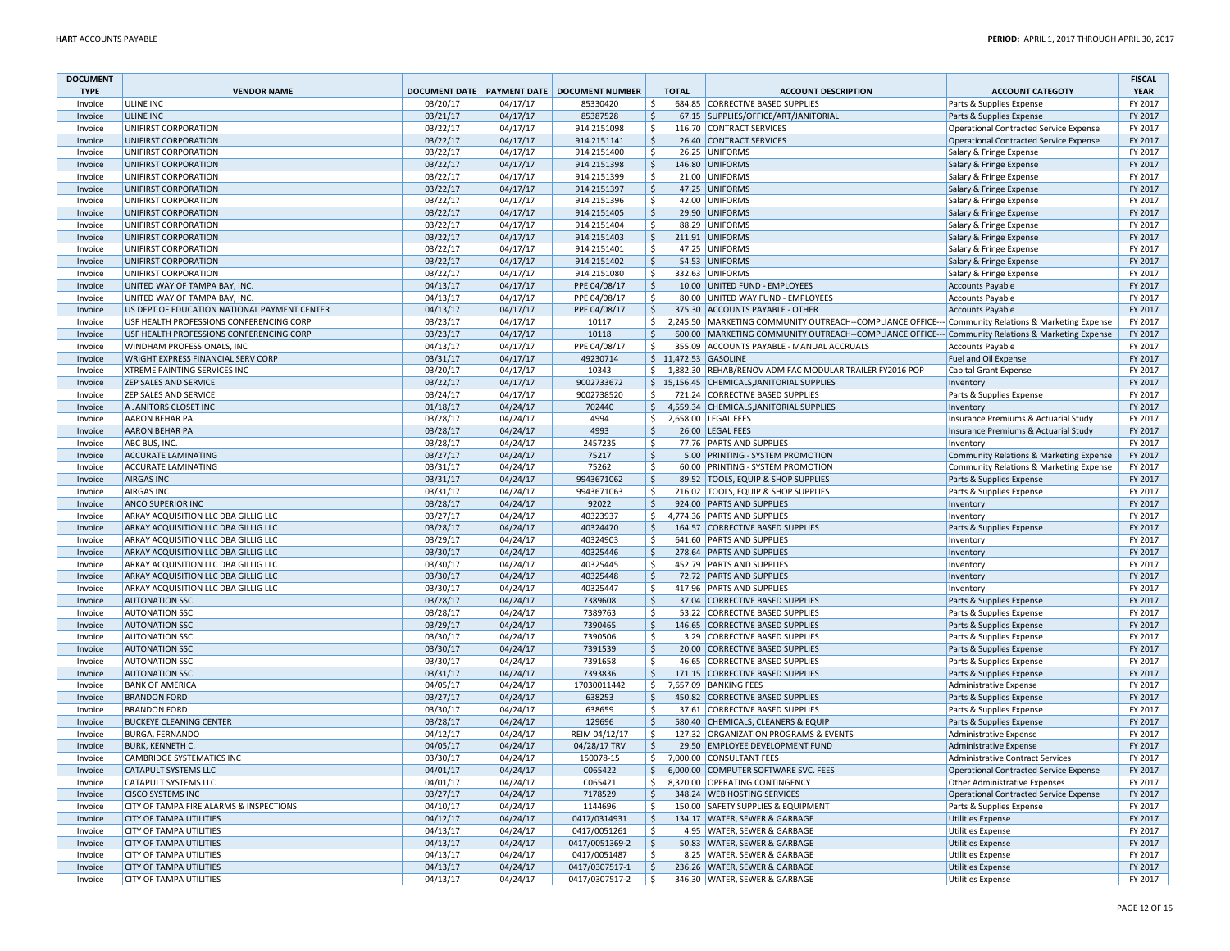| <b>DOCUMENT</b> |                                              |          |          |                                                |                       |                                                                                                       |                                               | <b>FISCAL</b> |
|-----------------|----------------------------------------------|----------|----------|------------------------------------------------|-----------------------|-------------------------------------------------------------------------------------------------------|-----------------------------------------------|---------------|
| <b>TYPE</b>     | <b>VENDOR NAME</b>                           |          |          | DOCUMENT DATE   PAYMENT DATE   DOCUMENT NUMBER | <b>TOTAL</b>          | <b>ACCOUNT DESCRIPTION</b>                                                                            | <b>ACCOUNT CATEGOTY</b>                       | <b>YEAR</b>   |
| Invoice         | <b>ULINE INC</b>                             | 03/20/17 | 04/17/17 | 85330420                                       | \$                    | 684.85 CORRECTIVE BASED SUPPLIES                                                                      | Parts & Supplies Expense                      | FY 2017       |
| Invoice         | <b>ULINE INC</b>                             | 03/21/17 | 04/17/17 | 85387528                                       | $\zeta$               | 67.15 SUPPLIES/OFFICE/ART/JANITORIAL                                                                  | Parts & Supplies Expense                      | FY 2017       |
| Invoice         | UNIFIRST CORPORATION                         | 03/22/17 | 04/17/17 | 914 2151098                                    | $\zeta$               | 116.70 CONTRACT SERVICES                                                                              | <b>Operational Contracted Service Expense</b> | FY 2017       |
| Invoice         | UNIFIRST CORPORATION                         | 03/22/17 | 04/17/17 | 914 2151141                                    | $\zeta$               | 26.40 CONTRACT SERVICES                                                                               | <b>Operational Contracted Service Expense</b> | FY 2017       |
| Invoice         | UNIFIRST CORPORATION                         | 03/22/17 | 04/17/17 | 914 2151400                                    | S.                    | 26.25 UNIFORMS                                                                                        | Salary & Fringe Expense                       | FY 2017       |
| Invoice         | <b>UNIFIRST CORPORATION</b>                  | 03/22/17 | 04/17/17 | 914 2151398                                    | $\ddot{\varsigma}$    | 146.80 UNIFORMS                                                                                       | Salary & Fringe Expense                       | FY 2017       |
| Invoice         | UNIFIRST CORPORATION                         | 03/22/17 | 04/17/17 | 914 2151399                                    | S.                    | 21.00 UNIFORMS                                                                                        | Salary & Fringe Expense                       | FY 2017       |
| Invoice         | UNIFIRST CORPORATION                         | 03/22/17 | 04/17/17 | 914 2151397                                    | $\mathsf{S}$          | 47.25 UNIFORMS                                                                                        | Salary & Fringe Expense                       | FY 2017       |
| Invoice         | <b>UNIFIRST CORPORATION</b>                  | 03/22/17 | 04/17/17 | 914 2151396                                    | $\zeta$               | 42.00 UNIFORMS                                                                                        | Salary & Fringe Expense                       | FY 2017       |
| Invoice         | UNIFIRST CORPORATION                         | 03/22/17 | 04/17/17 | 914 2151405                                    | \$                    | 29.90 UNIFORMS                                                                                        | Salary & Fringe Expense                       | FY 2017       |
| Invoice         | <b>UNIFIRST CORPORATION</b>                  | 03/22/17 | 04/17/17 | 914 2151404                                    | \$                    | 88.29 UNIFORMS                                                                                        | Salary & Fringe Expense                       | FY 2017       |
| Invoice         | <b>UNIFIRST CORPORATION</b>                  | 03/22/17 | 04/17/17 | 914 2151403                                    | $\ddot{\mathsf{S}}$   | 211.91 UNIFORMS                                                                                       | Salary & Fringe Expense                       | FY 2017       |
| Invoice         | UNIFIRST CORPORATION                         | 03/22/17 | 04/17/17 | 914 2151401                                    | $\zeta$               | 47.25 UNIFORMS                                                                                        | Salary & Fringe Expense                       | FY 2017       |
| Invoice         | UNIFIRST CORPORATION                         | 03/22/17 | 04/17/17 | 914 2151402                                    | \$                    | 54.53 UNIFORMS                                                                                        | Salary & Fringe Expense                       | FY 2017       |
| Invoice         | UNIFIRST CORPORATION                         | 03/22/17 | 04/17/17 | 914 2151080                                    | $\zeta$               | 332.63 UNIFORMS                                                                                       | Salary & Fringe Expense                       | FY 2017       |
| Invoice         | UNITED WAY OF TAMPA BAY, INC.                | 04/13/17 | 04/17/17 | PPE 04/08/17                                   | $\zeta$               | 10.00 UNITED FUND - EMPLOYEES                                                                         | Accounts Payable                              | FY 2017       |
| Invoice         | UNITED WAY OF TAMPA BAY, INC.                | 04/13/17 | 04/17/17 | PPE 04/08/17                                   | $\ddot{\mathsf{S}}$   | 80.00 UNITED WAY FUND - EMPLOYEES                                                                     | <b>Accounts Payable</b>                       | FY 2017       |
| Invoice         | US DEPT OF EDUCATION NATIONAL PAYMENT CENTER | 04/13/17 | 04/17/17 | PPE 04/08/17                                   | $\ddot{\mathsf{S}}$   | 375.30 ACCOUNTS PAYABLE - OTHER                                                                       | <b>Accounts Payable</b>                       | FY 2017       |
| Invoice         | USF HEALTH PROFESSIONS CONFERENCING CORP     | 03/23/17 | 04/17/17 | 10117                                          | $\mathsf{S}$          | 2,245.50   MARKETING COMMUNITY OUTREACH--COMPLIANCE OFFICE--- Community Relations & Marketing Expense |                                               | FY 2017       |
| Invoice         | USF HEALTH PROFESSIONS CONFERENCING CORP     | 03/23/17 | 04/17/17 | 10118                                          | $\zeta$               | 600.00 MARKETING COMMUNITY OUTREACH--COMPLIANCE OFFICE--- Community Relations & Marketing Expense     |                                               | FY 2017       |
| Invoice         | WINDHAM PROFESSIONALS, INC                   | 04/13/17 | 04/17/17 | PPE 04/08/17                                   | S.                    | 355.09 ACCOUNTS PAYABLE - MANUAL ACCRUALS                                                             | <b>Accounts Payable</b>                       | FY 2017       |
| Invoice         | WRIGHT EXPRESS FINANCIAL SERV CORP           | 03/31/17 | 04/17/17 | 49230714                                       | \$ 11,472.53 GASOLINE |                                                                                                       | Fuel and Oil Expense                          | FY 2017       |
| Invoice         | XTREME PAINTING SERVICES INC                 | 03/20/17 | 04/17/17 | 10343                                          | $\mathsf{S}$          | 1,882.30 REHAB/RENOV ADM FAC MODULAR TRAILER FY2016 POP                                               | Capital Grant Expense                         | FY 2017       |
| Invoice         | ZEP SALES AND SERVICE                        | 03/22/17 | 04/17/17 | 9002733672                                     |                       | \$15,156.45 CHEMICALS, JANITORIAL SUPPLIES                                                            | Inventory                                     | FY 2017       |
| Invoice         | ZEP SALES AND SERVICE                        | 03/24/17 | 04/17/17 | 9002738520                                     | \$                    | 721.24 CORRECTIVE BASED SUPPLIES                                                                      | Parts & Supplies Expense                      | FY 2017       |
| Invoice         | A JANITORS CLOSET INC                        | 01/18/17 | 04/24/17 | 702440                                         | $\mathsf{S}$          | 4,559.34 CHEMICALS, JANITORIAL SUPPLIES                                                               | Inventory                                     | FY 2017       |
| Invoice         | <b>AARON BEHAR PA</b>                        | 03/28/17 | 04/24/17 | 4994                                           | $\mathsf{S}$          | 2,658.00 LEGAL FEES                                                                                   | Insurance Premiums & Actuarial Study          | FY 2017       |
| Invoice         | <b>AARON BEHAR PA</b>                        | 03/28/17 | 04/24/17 | 4993                                           | $\mathsf{S}$          | 26.00 LEGAL FEES                                                                                      | Insurance Premiums & Actuarial Study          | FY 2017       |
| Invoice         | ABC BUS, INC.                                | 03/28/17 | 04/24/17 | 2457235                                        | $\zeta$               | 77.76 PARTS AND SUPPLIES                                                                              | Inventory                                     | FY 2017       |
| Invoice         | <b>ACCURATE LAMINATING</b>                   | 03/27/17 | 04/24/17 | 75217                                          | $\ddot{\mathsf{S}}$   | 5.00 PRINTING - SYSTEM PROMOTION                                                                      | Community Relations & Marketing Expense       | FY 2017       |
| Invoice         | <b>ACCURATE LAMINATING</b>                   | 03/31/17 | 04/24/17 | 75262                                          | $\zeta$               | 60.00 PRINTING - SYSTEM PROMOTION                                                                     | Community Relations & Marketing Expense       | FY 2017       |
| Invoice         | <b>AIRGAS INC</b>                            | 03/31/17 | 04/24/17 | 9943671062                                     | $\ddot{\mathsf{S}}$   | 89.52 TOOLS, EQUIP & SHOP SUPPLIES                                                                    | Parts & Supplies Expense                      | FY 2017       |
| Invoice         | <b>AIRGAS INC</b>                            | 03/31/17 | 04/24/17 | 9943671063                                     | $\zeta$               | 216.02 TOOLS, EQUIP & SHOP SUPPLIES                                                                   | Parts & Supplies Expense                      | FY 2017       |
| Invoice         | <b>ANCO SUPERIOR INC</b>                     | 03/28/17 | 04/24/17 | 92022                                          | $\ddot{\varsigma}$    | 924.00 PARTS AND SUPPLIES                                                                             | Inventory                                     | FY 2017       |
| Invoice         | ARKAY ACQUISITION LLC DBA GILLIG LLC         | 03/27/17 | 04/24/17 | 40323937                                       | \$                    | 4,774.36 PARTS AND SUPPLIES                                                                           | Inventory                                     | FY 2017       |
| Invoice         | ARKAY ACQUISITION LLC DBA GILLIG LLC         | 03/28/17 | 04/24/17 | 40324470                                       | $\ddot{\mathsf{S}}$   | 164.57 CORRECTIVE BASED SUPPLIES                                                                      | Parts & Supplies Expense                      | FY 2017       |
| Invoice         | ARKAY ACQUISITION LLC DBA GILLIG LLC         | 03/29/17 | 04/24/17 | 40324903                                       | $\zeta$               | 641.60 PARTS AND SUPPLIES                                                                             | Inventory                                     | FY 2017       |
| Invoice         | ARKAY ACQUISITION LLC DBA GILLIG LLC         | 03/30/17 | 04/24/17 | 40325446                                       | $\hat{\mathcal{L}}$   | 278.64 PARTS AND SUPPLIES                                                                             | Inventory                                     | FY 2017       |
| Invoice         | ARKAY ACQUISITION LLC DBA GILLIG LLC         | 03/30/17 | 04/24/17 | 40325445                                       | $\zeta$               | 452.79 PARTS AND SUPPLIES                                                                             | Inventory                                     | FY 2017       |
| Invoice         | ARKAY ACQUISITION LLC DBA GILLIG LLC         | 03/30/17 | 04/24/17 | 40325448                                       | $\ddot{\mathsf{S}}$   | 72.72 PARTS AND SUPPLIES                                                                              | Inventory                                     | FY 2017       |
| Invoice         | ARKAY ACQUISITION LLC DBA GILLIG LLC         | 03/30/17 | 04/24/17 | 40325447                                       | \$                    | 417.96 PARTS AND SUPPLIES                                                                             | Inventory                                     | FY 2017       |
| Invoice         | <b>AUTONATION SSC</b>                        | 03/28/17 | 04/24/17 | 7389608                                        | $\zeta$               | 37.04 CORRECTIVE BASED SUPPLIES                                                                       | Parts & Supplies Expense                      | FY 2017       |
| Invoice         | <b>AUTONATION SSC</b>                        | 03/28/17 | 04/24/17 | 7389763                                        | $\mathsf{S}$          | 53.22 CORRECTIVE BASED SUPPLIES                                                                       | Parts & Supplies Expense                      | FY 2017       |
| Invoice         | <b>AUTONATION SSC</b>                        | 03/29/17 | 04/24/17 | 7390465                                        | $\ddot{\mathsf{S}}$   | 146.65 CORRECTIVE BASED SUPPLIES                                                                      | Parts & Supplies Expense                      | FY 2017       |
| Invoice         | <b>AUTONATION SSC</b>                        | 03/30/17 | 04/24/17 | 7390506                                        | $\ddot{\mathsf{S}}$   | 3.29 CORRECTIVE BASED SUPPLIES                                                                        | Parts & Supplies Expense                      | FY 2017       |
| Invoice         | <b>AUTONATION SSC</b>                        | 03/30/17 | 04/24/17 | 7391539                                        | $\zeta$               | 20.00 CORRECTIVE BASED SUPPLIES                                                                       | Parts & Supplies Expense                      | FY 2017       |
| Invoice         | <b>AUTONATION SSC</b>                        | 03/30/17 | 04/24/17 | 7391658                                        | $\ddot{\mathsf{S}}$   | 46.65 CORRECTIVE BASED SUPPLIES                                                                       | Parts & Supplies Expense                      | FY 2017       |
| Invoice         | <b>AUTONATION SSC</b>                        | 03/31/17 | 04/24/17 | 7393836                                        | $\ddot{\varsigma}$    | 171.15 CORRECTIVE BASED SUPPLIES                                                                      | Parts & Supplies Expense                      | FY 2017       |
| Invoice         | <b>BANK OF AMERICA</b>                       | 04/05/17 | 04/24/17 | 17030011442                                    | \$                    | 7,657.09 BANKING FEES                                                                                 | Administrative Expense                        | FY 2017       |
| Invoice         | <b>BRANDON FORD</b>                          | 03/27/17 | 04/24/17 | 638253                                         | $\zeta$               | 450.82 CORRECTIVE BASED SUPPLIES                                                                      | Parts & Supplies Expense                      | FY 2017       |
| Invoice         | <b>BRANDON FORD</b>                          | 03/30/17 | 04/24/17 | 638659                                         | $\ddot{\mathsf{S}}$   | 37.61 CORRECTIVE BASED SUPPLIES                                                                       | Parts & Supplies Expense                      | FY 2017       |
| Invoice         | <b>BUCKEYE CLEANING CENTER</b>               | 03/28/17 | 04/24/17 | 129696                                         | $\ddot{\mathsf{S}}$   | 580.40 CHEMICALS, CLEANERS & EQUIF                                                                    | Parts & Supplies Expense                      | FY 2017       |
| Invoice         | <b>BURGA, FERNANDO</b>                       | 04/12/17 | 04/24/17 | REIM 04/12/17                                  | \$                    | 127.32 ORGANIZATION PROGRAMS & EVENTS                                                                 | Administrative Expense                        | FY 2017       |
| Invoice         | <b>BURK, KENNETH C.</b>                      | 04/05/17 | 04/24/17 | 04/28/17 TRV                                   | $\mathsf{S}$          | 29.50 EMPLOYEE DEVELOPMENT FUND                                                                       | Administrative Expense                        | FY 2017       |
| Invoice         | CAMBRIDGE SYSTEMATICS INC                    | 03/30/17 | 04/24/17 | 150078-15                                      | \$                    | 7.000.00 CONSULTANT FEES                                                                              | <b>Administrative Contract Services</b>       | FY 2017       |
| Invoice         | <b>CATAPULT SYSTEMS LLC</b>                  | 04/01/17 | 04/24/17 | C065422                                        | $\ddot{\varsigma}$    | 6,000.00 COMPUTER SOFTWARE SVC. FEES                                                                  | <b>Operational Contracted Service Expense</b> | FY 2017       |
| Invoice         | <b>CATAPULT SYSTEMS LLC</b>                  | 04/01/17 | 04/24/17 | C065421                                        | S.                    | 8.320.00 OPERATING CONTINGENCY                                                                        | <b>Other Administrative Expenses</b>          | FY 2017       |
| Invoice         | <b>CISCO SYSTEMS INC</b>                     | 03/27/17 | 04/24/17 | 7178529                                        | $\zeta$               | 348.24 WEB HOSTING SERVICES                                                                           | Operational Contracted Service Expense        | FY 2017       |
| Invoice         | CITY OF TAMPA FIRE ALARMS & INSPECTIONS      | 04/10/17 | 04/24/17 | 1144696                                        | $\zeta$               | 150.00 SAFETY SUPPLIES & EQUIPMENT                                                                    | Parts & Supplies Expense                      | FY 2017       |
| Invoice         | <b>CITY OF TAMPA UTILITIES</b>               | 04/12/17 | 04/24/17 | 0417/0314931                                   | $\ddot{\mathsf{S}}$   | 134.17 WATER, SEWER & GARBAGE                                                                         | <b>Utilities Expense</b>                      | FY 2017       |
| Invoice         | CITY OF TAMPA UTILITIES                      | 04/13/17 | 04/24/17 | 0417/0051261                                   | $\mathsf{S}$          | 4.95 WATER, SEWER & GARBAGE                                                                           | <b>Utilities Expense</b>                      | FY 2017       |
| Invoice         | <b>CITY OF TAMPA UTILITIES</b>               | 04/13/17 | 04/24/17 | 0417/0051369-2                                 | $\vert$ \$            | 50.83 WATER, SEWER & GARBAGE                                                                          | <b>Utilities Expense</b>                      | FY 2017       |
| Invoice         | CITY OF TAMPA UTILITIES                      | 04/13/17 | 04/24/17 | 0417/0051487                                   | S.                    | 8.25 WATER, SEWER & GARBAGE                                                                           | <b>Utilities Expense</b>                      | FY 2017       |
| Invoice         | <b>CITY OF TAMPA UTILITIES</b>               | 04/13/17 | 04/24/17 | 0417/0307517-1                                 | $\ddot{\mathsf{S}}$   | 236.26 WATER, SEWER & GARBAGE                                                                         | <b>Utilities Expense</b>                      | FY 2017       |
| Invoice         | <b>CITY OF TAMPA UTILITIES</b>               | 04/13/17 | 04/24/17 | 0417/0307517-2                                 | l \$                  | 346.30 WATER, SEWER & GARBAGE                                                                         | <b>Utilities Expense</b>                      | FY 2017       |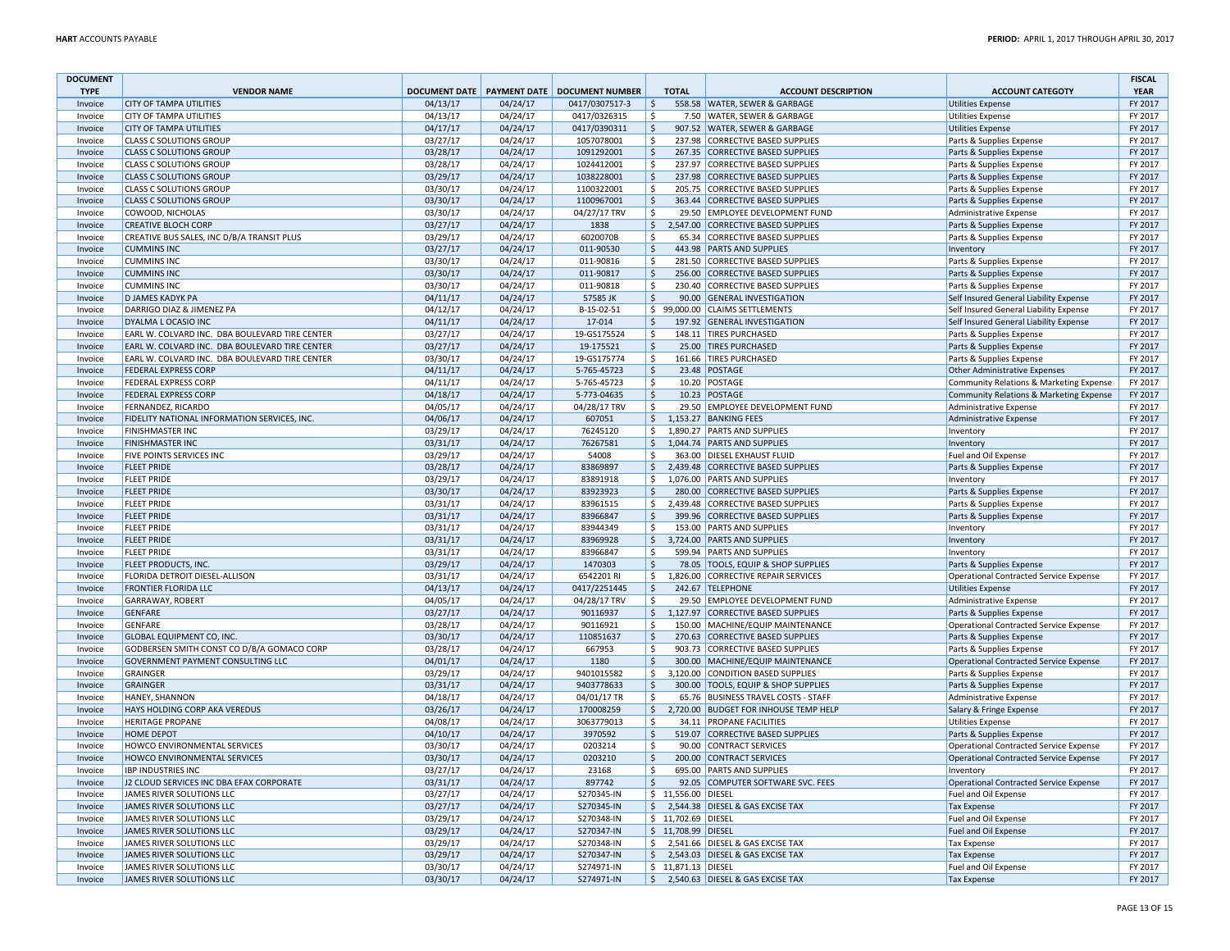| <b>DOCUMENT</b> |                                                |          |          |                                                |                     |                     |                                       |                                               | <b>FISCAL</b> |
|-----------------|------------------------------------------------|----------|----------|------------------------------------------------|---------------------|---------------------|---------------------------------------|-----------------------------------------------|---------------|
| <b>TYPE</b>     | <b>VENDOR NAME</b>                             |          |          | DOCUMENT DATE   PAYMENT DATE   DOCUMENT NUMBER |                     | <b>TOTAL</b>        | <b>ACCOUNT DESCRIPTION</b>            | <b>ACCOUNT CATEGOTY</b>                       | <b>YEAR</b>   |
| Invoice         | <b>CITY OF TAMPA UTILITIES</b>                 | 04/13/17 | 04/24/17 | 0417/0307517-3                                 | \$                  |                     | 558.58 WATER, SEWER & GARBAGE         | <b>Utilities Expense</b>                      | FY 2017       |
| Invoice         | CITY OF TAMPA UTILITIES                        | 04/13/17 | 04/24/17 | 0417/0326315                                   | \$                  |                     | 7.50 WATER, SEWER & GARBAGE           | <b>Utilities Expense</b>                      | FY 2017       |
| Invoice         | CITY OF TAMPA UTILITIES                        | 04/17/17 | 04/24/17 | 0417/0390311                                   | <sub>S</sub>        |                     | 907.52 WATER, SEWER & GARBAGE         | <b>Utilities Expense</b>                      | FY 2017       |
| Invoice         | <b>CLASS C SOLUTIONS GROUP</b>                 | 03/27/17 | 04/24/17 | 1057078001                                     | \$                  |                     | 237.98 CORRECTIVE BASED SUPPLIES      | Parts & Supplies Expense                      | FY 2017       |
| Invoice         | <b>CLASS C SOLUTIONS GROUP</b>                 | 03/28/17 | 04/24/17 | 1091292001                                     | $\zeta$             |                     | 267.35 CORRECTIVE BASED SUPPLIES      | Parts & Supplies Expense                      | FY 2017       |
| Invoice         | <b>CLASS C SOLUTIONS GROUP</b>                 | 03/28/17 | 04/24/17 | 1024412001                                     | \$                  |                     | 237.97 CORRECTIVE BASED SUPPLIES      | Parts & Supplies Expense                      | FY 2017       |
| Invoice         | <b>CLASS C SOLUTIONS GROUP</b>                 | 03/29/17 | 04/24/17 | 1038228001                                     | $\zeta$             |                     | 237.98 CORRECTIVE BASED SUPPLIES      | Parts & Supplies Expense                      | FY 2017       |
| Invoice         | <b>CLASS C SOLUTIONS GROUP</b>                 | 03/30/17 | 04/24/17 | 1100322001                                     | \$                  |                     | 205.75 CORRECTIVE BASED SUPPLIES      | Parts & Supplies Expense                      | FY 2017       |
| Invoice         | <b>CLASS C SOLUTIONS GROUP</b>                 | 03/30/17 | 04/24/17 | 1100967001                                     | $\zeta$             |                     | 363.44 CORRECTIVE BASED SUPPLIES      | Parts & Supplies Expense                      | FY 2017       |
| Invoice         | COWOOD, NICHOLAS                               | 03/30/17 | 04/24/17 | 04/27/17 TRV                                   | \$                  |                     | 29.50 EMPLOYEE DEVELOPMENT FUND       | Administrative Expense                        | FY 2017       |
| Invoice         | <b>CREATIVE BLOCH CORP</b>                     | 03/27/17 | 04/24/17 | 1838                                           | \$                  |                     | 2,547.00 CORRECTIVE BASED SUPPLIES    | Parts & Supplies Expense                      | FY 2017       |
| Invoice         | CREATIVE BUS SALES, INC D/B/A TRANSIT PLUS     | 03/29/17 | 04/24/17 | 6020070B                                       | S,                  |                     | 65.34 CORRECTIVE BASED SUPPLIES       | Parts & Supplies Expense                      | FY 2017       |
| Invoice         | <b>CUMMINS INC</b>                             | 03/27/17 | 04/24/17 | 011-90530                                      | $\zeta$             |                     | 443.98 PARTS AND SUPPLIES             | Inventory                                     | FY 2017       |
| Invoice         | <b>CUMMINS INC</b>                             | 03/30/17 | 04/24/17 | 011-90816                                      | \$                  |                     | 281.50 CORRECTIVE BASED SUPPLIES      | Parts & Supplies Expense                      | FY 2017       |
| Invoice         | <b>CUMMINS INC</b>                             | 03/30/17 | 04/24/17 | 011-90817                                      | $\zeta$             |                     | 256.00 CORRECTIVE BASED SUPPLIES      | Parts & Supplies Expense                      | FY 2017       |
| Invoice         | <b>CUMMINS INC</b>                             | 03/30/17 | 04/24/17 | 011-90818                                      | \$                  |                     | 230.40 CORRECTIVE BASED SUPPLIES      | Parts & Supplies Expense                      | FY 2017       |
| Invoice         | D JAMES KADYK PA                               | 04/11/17 | 04/24/17 | 57585 JK                                       | $\zeta$             |                     | 90.00 GENERAL INVESTIGATION           | Self Insured General Liability Expense        | FY 2017       |
| Invoice         | DARRIGO DIAZ & JIMENEZ PA                      | 04/12/17 | 04/24/17 | B-15-02-51                                     | \$                  |                     | 99,000.00 CLAIMS SETTLEMENTS          | Self Insured General Liability Expense        | FY 2017       |
| Invoice         | DYALMA L OCASIO INC                            | 04/11/17 | 04/24/17 | 17-014                                         | S.                  |                     | 197.92 GENERAL INVESTIGATION          | Self Insured General Liability Expense        | FY 2017       |
| Invoice         | EARL W. COLVARD INC. DBA BOULEVARD TIRE CENTER | 03/27/17 | 04/24/17 | 19-GS175524                                    | \$                  |                     | 148.11 TIRES PURCHASED                | Parts & Supplies Expense                      | FY 2017       |
| Invoice         | EARL W. COLVARD INC. DBA BOULEVARD TIRE CENTER | 03/27/17 | 04/24/17 | 19-175521                                      | $\zeta$             |                     | 25.00 TIRES PURCHASED                 | Parts & Supplies Expense                      | FY 2017       |
| Invoice         | EARL W. COLVARD INC. DBA BOULEVARD TIRE CENTER | 03/30/17 | 04/24/17 | 19-GS175774                                    | \$                  |                     | 161.66 TIRES PURCHASED                | Parts & Supplies Expense                      | FY 2017       |
| Invoice         | <b>FEDERAL EXPRESS CORP</b>                    | 04/11/17 | 04/24/17 | 5-765-45723                                    | S.                  |                     | 23.48 POSTAGE                         | Other Administrative Expenses                 | FY 2017       |
| Invoice         | FEDERAL EXPRESS CORF                           | 04/11/17 | 04/24/17 | 5-765-45723                                    | \$                  |                     | 10.20 POSTAGE                         | Community Relations & Marketing Expense       | FY 2017       |
| Invoice         | <b>FEDERAL EXPRESS CORP</b>                    | 04/18/17 | 04/24/17 | 5-773-04635                                    | $\zeta$             |                     | 10.23 POSTAGE                         | Community Relations & Marketing Expense       | FY 2017       |
| Invoice         | FERNANDEZ, RICARDO                             | 04/05/17 | 04/24/17 | 04/28/17 TRV                                   | \$                  |                     | 29.50 EMPLOYEE DEVELOPMENT FUND       | <b>Administrative Expense</b>                 | FY 2017       |
| Invoice         | FIDELITY NATIONAL INFORMATION SERVICES, INC.   | 04/06/17 | 04/24/17 | 607051                                         | $\ddot{\mathsf{S}}$ |                     | 1,153.27 BANKING FEES                 | Administrative Expense                        | FY 2017       |
| Invoice         | <b>FINISHMASTER INC</b>                        | 03/29/17 | 04/24/17 | 76245120                                       | \$                  |                     | 1,890.27 PARTS AND SUPPLIES           | Inventory                                     | FY 2017       |
| Invoice         | <b>FINISHMASTER INC</b>                        | 03/31/17 | 04/24/17 | 76267581                                       | $\zeta$             |                     | 1,044.74 PARTS AND SUPPLIES           | Inventory                                     | FY 2017       |
| Invoice         | FIVE POINTS SERVICES INC                       | 03/29/17 | 04/24/17 | 54008                                          | \$                  |                     | 363.00 DIESEL EXHAUST FLUID           | Fuel and Oil Expense                          | FY 2017       |
| Invoice         | <b>FLEET PRIDE</b>                             | 03/28/17 | 04/24/17 | 83869897                                       | $\zeta$             |                     | 2,439.48 CORRECTIVE BASED SUPPLIES    | Parts & Supplies Expense                      | FY 2017       |
| Invoice         | <b>FLEET PRIDE</b>                             | 03/29/17 | 04/24/17 | 83891918                                       | \$                  |                     | 1,076.00 PARTS AND SUPPLIES           | Inventory                                     | FY 2017       |
| Invoice         | <b>FLEET PRIDE</b>                             | 03/30/17 | 04/24/17 | 83923923                                       | $\zeta$             |                     | 280.00 CORRECTIVE BASED SUPPLIES      | Parts & Supplies Expense                      | FY 2017       |
| Invoice         | <b>FLEET PRIDE</b>                             | 03/31/17 | 04/24/17 | 83961515                                       | \$                  |                     | 2,439.48 CORRECTIVE BASED SUPPLIES    | Parts & Supplies Expense                      | FY 2017       |
| Invoice         | <b>FLEET PRIDE</b>                             | 03/31/17 | 04/24/17 | 83966847                                       | $\zeta$             |                     | 399.96 CORRECTIVE BASED SUPPLIES      | Parts & Supplies Expense                      | FY 2017       |
| Invoice         | <b>FLEET PRIDE</b>                             | 03/31/17 | 04/24/17 | 83944349                                       | \$                  |                     | 153.00 PARTS AND SUPPLIES             | Inventory                                     | FY 2017       |
| Invoice         | <b>FLEET PRIDE</b>                             | 03/31/17 | 04/24/17 | 83969928                                       | \$                  |                     | 3,724.00 PARTS AND SUPPLIES           | Inventory                                     | FY 2017       |
| Invoice         | <b>FLEET PRIDE</b>                             | 03/31/17 | 04/24/17 | 83966847                                       | S,                  |                     | 599.94 PARTS AND SUPPLIES             | Inventory                                     | FY 2017       |
| Invoice         | FLEET PRODUCTS, INC.                           | 03/29/17 | 04/24/17 | 1470303                                        | $\zeta$             |                     | 78.05 TOOLS, EQUIP & SHOP SUPPLIES    | Parts & Supplies Expense                      | FY 2017       |
| Invoice         | FLORIDA DETROIT DIESEL-ALLISON                 | 03/31/17 | 04/24/17 | 6542201 RI                                     | \$                  |                     | 1,826.00 CORRECTIVE REPAIR SERVICES   | <b>Operational Contracted Service Expense</b> | FY 2017       |
| Invoice         | <b>FRONTIER FLORIDA LLC</b>                    | 04/13/17 | 04/24/17 | 0417/2251445                                   | $\zeta$             |                     | 242.67 TELEPHONE                      | <b>Utilities Expense</b>                      | FY 2017       |
| Invoice         | GARRAWAY, ROBERT                               | 04/05/17 | 04/24/17 | 04/28/17 TRV                                   | \$                  |                     | 29.50 EMPLOYEE DEVELOPMENT FUND       | Administrative Expense                        | FY 2017       |
| Invoice         | <b>GENFARE</b>                                 | 03/27/17 | 04/24/17 | 90116937                                       | $\zeta$             |                     | 1,127.97 CORRECTIVE BASED SUPPLIES    | Parts & Supplies Expense                      | FY 2017       |
| Invoice         | <b>GENEARE</b>                                 | 03/28/17 | 04/24/17 | 90116921                                       | \$                  |                     | 150.00 MACHINE/EQUIP MAINTENANCE      | <b>Operational Contracted Service Expense</b> | FY 2017       |
| Invoice         | GLOBAL EQUIPMENT CO, INC.                      | 03/30/17 | 04/24/17 | 110851637                                      | $\zeta$             |                     | 270.63 CORRECTIVE BASED SUPPLIES      | Parts & Supplies Expense                      | FY 2017       |
| Invoice         | GODBERSEN SMITH CONST CO D/B/A GOMACO CORP     | 03/28/17 | 04/24/17 | 667953                                         | \$                  |                     | 903.73 CORRECTIVE BASED SUPPLIES      | Parts & Supplies Expense                      | FY 2017       |
| Invoice         | GOVERNMENT PAYMENT CONSULTING LLC              | 04/01/17 | 04/24/17 | 1180                                           | $\zeta$             |                     | 300.00 MACHINE/EQUIP MAINTENANCE      | Operational Contracted Service Expense        | FY 2017       |
| Invoice         | GRAINGER                                       | 03/29/17 | 04/24/17 | 9401015582                                     | \$                  |                     | 3,120.00 CONDITION BASED SUPPLIES     | Parts & Supplies Expense                      | FY 2017       |
| Invoice         | <b>GRAINGER</b>                                | 03/31/17 | 04/24/17 | 9403778633                                     | \$                  |                     | 300.00 TOOLS, EQUIP & SHOP SUPPLIES   | Parts & Supplies Expense                      | FY 2017       |
| Invoice         | HANEY, SHANNON                                 | 04/18/17 | 04/24/17 | 04/01/17 TR                                    | \$                  |                     | 65.76 BUSINESS TRAVEL COSTS - STAFF   | Administrative Expense                        | FY 2017       |
| Invoice         | HAYS HOLDING CORP AKA VEREDUS                  | 03/26/17 | 04/24/17 | 170008259                                      | $\zeta$             |                     | 2,720.00 BUDGET FOR INHOUSE TEMP HELP | Salary & Fringe Expense                       | FY 2017       |
| Invoice         | <b>HERITAGE PROPANE</b>                        | 04/08/17 | 04/24/17 | 3063779013                                     | \$                  |                     | 34.11 PROPANE FACILITIES              | Utilities Expense                             | FY 2017       |
| Invoice         | <b>HOME DEPOT</b>                              | 04/10/17 | 04/24/17 | 3970592                                        | \$                  |                     | 519.07 CORRECTIVE BASED SUPPLIES      | Parts & Supplies Expense                      | FY 2017       |
| Invoice         | HOWCO ENVIRONMENTAL SERVICES                   | 03/30/17 | 04/24/17 | 0203214                                        | \$                  |                     | 90.00 CONTRACT SERVICES               | Operational Contracted Service Expense        | FY 2017       |
| Invoice         | HOWCO ENVIRONMENTAL SERVICES                   | 03/30/17 | 04/24/17 | 0203210                                        | \$                  |                     | 200.00 CONTRACT SERVICES              | <b>Operational Contracted Service Expense</b> | FY 2017       |
| Invoice         | <b>IBP INDUSTRIES INC</b>                      | 03/27/17 | 04/24/17 | 23168                                          | \$                  |                     | 695.00 PARTS AND SUPPLIES             | Inventory                                     | FY 2017       |
| Invoice         | J2 CLOUD SERVICES INC DBA EFAX CORPORATE       | 03/31/17 | 04/24/17 | 897742                                         | $\zeta$             |                     | 92.05 COMPUTER SOFTWARE SVC. FEES     | Operational Contracted Service Expense        | FY 2017       |
| Invoice         | JAMES RIVER SOLUTIONS LLC                      | 03/27/17 | 04/24/17 | S270345-IN                                     |                     | \$ 11,556.00 DIESEL |                                       | Fuel and Oil Expense                          | FY 2017       |
| Invoice         | <b>JAMES RIVER SOLUTIONS LLC</b>               | 03/27/17 | 04/24/17 | S270345-IN                                     | $\mathsf{S}$        |                     | 2,544.38 DIESEL & GAS EXCISE TAX      | <b>Tax Expense</b>                            | FY 2017       |
| Invoice         | JAMES RIVER SOLUTIONS LLC                      | 03/29/17 | 04/24/17 | S270348-IN                                     |                     | \$ 11,702.69 DIESEL |                                       | Fuel and Oil Expense                          | FY 2017       |
| Invoice         | JAMES RIVER SOLUTIONS LLC                      | 03/29/17 | 04/24/17 | S270347-IN                                     |                     | \$ 11,708.99 DIESEL |                                       | Fuel and Oil Expense                          | FY 2017       |
| Invoice         | JAMES RIVER SOLUTIONS LLC                      | 03/29/17 | 04/24/17 | S270348-IN                                     | \$                  |                     | 2,541.66 DIESEL & GAS EXCISE TAX      | <b>Tax Expense</b>                            | FY 2017       |
| Invoice         | JAMES RIVER SOLUTIONS LLC                      | 03/29/17 | 04/24/17 | S270347-IN                                     |                     |                     | \$ 2,543.03 DIESEL & GAS EXCISE TAX   | <b>Tax Expense</b>                            | FY 2017       |
| Invoice         | JAMES RIVER SOLUTIONS LLC                      | 03/30/17 | 04/24/17 | S274971-IN                                     |                     | \$ 11,871.13 DIESEL |                                       | Fuel and Oil Expense                          | FY 2017       |
| Invoice         | JAMES RIVER SOLUTIONS LLC                      | 03/30/17 | 04/24/17 | S274971-IN                                     | $\frac{1}{2}$       |                     | 2,540.63 DIESEL & GAS EXCISE TAX      | <b>Tax Expense</b>                            | FY 2017       |
|                 |                                                |          |          |                                                |                     |                     |                                       |                                               |               |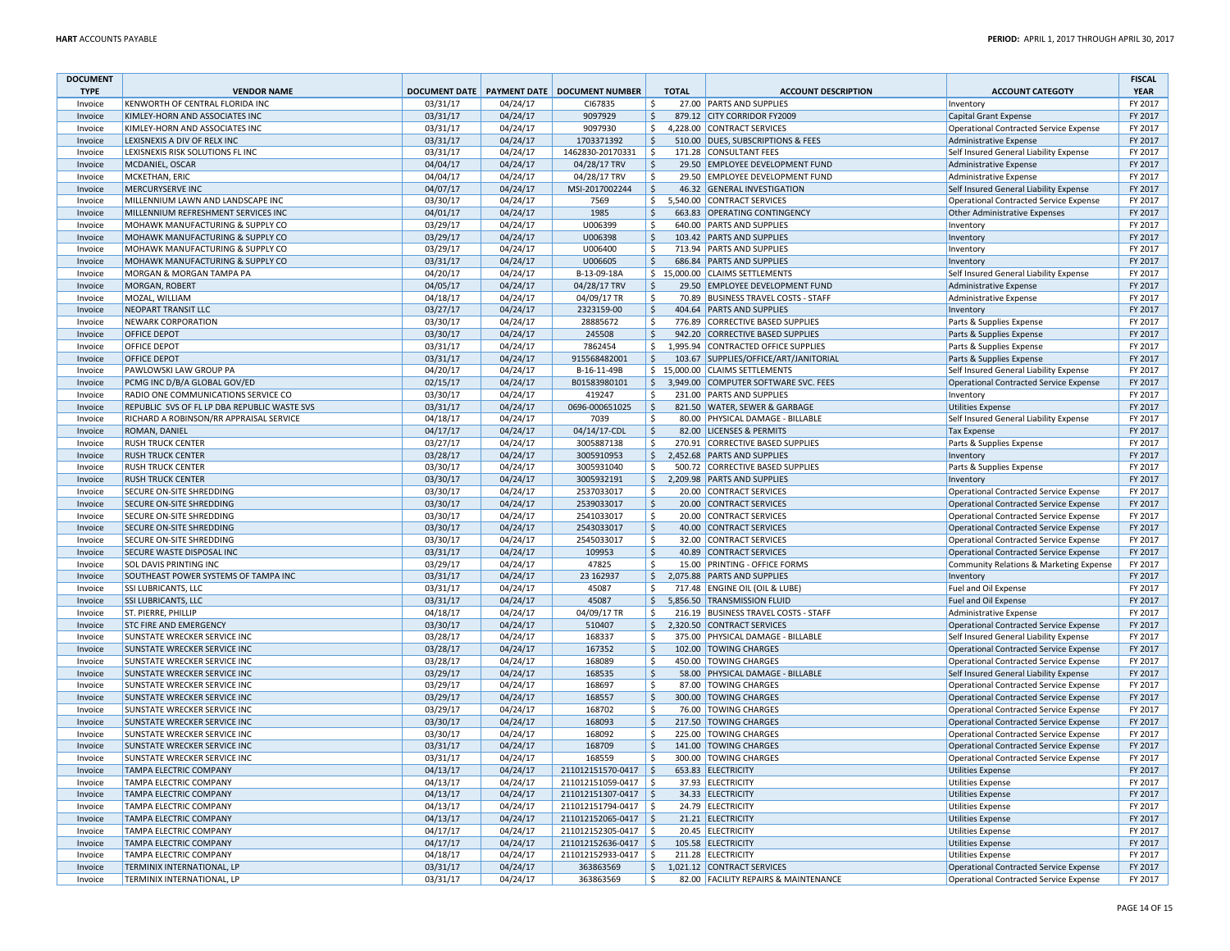| <b>DOCUMENT</b>    |                                                      |                      |                      |                                                |                     |                                                                 |                                                                                         | <b>FISCAL</b>      |
|--------------------|------------------------------------------------------|----------------------|----------------------|------------------------------------------------|---------------------|-----------------------------------------------------------------|-----------------------------------------------------------------------------------------|--------------------|
| <b>TYPE</b>        | <b>VENDOR NAME</b>                                   |                      |                      | DOCUMENT DATE   PAYMENT DATE   DOCUMENT NUMBER | <b>TOTAL</b>        | <b>ACCOUNT DESCRIPTION</b>                                      | <b>ACCOUNT CATEGOTY</b>                                                                 | <b>YEAR</b>        |
| Invoice            | KENWORTH OF CENTRAL FLORIDA INC                      | 03/31/17             | 04/24/17             | CI67835                                        | -\$                 | 27.00 PARTS AND SUPPLIES                                        | Inventory                                                                               | FY 2017            |
| Invoice            | KIMLEY-HORN AND ASSOCIATES INC                       | 03/31/17             | 04/24/17             | 9097929                                        | $\ddot{\varsigma}$  | 879.12 CITY CORRIDOR FY2009                                     | <b>Capital Grant Expense</b>                                                            | FY 2017            |
| Invoice            | KIMLEY-HORN AND ASSOCIATES INC                       | 03/31/17             | 04/24/17             | 9097930                                        | $\mathsf{S}$        | 4,228.00 CONTRACT SERVICES                                      | <b>Operational Contracted Service Expense</b>                                           | FY 2017            |
| Invoice            | LEXISNEXIS A DIV OF RELX INC                         | 03/31/17             | 04/24/17             | 1703371392                                     | $\ddot{\varsigma}$  | 510.00 DUES, SUBSCRIPTIONS & FEES                               | Administrative Expense                                                                  | FY 2017            |
| Invoice            | LEXISNEXIS RISK SOLUTIONS FL INC                     | 03/31/17             | 04/24/17             | 1462830-20170331                               | l\$                 | 171.28 CONSULTANT FEES                                          | Self Insured General Liability Expense                                                  | FY 2017            |
| Invoice            | MCDANIEL, OSCAR                                      | 04/04/17             | 04/24/17             | 04/28/17 TRV                                   | $\ddot{\mathsf{S}}$ | 29.50 EMPLOYEE DEVELOPMENT FUND                                 | Administrative Expense                                                                  | FY 2017            |
| Invoice            | MCKETHAN, ERIC                                       | 04/04/17             | 04/24/17             | 04/28/17 TRV                                   | \$                  | 29.50 EMPLOYEE DEVELOPMENT FUND                                 | Administrative Expense                                                                  | FY 2017            |
| Invoice            | <b>MERCURYSERVE INC</b>                              | 04/07/17             | 04/24/17             | MSI-2017002244                                 | $\ddot{\varsigma}$  | 46.32 GENERAL INVESTIGATION                                     | Self Insured General Liability Expense                                                  | FY 2017            |
| Invoice            | MILLENNIUM LAWN AND LANDSCAPE INC                    | 03/30/17             | 04/24/17             | 7569                                           | $\zeta$             | 5,540.00 CONTRACT SERVICES                                      | Operational Contracted Service Expense                                                  | FY 2017            |
| Invoice            | MILLENNIUM REFRESHMENT SERVICES INC                  | 04/01/17             | 04/24/17             | 1985                                           | $\zeta$             | 663.83 OPERATING CONTINGENCY                                    | Other Administrative Expenses                                                           | FY 2017            |
| Invoice            | MOHAWK MANUFACTURING & SUPPLY CO                     | 03/29/17             | 04/24/17             | U006399                                        | $\zeta$             | 640.00 PARTS AND SUPPLIES                                       | Inventory                                                                               | FY 2017            |
| Invoice            | MOHAWK MANUFACTURING & SUPPLY CO                     | 03/29/17             | 04/24/17             | U006398                                        | $\ddot{\mathsf{S}}$ | 103.42 PARTS AND SUPPLIES                                       | Inventory                                                                               | FY 2017            |
| Invoice            | MOHAWK MANUFACTURING & SUPPLY CO                     | 03/29/17             | 04/24/17             | U006400                                        | $\ddot{\mathsf{S}}$ | 713.94 PARTS AND SUPPLIES                                       | Inventory                                                                               | FY 2017            |
| Invoice            | MOHAWK MANUFACTURING & SUPPLY CO                     | 03/31/17             | 04/24/17             | U006605                                        | $\mathsf{S}$        | 686.84 PARTS AND SUPPLIES                                       | Inventory                                                                               | FY 2017            |
| Invoice            | <b>MORGAN &amp; MORGAN TAMPA PA</b>                  | 04/20/17             | 04/24/17             | B-13-09-18A                                    |                     | \$15,000.00 CLAIMS SETTLEMENTS                                  | Self Insured General Liability Expense                                                  | FY 2017            |
| Invoice            | <b>MORGAN, ROBERT</b>                                | 04/05/17             | 04/24/17             | 04/28/17 TRV                                   | $\mathsf{S}$        | 29.50 EMPLOYEE DEVELOPMENT FUND                                 | Administrative Expense                                                                  | FY 2017            |
| Invoice            | MOZAL, WILLIAM                                       | 04/18/17             | 04/24/17             | 04/09/17 TR                                    | $\ddot{\mathsf{S}}$ | 70.89 BUSINESS TRAVEL COSTS - STAFF                             | <b>Administrative Expense</b>                                                           | FY 2017            |
| Invoice            | NEOPART TRANSIT LLC                                  | 03/27/17             | 04/24/17             | 2323159-00                                     | $\zeta$             | 404.64 PARTS AND SUPPLIES                                       | Inventory                                                                               | FY 2017            |
| Invoice            | <b>NEWARK CORPORATION</b>                            | 03/30/17             | 04/24/17             | 28885672                                       | $\mathsf{S}$        | 776.89 CORRECTIVE BASED SUPPLIES                                | Parts & Supplies Expense                                                                | FY 2017            |
| Invoice            | OFFICE DEPOT                                         | 03/30/17             | 04/24/17             | 245508                                         | $\mathsf{S}$        | 942.20 CORRECTIVE BASED SUPPLIES                                | Parts & Supplies Expense                                                                | FY 2017            |
| Invoice            | <b>OFFICE DEPOT</b>                                  | 03/31/17             | 04/24/17             | 7862454                                        | $\mathsf{S}$        | 1,995.94 CONTRACTED OFFICE SUPPLIES                             | Parts & Supplies Expense                                                                | FY 2017            |
| Invoice            | <b>OFFICE DEPOT</b>                                  | 03/31/17             | 04/24/17             | 915568482001                                   | $\mathsf{S}$        | 103.67 SUPPLIES/OFFICE/ART/JANITORIAL                           | Parts & Supplies Expense                                                                | FY 2017            |
| Invoice            | PAWLOWSKI LAW GROUP PA                               | 04/20/17             | 04/24/17             | B-16-11-49B                                    |                     | \$15,000.00 CLAIMS SETTLEMENTS                                  | Self Insured General Liability Expense                                                  | FY 2017            |
| Invoice            | PCMG INC D/B/A GLOBAL GOV/ED                         | 02/15/17             | 04/24/17             | B01583980101                                   | $\mathsf{S}$        | 3,949.00 COMPUTER SOFTWARE SVC. FEES                            | Operational Contracted Service Expense                                                  | FY 2017            |
| Invoice            | RADIO ONE COMMUNICATIONS SERVICE CO                  | 03/30/17             | 04/24/17             | 419247                                         | \$                  | 231.00 PARTS AND SUPPLIES                                       | Inventory                                                                               | FY 2017            |
| Invoice            | REPUBLIC SVS OF FL LP DBA REPUBLIC WASTE SVS         | 03/31/17             | 04/24/17             | 0696-000651025                                 | $\ddot{\mathsf{S}}$ | 821.50 WATER, SEWER & GARBAGE                                   | <b>Utilities Expense</b>                                                                | FY 2017            |
| Invoice            | RICHARD A ROBINSON/RR APPRAISAL SERVICE              | 04/18/17             | 04/24/17             | 7039                                           | $\zeta$             | 80.00 PHYSICAL DAMAGE - BILLABLE                                | Self Insured General Liability Expense                                                  | FY 2017            |
| Invoice            | ROMAN, DANIEL                                        | 04/17/17             | 04/24/17             | 04/14/17-CDL                                   | l\$                 | 82.00 LICENSES & PERMITS                                        | Tax Expense                                                                             | FY 2017            |
| Invoice            | <b>RUSH TRUCK CENTER</b>                             | 03/27/17             | 04/24/17             | 3005887138                                     | -S                  | 270.91 CORRECTIVE BASED SUPPLIES                                | Parts & Supplies Expense                                                                | FY 2017            |
| Invoice            | <b>RUSH TRUCK CENTER</b><br><b>RUSH TRUCK CENTER</b> | 03/28/17<br>03/30/17 | 04/24/17<br>04/24/17 | 3005910953<br>3005931040                       | \$<br>$\mathsf{S}$  | 2,452.68 PARTS AND SUPPLIES<br>500.72 CORRECTIVE BASED SUPPLIES | Inventory                                                                               | FY 2017<br>FY 2017 |
| Invoice            |                                                      | 03/30/17             | 04/24/17             | 3005932191                                     | $\frac{1}{2}$       | 2,209.98 PARTS AND SUPPLIES                                     | Parts & Supplies Expense                                                                | FY 2017            |
| Invoice<br>Invoice | <b>RUSH TRUCK CENTER</b><br>SECURE ON-SITE SHREDDING | 03/30/17             | 04/24/17             | 2537033017                                     | $\mathsf{S}$        | 20.00 CONTRACT SERVICES                                         | Inventory<br><b>Operational Contracted Service Expense</b>                              | FY 2017            |
|                    | SECURE ON-SITE SHREDDING                             | 03/30/17             | 04/24/17             | 2539033017                                     | $\zeta$             | 20.00 CONTRACT SERVICES                                         |                                                                                         | FY 2017            |
| Invoice<br>Invoice | SECURE ON-SITE SHREDDING                             | 03/30/17             | 04/24/17             | 2541033017                                     | $\mathsf{S}$        | 20.00 CONTRACT SERVICES                                         | Operational Contracted Service Expense<br><b>Operational Contracted Service Expense</b> | FY 2017            |
| Invoice            | SECURE ON-SITE SHREDDING                             | 03/30/17             | 04/24/17             | 2543033017                                     | $\ddot{\mathsf{S}}$ | 40.00 CONTRACT SERVICES                                         | Operational Contracted Service Expense                                                  | FY 2017            |
| Invoice            | SECURE ON-SITE SHREDDING                             | 03/30/17             | 04/24/17             | 2545033017                                     | $\zeta$             | 32.00 CONTRACT SERVICES                                         | Operational Contracted Service Expense                                                  | FY 2017            |
| Invoice            | SECURE WASTE DISPOSAL INC                            | 03/31/17             | 04/24/17             | 109953                                         | $\ddot{\varsigma}$  | 40.89 CONTRACT SERVICES                                         | Operational Contracted Service Expense                                                  | FY 2017            |
| Invoice            | SOL DAVIS PRINTING INC                               | 03/29/17             | 04/24/17             | 47825                                          | $\ddot{\mathsf{S}}$ | 15.00 PRINTING - OFFICE FORMS                                   | Community Relations & Marketing Expense                                                 | FY 2017            |
| Invoice            | SOUTHEAST POWER SYSTEMS OF TAMPA INC                 | 03/31/17             | 04/24/17             | 23 16 29 37                                    | $\ddot{\varsigma}$  | 2,075.88 PARTS AND SUPPLIES                                     | Inventory                                                                               | FY 2017            |
| Invoice            | SSI LUBRICANTS, LLC                                  | 03/31/17             | 04/24/17             | 45087                                          | \$                  | 717.48 ENGINE OIL (OIL & LUBE)                                  | Fuel and Oil Expense                                                                    | FY 2017            |
| Invoice            | <b>SSI LUBRICANTS, LLC</b>                           | 03/31/17             | 04/24/17             | 45087                                          | $\mathsf{S}$        | 5,856.50 TRANSMISSION FLUID                                     | Fuel and Oil Expense                                                                    | FY 2017            |
| Invoice            | ST. PIERRE, PHILLIP                                  | 04/18/17             | 04/24/17             | 04/09/17 TR                                    | \$                  | 216.19 BUSINESS TRAVEL COSTS - STAFF                            | <b>Administrative Expense</b>                                                           | FY 2017            |
| Invoice            | <b>STC FIRE AND EMERGENCY</b>                        | 03/30/17             | 04/24/17             | 510407                                         | $\zeta$             | 2.320.50 CONTRACT SERVICES                                      | <b>Operational Contracted Service Expense</b>                                           | FY 2017            |
| Invoice            | SUNSTATE WRECKER SERVICE INC                         | 03/28/17             | 04/24/17             | 168337                                         | \$                  | 375.00 PHYSICAL DAMAGE - BILLABLE                               | Self Insured General Liability Expense                                                  | FY 2017            |
| Invoice            | SUNSTATE WRECKER SERVICE INC                         | 03/28/17             | 04/24/17             | 167352                                         | $\zeta$             | 102.00 TOWING CHARGES                                           | Operational Contracted Service Expense                                                  | FY 2017            |
| Invoice            | SUNSTATE WRECKER SERVICE INC                         | 03/28/17             | 04/24/17             | 168089                                         | $\ddot{\mathsf{S}}$ | 450.00 TOWING CHARGES                                           | <b>Operational Contracted Service Expense</b>                                           | FY 2017            |
| Invoice            | SUNSTATE WRECKER SERVICE INC                         | 03/29/17             | 04/24/17             | 168535                                         | $\zeta$             | 58.00 PHYSICAL DAMAGE - BILLABLE                                | Self Insured General Liability Expense                                                  | FY 2017            |
| Invoice            | SUNSTATE WRECKER SERVICE INC                         | 03/29/17             | 04/24/17             | 168697                                         | $\ddot{\mathsf{S}}$ | 87.00 TOWING CHARGES                                            | Operational Contracted Service Expense                                                  | FY 2017            |
| Invoice            | SUNSTATE WRECKER SERVICE INC                         | 03/29/17             | 04/24/17             | 168557                                         | $\zeta$             | 300.00 TOWING CHARGES                                           | Operational Contracted Service Expense                                                  | FY 2017            |
| Invoice            | SUNSTATE WRECKER SERVICE INC                         | 03/29/17             | 04/24/17             | 168702                                         | $\ddot{\mathsf{S}}$ | 76.00 TOWING CHARGES                                            | Operational Contracted Service Expense                                                  | FY 2017            |
| Invoice            | SUNSTATE WRECKER SERVICE INC                         | 03/30/17             | 04/24/17             | 168093                                         | $\ddot{\mathsf{S}}$ | 217.50 TOWING CHARGES                                           | <b>Operational Contracted Service Expense</b>                                           | FY 2017            |
| Invoice            | SUNSTATE WRECKER SERVICE INC                         | 03/30/17             | 04/24/17             | 168092                                         | $\zeta$             | 225.00 TOWING CHARGES                                           | Operational Contracted Service Expense                                                  | FY 2017            |
| Invoice            | SUNSTATE WRECKER SERVICE INC                         | 03/31/17             | 04/24/17             | 168709                                         | $\zeta$             | 141.00 TOWING CHARGES                                           | Operational Contracted Service Expense                                                  | FY 2017            |
| Invoice            | SUNSTATE WRECKER SERVICE INC                         | 03/31/17             | 04/24/17             | 168559                                         | $\zeta$             | 300.00 TOWING CHARGES                                           | Operational Contracted Service Expense                                                  | FY 2017            |
| Invoice            | <b>TAMPA ELECTRIC COMPANY</b>                        | 04/13/17             | 04/24/17             | 211012151570-0417                              | \$                  | 653.83 ELECTRICITY                                              | <b>Utilities Expense</b>                                                                | FY 2017            |
| Invoice            | TAMPA ELECTRIC COMPANY                               | 04/13/17             | 04/24/17             | 211012151059-0417                              | l \$                | 37.93 ELECTRICITY                                               | <b>Utilities Expense</b>                                                                | FY 2017            |
| Invoice            | <b>TAMPA ELECTRIC COMPANY</b>                        | 04/13/17             | 04/24/17             | 211012151307-0417                              | l \$                | 34.33 ELECTRICITY                                               | <b>Utilities Expense</b>                                                                | FY 2017            |
| Invoice            | <b>TAMPA ELECTRIC COMPANY</b>                        | 04/13/17             | 04/24/17             | 211012151794-0417                              | ۱\$                 | 24.79 ELECTRICITY                                               | <b>Utilities Expense</b>                                                                | FY 2017            |
| Invoice            | <b>TAMPA ELECTRIC COMPANY</b>                        | 04/13/17             | 04/24/17             | 211012152065-0417                              | \$                  | 21.21 ELECTRICITY                                               | <b>Utilities Expense</b>                                                                | FY 2017            |
| Invoice            | TAMPA ELECTRIC COMPANY                               | 04/17/17             | 04/24/17             | 211012152305-0417                              | l \$                | 20.45 ELECTRICITY                                               | <b>Utilities Expense</b>                                                                | FY 2017            |
| Invoice            | <b>TAMPA ELECTRIC COMPANY</b>                        | 04/17/17             | 04/24/17             | 211012152636-0417                              | ا \$                | 105.58 ELECTRICITY                                              | <b>Utilities Expense</b>                                                                | FY 2017            |
| Invoice            | TAMPA ELECTRIC COMPANY                               | 04/18/17             | 04/24/17             | 211012152933-0417                              | $\vert$ \$          | 211.28 ELECTRICITY                                              | <b>Utilities Expense</b>                                                                | FY 2017            |
| Invoice            | TERMINIX INTERNATIONAL, LP                           | 03/31/17             | 04/24/17             | 363863569                                      | $\ddot{\mathsf{S}}$ | 1,021.12 CONTRACT SERVICES                                      | Operational Contracted Service Expense                                                  | FY 2017            |
| Invoice            | TERMINIX INTERNATIONAL, LP                           | 03/31/17             | 04/24/17             | 363863569                                      | \$                  | 82.00 FACILITY REPAIRS & MAINTENANCE                            | Operational Contracted Service Expense                                                  | FY 2017            |